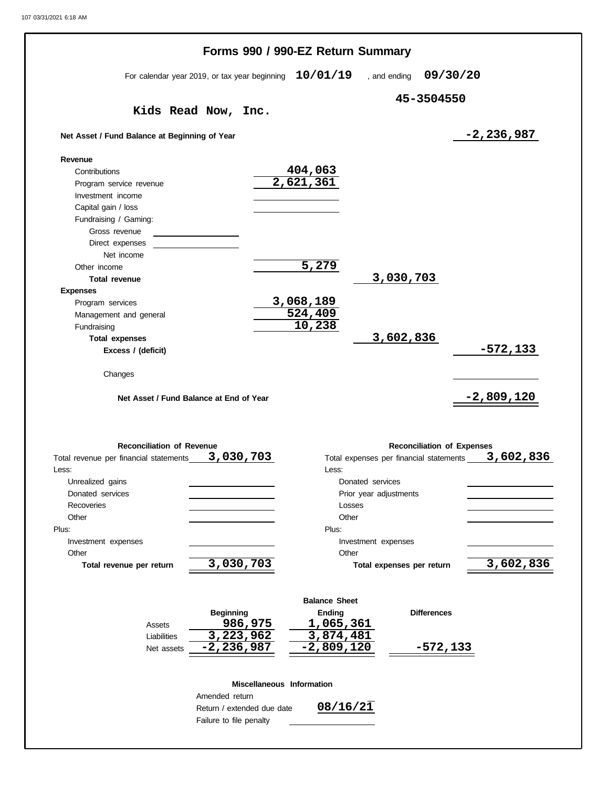|                                                          |                                                       | Forms 990 / 990-EZ Return Summary |                                         |                                                |  |
|----------------------------------------------------------|-------------------------------------------------------|-----------------------------------|-----------------------------------------|------------------------------------------------|--|
|                                                          | For calendar year 2019, or tax year beginning         | 10/01/19                          | , and ending                            | 09/30/20                                       |  |
|                                                          |                                                       |                                   |                                         | 45-3504550                                     |  |
|                                                          | Kids Read Now, Inc.                                   |                                   |                                         |                                                |  |
| Net Asset / Fund Balance at Beginning of Year            |                                                       |                                   |                                         | $-2,236,987$                                   |  |
| Revenue                                                  |                                                       |                                   |                                         |                                                |  |
| Contributions                                            |                                                       | 404,063                           |                                         |                                                |  |
| Program service revenue                                  |                                                       | $\overline{2,621,361}$            |                                         |                                                |  |
| Investment income                                        |                                                       |                                   |                                         |                                                |  |
| Capital gain / loss                                      |                                                       |                                   |                                         |                                                |  |
| Fundraising / Gaming:                                    |                                                       |                                   |                                         |                                                |  |
| Gross revenue                                            |                                                       |                                   |                                         |                                                |  |
| Direct expenses<br>Net income                            |                                                       |                                   |                                         |                                                |  |
| Other income                                             |                                                       | 5,279                             |                                         |                                                |  |
| <b>Total revenue</b>                                     |                                                       |                                   | 3,030,703                               |                                                |  |
| <b>Expenses</b>                                          |                                                       |                                   |                                         |                                                |  |
| Program services                                         |                                                       | 3,068,189                         |                                         |                                                |  |
| Management and general                                   |                                                       | 524,409                           |                                         |                                                |  |
| Fundraising                                              |                                                       | 10,238                            |                                         |                                                |  |
| <b>Total expenses</b>                                    |                                                       |                                   | 3,602,836                               |                                                |  |
| Excess / (deficit)                                       |                                                       |                                   |                                         | $-572, 133$                                    |  |
| Changes                                                  | Net Asset / Fund Balance at End of Year               |                                   |                                         | $-2,809,120$                                   |  |
| <b>Reconciliation of Revenue</b>                         | 3,030,703                                             | Less:                             | Total expenses per financial statements | <b>Reconciliation of Expenses</b><br>3,602,836 |  |
| Unrealized gains                                         |                                                       |                                   | Donated services                        |                                                |  |
| Donated services                                         |                                                       |                                   | Prior year adjustments                  |                                                |  |
| Recoveries                                               |                                                       |                                   | Losses                                  |                                                |  |
| Other                                                    |                                                       | Other                             |                                         |                                                |  |
|                                                          |                                                       | Plus:                             | Investment expenses                     |                                                |  |
| Investment expenses<br>Other                             |                                                       | Other                             |                                         |                                                |  |
| Total revenue per return                                 | 3,030,703                                             |                                   | Total expenses per return               | 3,602,836                                      |  |
|                                                          |                                                       | <b>Balance Sheet</b>              |                                         |                                                |  |
|                                                          | <b>Beginning</b>                                      | Ending                            |                                         | <b>Differences</b>                             |  |
| Assets                                                   | 986, 975                                              | 1,065,361                         |                                         |                                                |  |
| Liabilities                                              | 3,223,962                                             | 3,874,481                         |                                         |                                                |  |
| Net assets                                               | -2,236,987                                            | $-2,809,120$                      |                                         | <u>–572,133</u>                                |  |
|                                                          |                                                       | Miscellaneous Information         |                                         |                                                |  |
|                                                          | Amended return                                        |                                   |                                         |                                                |  |
| Total revenue per financial statements<br>Less:<br>Plus: | Return / extended due date<br>Failure to file penalty | 08/16/21                          |                                         |                                                |  |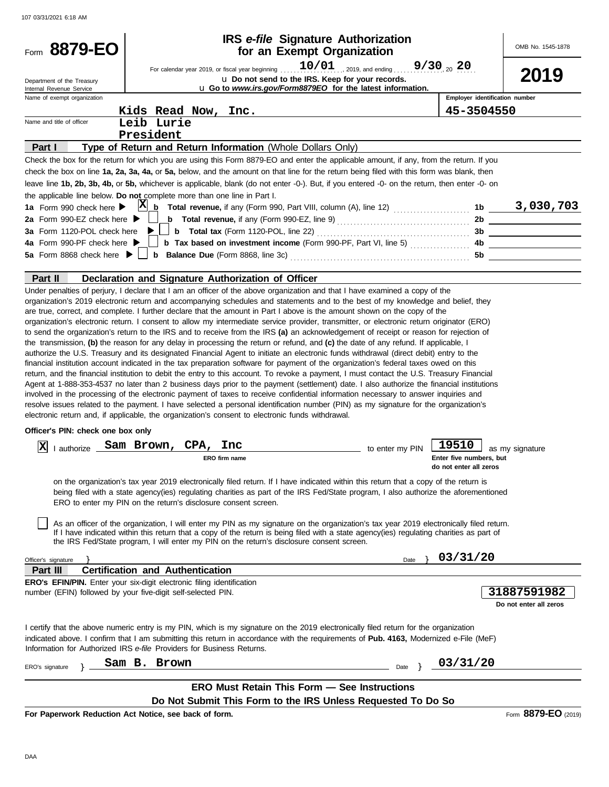| Form 8879-EO                                           | <b>IRS</b> e-file Signature Authorization<br>for an Exempt Organization                                                                                                                                                                                                                                                                                                                                                                                                                                                                                                                                                                                                                                                                                                                                                                                                                                                                                                                                                                                                                                                                                                                                                                                                                                                                                                                 |                 |                                                   | OMB No. 1545-1878      |
|--------------------------------------------------------|-----------------------------------------------------------------------------------------------------------------------------------------------------------------------------------------------------------------------------------------------------------------------------------------------------------------------------------------------------------------------------------------------------------------------------------------------------------------------------------------------------------------------------------------------------------------------------------------------------------------------------------------------------------------------------------------------------------------------------------------------------------------------------------------------------------------------------------------------------------------------------------------------------------------------------------------------------------------------------------------------------------------------------------------------------------------------------------------------------------------------------------------------------------------------------------------------------------------------------------------------------------------------------------------------------------------------------------------------------------------------------------------|-----------------|---------------------------------------------------|------------------------|
| Department of the Treasury<br>Internal Revenue Service | $10/01$ 2019, and ending<br>For calendar year 2019, or fiscal year beginning<br>U Do not send to the IRS. Keep for your records.<br>La Go to www.irs.gov/Form8879EO for the latest information.                                                                                                                                                                                                                                                                                                                                                                                                                                                                                                                                                                                                                                                                                                                                                                                                                                                                                                                                                                                                                                                                                                                                                                                         |                 | $9/30_{20}$ 20                                    | 2019                   |
| Name of exempt organization                            |                                                                                                                                                                                                                                                                                                                                                                                                                                                                                                                                                                                                                                                                                                                                                                                                                                                                                                                                                                                                                                                                                                                                                                                                                                                                                                                                                                                         |                 | Employer identification number                    |                        |
|                                                        | Kids Read Now, Inc.                                                                                                                                                                                                                                                                                                                                                                                                                                                                                                                                                                                                                                                                                                                                                                                                                                                                                                                                                                                                                                                                                                                                                                                                                                                                                                                                                                     |                 | 45-3504550                                        |                        |
| Name and title of officer                              | Leib Lurie                                                                                                                                                                                                                                                                                                                                                                                                                                                                                                                                                                                                                                                                                                                                                                                                                                                                                                                                                                                                                                                                                                                                                                                                                                                                                                                                                                              |                 |                                                   |                        |
|                                                        | President                                                                                                                                                                                                                                                                                                                                                                                                                                                                                                                                                                                                                                                                                                                                                                                                                                                                                                                                                                                                                                                                                                                                                                                                                                                                                                                                                                               |                 |                                                   |                        |
| Part I                                                 | Type of Return and Return Information (Whole Dollars Only)                                                                                                                                                                                                                                                                                                                                                                                                                                                                                                                                                                                                                                                                                                                                                                                                                                                                                                                                                                                                                                                                                                                                                                                                                                                                                                                              |                 |                                                   |                        |
|                                                        | Check the box for the return for which you are using this Form 8879-EO and enter the applicable amount, if any, from the return. If you                                                                                                                                                                                                                                                                                                                                                                                                                                                                                                                                                                                                                                                                                                                                                                                                                                                                                                                                                                                                                                                                                                                                                                                                                                                 |                 |                                                   |                        |
|                                                        | check the box on line 1a, 2a, 3a, 4a, or 5a, below, and the amount on that line for the return being filed with this form was blank, then                                                                                                                                                                                                                                                                                                                                                                                                                                                                                                                                                                                                                                                                                                                                                                                                                                                                                                                                                                                                                                                                                                                                                                                                                                               |                 |                                                   |                        |
|                                                        | leave line 1b, 2b, 3b, 4b, or 5b, whichever is applicable, blank (do not enter -0-). But, if you entered -0- on the return, then enter -0- on                                                                                                                                                                                                                                                                                                                                                                                                                                                                                                                                                                                                                                                                                                                                                                                                                                                                                                                                                                                                                                                                                                                                                                                                                                           |                 |                                                   |                        |
|                                                        | the applicable line below. Do not complete more than one line in Part I.                                                                                                                                                                                                                                                                                                                                                                                                                                                                                                                                                                                                                                                                                                                                                                                                                                                                                                                                                                                                                                                                                                                                                                                                                                                                                                                |                 |                                                   |                        |
| 1a Form 990 check here $\blacktriangleright$           | $ {\bf X} $<br>$\mu$ Total revenue, if any (Form 990, Part VIII, column (A), line 12) $\mu$ 16 $\mu$ 1b $\mu$ 3,030,703                                                                                                                                                                                                                                                                                                                                                                                                                                                                                                                                                                                                                                                                                                                                                                                                                                                                                                                                                                                                                                                                                                                                                                                                                                                                 |                 |                                                   |                        |
| 2a Form 990-EZ check here $\blacktriangleright$        |                                                                                                                                                                                                                                                                                                                                                                                                                                                                                                                                                                                                                                                                                                                                                                                                                                                                                                                                                                                                                                                                                                                                                                                                                                                                                                                                                                                         |                 |                                                   | 2b                     |
| 3a Form 1120-POL check here                            |                                                                                                                                                                                                                                                                                                                                                                                                                                                                                                                                                                                                                                                                                                                                                                                                                                                                                                                                                                                                                                                                                                                                                                                                                                                                                                                                                                                         |                 |                                                   |                        |
| 4a Form 990-PF check here ▶                            |                                                                                                                                                                                                                                                                                                                                                                                                                                                                                                                                                                                                                                                                                                                                                                                                                                                                                                                                                                                                                                                                                                                                                                                                                                                                                                                                                                                         |                 |                                                   |                        |
| 5a Form 8868 check here $\blacktriangleright$          |                                                                                                                                                                                                                                                                                                                                                                                                                                                                                                                                                                                                                                                                                                                                                                                                                                                                                                                                                                                                                                                                                                                                                                                                                                                                                                                                                                                         |                 |                                                   |                        |
|                                                        |                                                                                                                                                                                                                                                                                                                                                                                                                                                                                                                                                                                                                                                                                                                                                                                                                                                                                                                                                                                                                                                                                                                                                                                                                                                                                                                                                                                         |                 |                                                   |                        |
| Part II                                                | Declaration and Signature Authorization of Officer                                                                                                                                                                                                                                                                                                                                                                                                                                                                                                                                                                                                                                                                                                                                                                                                                                                                                                                                                                                                                                                                                                                                                                                                                                                                                                                                      |                 |                                                   |                        |
|                                                        | organization's electronic return. I consent to allow my intermediate service provider, transmitter, or electronic return originator (ERO)<br>to send the organization's return to the IRS and to receive from the IRS (a) an acknowledgement of receipt or reason for rejection of<br>the transmission, (b) the reason for any delay in processing the return or refund, and (c) the date of any refund. If applicable, I<br>authorize the U.S. Treasury and its designated Financial Agent to initiate an electronic funds withdrawal (direct debit) entry to the<br>financial institution account indicated in the tax preparation software for payment of the organization's federal taxes owed on this<br>return, and the financial institution to debit the entry to this account. To revoke a payment, I must contact the U.S. Treasury Financial<br>Agent at 1-888-353-4537 no later than 2 business days prior to the payment (settlement) date. I also authorize the financial institutions<br>involved in the processing of the electronic payment of taxes to receive confidential information necessary to answer inquiries and<br>resolve issues related to the payment. I have selected a personal identification number (PIN) as my signature for the organization's<br>electronic return and, if applicable, the organization's consent to electronic funds withdrawal. |                 |                                                   |                        |
| Officer's PIN: check one box only                      |                                                                                                                                                                                                                                                                                                                                                                                                                                                                                                                                                                                                                                                                                                                                                                                                                                                                                                                                                                                                                                                                                                                                                                                                                                                                                                                                                                                         |                 |                                                   |                        |
| ΙX<br>I authorize                                      | Sam Brown, CPA, Inc                                                                                                                                                                                                                                                                                                                                                                                                                                                                                                                                                                                                                                                                                                                                                                                                                                                                                                                                                                                                                                                                                                                                                                                                                                                                                                                                                                     |                 | 19510                                             |                        |
|                                                        | ERO firm name                                                                                                                                                                                                                                                                                                                                                                                                                                                                                                                                                                                                                                                                                                                                                                                                                                                                                                                                                                                                                                                                                                                                                                                                                                                                                                                                                                           | to enter my PIN | Enter five numbers, but<br>do not enter all zeros | as my signature        |
|                                                        | on the organization's tax year 2019 electronically filed return. If I have indicated within this return that a copy of the return is<br>being filed with a state agency(ies) regulating charities as part of the IRS Fed/State program, I also authorize the aforementioned<br>ERO to enter my PIN on the return's disclosure consent screen.<br>As an officer of the organization, I will enter my PIN as my signature on the organization's tax year 2019 electronically filed return.<br>If I have indicated within this return that a copy of the return is being filed with a state agency(ies) regulating charities as part of                                                                                                                                                                                                                                                                                                                                                                                                                                                                                                                                                                                                                                                                                                                                                    |                 |                                                   |                        |
|                                                        | the IRS Fed/State program, I will enter my PIN on the return's disclosure consent screen.                                                                                                                                                                                                                                                                                                                                                                                                                                                                                                                                                                                                                                                                                                                                                                                                                                                                                                                                                                                                                                                                                                                                                                                                                                                                                               |                 |                                                   |                        |
| Officer's signature                                    |                                                                                                                                                                                                                                                                                                                                                                                                                                                                                                                                                                                                                                                                                                                                                                                                                                                                                                                                                                                                                                                                                                                                                                                                                                                                                                                                                                                         | Date            | 03/31/20                                          |                        |
| Part III                                               | <b>Certification and Authentication</b><br>ERO's EFIN/PIN. Enter your six-digit electronic filing identification                                                                                                                                                                                                                                                                                                                                                                                                                                                                                                                                                                                                                                                                                                                                                                                                                                                                                                                                                                                                                                                                                                                                                                                                                                                                        |                 |                                                   |                        |
|                                                        | number (EFIN) followed by your five-digit self-selected PIN.                                                                                                                                                                                                                                                                                                                                                                                                                                                                                                                                                                                                                                                                                                                                                                                                                                                                                                                                                                                                                                                                                                                                                                                                                                                                                                                            |                 |                                                   | 31887591982            |
|                                                        |                                                                                                                                                                                                                                                                                                                                                                                                                                                                                                                                                                                                                                                                                                                                                                                                                                                                                                                                                                                                                                                                                                                                                                                                                                                                                                                                                                                         |                 |                                                   | Do not enter all zeros |
|                                                        | I certify that the above numeric entry is my PIN, which is my signature on the 2019 electronically filed return for the organization<br>indicated above. I confirm that I am submitting this return in accordance with the requirements of Pub. 4163, Modernized e-File (MeF)<br>Information for Authorized IRS e-file Providers for Business Returns.                                                                                                                                                                                                                                                                                                                                                                                                                                                                                                                                                                                                                                                                                                                                                                                                                                                                                                                                                                                                                                  |                 |                                                   |                        |
| ERO's signature                                        | Sam B. Brown                                                                                                                                                                                                                                                                                                                                                                                                                                                                                                                                                                                                                                                                                                                                                                                                                                                                                                                                                                                                                                                                                                                                                                                                                                                                                                                                                                            | Date            | 03/31/20                                          |                        |
|                                                        |                                                                                                                                                                                                                                                                                                                                                                                                                                                                                                                                                                                                                                                                                                                                                                                                                                                                                                                                                                                                                                                                                                                                                                                                                                                                                                                                                                                         |                 |                                                   |                        |
|                                                        | <b>ERO Must Retain This Form - See Instructions</b>                                                                                                                                                                                                                                                                                                                                                                                                                                                                                                                                                                                                                                                                                                                                                                                                                                                                                                                                                                                                                                                                                                                                                                                                                                                                                                                                     |                 |                                                   |                        |
|                                                        | Do Not Submit This Form to the IRS Unless Requested To Do So                                                                                                                                                                                                                                                                                                                                                                                                                                                                                                                                                                                                                                                                                                                                                                                                                                                                                                                                                                                                                                                                                                                                                                                                                                                                                                                            |                 |                                                   |                        |
|                                                        | For Paperwork Reduction Act Notice, see back of form.                                                                                                                                                                                                                                                                                                                                                                                                                                                                                                                                                                                                                                                                                                                                                                                                                                                                                                                                                                                                                                                                                                                                                                                                                                                                                                                                   |                 |                                                   | Form 8879-EO (2019)    |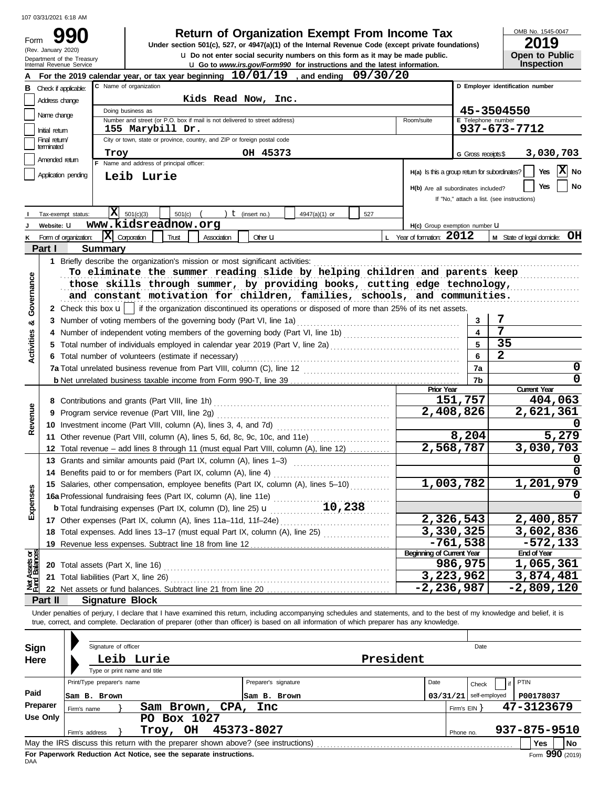Department of the

(Rev. January 2020)

u **Do not enter social security numbers on this form as it may be made public. Open to Public Return of Organization Exempt From Income Tax**  $\frac{\text{OMB No. 1545-00}}{2019}$ **Under section 501(c), 527, or 4947(a)(1) of the Internal Revenue Code (except private foundations)**

OMB No. 1545-0047

|    |                                                                                                                                                                                                                                                                                                                                                                                                                                                                                                                                                                                                                                                                                                                                                                                                                                                                                                                                                                                                                                                                                                                                                                                                                                                                                                                                                                                                                                                                                                                                                                                                                                                                                                                                                                                                                                                                                                                                                                                                                                                                                                                                                                                                                                                                                                                                                                                                                                                                                                                                                                                                                                                                                                                                                                                                                                                                                                                                                                                                                                                                                                                                                                                                                                                                                                                                                                                                                                                                                                                                                                                                                                                                                                                                                                                                                     |                                                                                                                                                                                                                                                                                                                                                                                                                                                                                                                             |  |  |  |  |  |  |  | Inspection |
|----|---------------------------------------------------------------------------------------------------------------------------------------------------------------------------------------------------------------------------------------------------------------------------------------------------------------------------------------------------------------------------------------------------------------------------------------------------------------------------------------------------------------------------------------------------------------------------------------------------------------------------------------------------------------------------------------------------------------------------------------------------------------------------------------------------------------------------------------------------------------------------------------------------------------------------------------------------------------------------------------------------------------------------------------------------------------------------------------------------------------------------------------------------------------------------------------------------------------------------------------------------------------------------------------------------------------------------------------------------------------------------------------------------------------------------------------------------------------------------------------------------------------------------------------------------------------------------------------------------------------------------------------------------------------------------------------------------------------------------------------------------------------------------------------------------------------------------------------------------------------------------------------------------------------------------------------------------------------------------------------------------------------------------------------------------------------------------------------------------------------------------------------------------------------------------------------------------------------------------------------------------------------------------------------------------------------------------------------------------------------------------------------------------------------------------------------------------------------------------------------------------------------------------------------------------------------------------------------------------------------------------------------------------------------------------------------------------------------------------------------------------------------------------------------------------------------------------------------------------------------------------------------------------------------------------------------------------------------------------------------------------------------------------------------------------------------------------------------------------------------------------------------------------------------------------------------------------------------------------------------------------------------------------------------------------------------------------------------------------------------------------------------------------------------------------------------------------------------------------------------------------------------------------------------------------------------------------------------------------------------------------------------------------------------------------------------------------------------------------------------------------------------------------------------------------------------------|-----------------------------------------------------------------------------------------------------------------------------------------------------------------------------------------------------------------------------------------------------------------------------------------------------------------------------------------------------------------------------------------------------------------------------------------------------------------------------------------------------------------------------|--|--|--|--|--|--|--|------------|
|    |                                                                                                                                                                                                                                                                                                                                                                                                                                                                                                                                                                                                                                                                                                                                                                                                                                                                                                                                                                                                                                                                                                                                                                                                                                                                                                                                                                                                                                                                                                                                                                                                                                                                                                                                                                                                                                                                                                                                                                                                                                                                                                                                                                                                                                                                                                                                                                                                                                                                                                                                                                                                                                                                                                                                                                                                                                                                                                                                                                                                                                                                                                                                                                                                                                                                                                                                                                                                                                                                                                                                                                                                                                                                                                                                                                                                                     |                                                                                                                                                                                                                                                                                                                                                                                                                                                                                                                             |  |  |  |  |  |  |  |            |
|    |                                                                                                                                                                                                                                                                                                                                                                                                                                                                                                                                                                                                                                                                                                                                                                                                                                                                                                                                                                                                                                                                                                                                                                                                                                                                                                                                                                                                                                                                                                                                                                                                                                                                                                                                                                                                                                                                                                                                                                                                                                                                                                                                                                                                                                                                                                                                                                                                                                                                                                                                                                                                                                                                                                                                                                                                                                                                                                                                                                                                                                                                                                                                                                                                                                                                                                                                                                                                                                                                                                                                                                                                                                                                                                                                                                                                                     |                                                                                                                                                                                                                                                                                                                                                                                                                                                                                                                             |  |  |  |  |  |  |  |            |
|    |                                                                                                                                                                                                                                                                                                                                                                                                                                                                                                                                                                                                                                                                                                                                                                                                                                                                                                                                                                                                                                                                                                                                                                                                                                                                                                                                                                                                                                                                                                                                                                                                                                                                                                                                                                                                                                                                                                                                                                                                                                                                                                                                                                                                                                                                                                                                                                                                                                                                                                                                                                                                                                                                                                                                                                                                                                                                                                                                                                                                                                                                                                                                                                                                                                                                                                                                                                                                                                                                                                                                                                                                                                                                                                                                                                                                                     |                                                                                                                                                                                                                                                                                                                                                                                                                                                                                                                             |  |  |  |  |  |  |  |            |
|    | יושנאסיו שווט וט ווסו<br>U Go to www.irs.gov/Form990 for instructions and the latest information.<br>For the 2019 calendar year, or tax year beginning 10/01/19<br>09/30/20<br>, and ending<br>C Name of organization<br>D Employer identification number<br>Check if applicable:<br>Kids Read Now, Inc.<br>Address change<br>45-3504550<br>Doing business as<br>Name change<br>Number and street (or P.O. box if mail is not delivered to street address)<br>E Telephone number<br>Room/suite<br>937-673-7712<br>155 Marybill Dr.<br>Initial return<br>City or town, state or province, country, and ZIP or foreign postal code<br>Final return<br>terminated<br>OH 45373<br>3,030,703<br>Troy<br>G Gross receipts\$<br>Amended return<br>F Name and address of principal officer:<br>$ X $ No<br>Yes<br>H(a) Is this a group return for subordinates?<br>Application pending<br>Leib Lurie<br>No<br>Yes<br>H(b) Are all subordinates included?<br>If "No," attach a list. (see instructions)<br> X <br>501(c)(3)<br>) $t$ (insert no.)<br>501(c)<br>4947(a)(1) or<br>527<br>Tax-exempt status:<br>www.kidsreadnow.org<br>Website: U<br>H(c) Group exemption number U<br>$ \mathbf{X} $ Corporation<br>L Year of formation: $2012$<br>$M$ State of legal domicile: $OH$<br>Form of organization:<br>Trust<br>Association<br>Other $U$<br>Part I<br><b>Summary</b><br>1 Briefly describe the organization's mission or most significant activities:<br>To eliminate the summer reading slide by helping children and parents keep<br>those skills through summer, by providing books, cutting edge technology,<br>and constant motivation for children, families, schools, and communities.<br>2 Check this box $u$   if the organization discontinued its operations or disposed of more than 25% of its net assets.<br>7<br>3 Number of voting members of the governing body (Part VI, line 1a)<br>3<br>7<br>$\overline{\mathbf{A}}$<br>4 Number of independent voting members of the governing body (Part VI, line 1b) [[[[[[[[[[[[[[[[[[[[[[[[[[[[[[<br>35<br>5<br>$\overline{a}$<br>6<br>6 Total number of volunteers (estimate if necessary)<br>0<br>7a<br>0<br>7b<br><b>Prior Year</b><br><b>Current Year</b><br>151,757<br>404,063<br>2,408,826<br>2,621,361<br>8,204<br>5,279<br>11 Other revenue (Part VIII, column (A), lines 5, 6d, 8c, 9c, 10c, and 11e)<br>2,568,787<br>3,030,703<br>12 Total revenue - add lines 8 through 11 (must equal Part VIII, column (A), line 12)<br>13 Grants and similar amounts paid (Part IX, column (A), lines 1-3)<br>14 Benefits paid to or for members (Part IX, column (A), line 4)<br>1,003,782<br>1,201,979<br>15 Salaries, other compensation, employee benefits (Part IX, column (A), lines 5-10)<br>enses<br>15 Salaties, Juliet Scriptures. (Part IX, column (A), line 11e)<br>16a Professional fundraising fees (Part IX, column (D). line 25) <b>u</b> 10, 238<br>2,326,543<br>2,400,857<br>17 Other expenses (Part IX, column (A), lines 11a-11d, 11f-24e)<br>3,330,325<br>3,602,836<br>18 Total expenses. Add lines 13-17 (must equal Part IX, column (A), line 25)<br>$-761,538$<br>$-572, 133$<br>19 Revenue less expenses. Subtract line 18 from line 12<br><b>Beginning of Current Year</b><br><b>End of Year</b><br>986,975<br>1,065,361<br>20 Total assets (Part X, line 16)<br>3,223,962<br>3,874,481<br>21 Total liabilities (Part X, line 26)<br>$-2,809,120$<br>$-2, 236, 987$<br><b>Signature Block</b><br>Part II<br>Under penalties of perjury, I declare that I have examined this return, including accompanying schedules and statements, and to the best of my knowledge and belief, it is<br>true, correct, and complete. Declaration of preparer (other than officer) is based on all information of which preparer has any knowledge. |                                                                                                                                                                                                                                                                                                                                                                                                                                                                                                                             |  |  |  |  |  |  |  |            |
|    |                                                                                                                                                                                                                                                                                                                                                                                                                                                                                                                                                                                                                                                                                                                                                                                                                                                                                                                                                                                                                                                                                                                                                                                                                                                                                                                                                                                                                                                                                                                                                                                                                                                                                                                                                                                                                                                                                                                                                                                                                                                                                                                                                                                                                                                                                                                                                                                                                                                                                                                                                                                                                                                                                                                                                                                                                                                                                                                                                                                                                                                                                                                                                                                                                                                                                                                                                                                                                                                                                                                                                                                                                                                                                                                                                                                                                     |                                                                                                                                                                                                                                                                                                                                                                                                                                                                                                                             |  |  |  |  |  |  |  |            |
|    |                                                                                                                                                                                                                                                                                                                                                                                                                                                                                                                                                                                                                                                                                                                                                                                                                                                                                                                                                                                                                                                                                                                                                                                                                                                                                                                                                                                                                                                                                                                                                                                                                                                                                                                                                                                                                                                                                                                                                                                                                                                                                                                                                                                                                                                                                                                                                                                                                                                                                                                                                                                                                                                                                                                                                                                                                                                                                                                                                                                                                                                                                                                                                                                                                                                                                                                                                                                                                                                                                                                                                                                                                                                                                                                                                                                                                     |                                                                                                                                                                                                                                                                                                                                                                                                                                                                                                                             |  |  |  |  |  |  |  |            |
|    |                                                                                                                                                                                                                                                                                                                                                                                                                                                                                                                                                                                                                                                                                                                                                                                                                                                                                                                                                                                                                                                                                                                                                                                                                                                                                                                                                                                                                                                                                                                                                                                                                                                                                                                                                                                                                                                                                                                                                                                                                                                                                                                                                                                                                                                                                                                                                                                                                                                                                                                                                                                                                                                                                                                                                                                                                                                                                                                                                                                                                                                                                                                                                                                                                                                                                                                                                                                                                                                                                                                                                                                                                                                                                                                                                                                                                     |                                                                                                                                                                                                                                                                                                                                                                                                                                                                                                                             |  |  |  |  |  |  |  |            |
|    |                                                                                                                                                                                                                                                                                                                                                                                                                                                                                                                                                                                                                                                                                                                                                                                                                                                                                                                                                                                                                                                                                                                                                                                                                                                                                                                                                                                                                                                                                                                                                                                                                                                                                                                                                                                                                                                                                                                                                                                                                                                                                                                                                                                                                                                                                                                                                                                                                                                                                                                                                                                                                                                                                                                                                                                                                                                                                                                                                                                                                                                                                                                                                                                                                                                                                                                                                                                                                                                                                                                                                                                                                                                                                                                                                                                                                     |                                                                                                                                                                                                                                                                                                                                                                                                                                                                                                                             |  |  |  |  |  |  |  |            |
|    |                                                                                                                                                                                                                                                                                                                                                                                                                                                                                                                                                                                                                                                                                                                                                                                                                                                                                                                                                                                                                                                                                                                                                                                                                                                                                                                                                                                                                                                                                                                                                                                                                                                                                                                                                                                                                                                                                                                                                                                                                                                                                                                                                                                                                                                                                                                                                                                                                                                                                                                                                                                                                                                                                                                                                                                                                                                                                                                                                                                                                                                                                                                                                                                                                                                                                                                                                                                                                                                                                                                                                                                                                                                                                                                                                                                                                     |                                                                                                                                                                                                                                                                                                                                                                                                                                                                                                                             |  |  |  |  |  |  |  |            |
|    |                                                                                                                                                                                                                                                                                                                                                                                                                                                                                                                                                                                                                                                                                                                                                                                                                                                                                                                                                                                                                                                                                                                                                                                                                                                                                                                                                                                                                                                                                                                                                                                                                                                                                                                                                                                                                                                                                                                                                                                                                                                                                                                                                                                                                                                                                                                                                                                                                                                                                                                                                                                                                                                                                                                                                                                                                                                                                                                                                                                                                                                                                                                                                                                                                                                                                                                                                                                                                                                                                                                                                                                                                                                                                                                                                                                                                     |                                                                                                                                                                                                                                                                                                                                                                                                                                                                                                                             |  |  |  |  |  |  |  |            |
|    |                                                                                                                                                                                                                                                                                                                                                                                                                                                                                                                                                                                                                                                                                                                                                                                                                                                                                                                                                                                                                                                                                                                                                                                                                                                                                                                                                                                                                                                                                                                                                                                                                                                                                                                                                                                                                                                                                                                                                                                                                                                                                                                                                                                                                                                                                                                                                                                                                                                                                                                                                                                                                                                                                                                                                                                                                                                                                                                                                                                                                                                                                                                                                                                                                                                                                                                                                                                                                                                                                                                                                                                                                                                                                                                                                                                                                     |                                                                                                                                                                                                                                                                                                                                                                                                                                                                                                                             |  |  |  |  |  |  |  |            |
|    |                                                                                                                                                                                                                                                                                                                                                                                                                                                                                                                                                                                                                                                                                                                                                                                                                                                                                                                                                                                                                                                                                                                                                                                                                                                                                                                                                                                                                                                                                                                                                                                                                                                                                                                                                                                                                                                                                                                                                                                                                                                                                                                                                                                                                                                                                                                                                                                                                                                                                                                                                                                                                                                                                                                                                                                                                                                                                                                                                                                                                                                                                                                                                                                                                                                                                                                                                                                                                                                                                                                                                                                                                                                                                                                                                                                                                     |                                                                                                                                                                                                                                                                                                                                                                                                                                                                                                                             |  |  |  |  |  |  |  |            |
|    |                                                                                                                                                                                                                                                                                                                                                                                                                                                                                                                                                                                                                                                                                                                                                                                                                                                                                                                                                                                                                                                                                                                                                                                                                                                                                                                                                                                                                                                                                                                                                                                                                                                                                                                                                                                                                                                                                                                                                                                                                                                                                                                                                                                                                                                                                                                                                                                                                                                                                                                                                                                                                                                                                                                                                                                                                                                                                                                                                                                                                                                                                                                                                                                                                                                                                                                                                                                                                                                                                                                                                                                                                                                                                                                                                                                                                     |                                                                                                                                                                                                                                                                                                                                                                                                                                                                                                                             |  |  |  |  |  |  |  |            |
|    |                                                                                                                                                                                                                                                                                                                                                                                                                                                                                                                                                                                                                                                                                                                                                                                                                                                                                                                                                                                                                                                                                                                                                                                                                                                                                                                                                                                                                                                                                                                                                                                                                                                                                                                                                                                                                                                                                                                                                                                                                                                                                                                                                                                                                                                                                                                                                                                                                                                                                                                                                                                                                                                                                                                                                                                                                                                                                                                                                                                                                                                                                                                                                                                                                                                                                                                                                                                                                                                                                                                                                                                                                                                                                                                                                                                                                     |                                                                                                                                                                                                                                                                                                                                                                                                                                                                                                                             |  |  |  |  |  |  |  |            |
|    |                                                                                                                                                                                                                                                                                                                                                                                                                                                                                                                                                                                                                                                                                                                                                                                                                                                                                                                                                                                                                                                                                                                                                                                                                                                                                                                                                                                                                                                                                                                                                                                                                                                                                                                                                                                                                                                                                                                                                                                                                                                                                                                                                                                                                                                                                                                                                                                                                                                                                                                                                                                                                                                                                                                                                                                                                                                                                                                                                                                                                                                                                                                                                                                                                                                                                                                                                                                                                                                                                                                                                                                                                                                                                                                                                                                                                     |                                                                                                                                                                                                                                                                                                                                                                                                                                                                                                                             |  |  |  |  |  |  |  |            |
|    |                                                                                                                                                                                                                                                                                                                                                                                                                                                                                                                                                                                                                                                                                                                                                                                                                                                                                                                                                                                                                                                                                                                                                                                                                                                                                                                                                                                                                                                                                                                                                                                                                                                                                                                                                                                                                                                                                                                                                                                                                                                                                                                                                                                                                                                                                                                                                                                                                                                                                                                                                                                                                                                                                                                                                                                                                                                                                                                                                                                                                                                                                                                                                                                                                                                                                                                                                                                                                                                                                                                                                                                                                                                                                                                                                                                                                     |                                                                                                                                                                                                                                                                                                                                                                                                                                                                                                                             |  |  |  |  |  |  |  |            |
|    |                                                                                                                                                                                                                                                                                                                                                                                                                                                                                                                                                                                                                                                                                                                                                                                                                                                                                                                                                                                                                                                                                                                                                                                                                                                                                                                                                                                                                                                                                                                                                                                                                                                                                                                                                                                                                                                                                                                                                                                                                                                                                                                                                                                                                                                                                                                                                                                                                                                                                                                                                                                                                                                                                                                                                                                                                                                                                                                                                                                                                                                                                                                                                                                                                                                                                                                                                                                                                                                                                                                                                                                                                                                                                                                                                                                                                     |                                                                                                                                                                                                                                                                                                                                                                                                                                                                                                                             |  |  |  |  |  |  |  |            |
|    |                                                                                                                                                                                                                                                                                                                                                                                                                                                                                                                                                                                                                                                                                                                                                                                                                                                                                                                                                                                                                                                                                                                                                                                                                                                                                                                                                                                                                                                                                                                                                                                                                                                                                                                                                                                                                                                                                                                                                                                                                                                                                                                                                                                                                                                                                                                                                                                                                                                                                                                                                                                                                                                                                                                                                                                                                                                                                                                                                                                                                                                                                                                                                                                                                                                                                                                                                                                                                                                                                                                                                                                                                                                                                                                                                                                                                     |                                                                                                                                                                                                                                                                                                                                                                                                                                                                                                                             |  |  |  |  |  |  |  |            |
|    |                                                                                                                                                                                                                                                                                                                                                                                                                                                                                                                                                                                                                                                                                                                                                                                                                                                                                                                                                                                                                                                                                                                                                                                                                                                                                                                                                                                                                                                                                                                                                                                                                                                                                                                                                                                                                                                                                                                                                                                                                                                                                                                                                                                                                                                                                                                                                                                                                                                                                                                                                                                                                                                                                                                                                                                                                                                                                                                                                                                                                                                                                                                                                                                                                                                                                                                                                                                                                                                                                                                                                                                                                                                                                                                                                                                                                     |                                                                                                                                                                                                                                                                                                                                                                                                                                                                                                                             |  |  |  |  |  |  |  |            |
|    |                                                                                                                                                                                                                                                                                                                                                                                                                                                                                                                                                                                                                                                                                                                                                                                                                                                                                                                                                                                                                                                                                                                                                                                                                                                                                                                                                                                                                                                                                                                                                                                                                                                                                                                                                                                                                                                                                                                                                                                                                                                                                                                                                                                                                                                                                                                                                                                                                                                                                                                                                                                                                                                                                                                                                                                                                                                                                                                                                                                                                                                                                                                                                                                                                                                                                                                                                                                                                                                                                                                                                                                                                                                                                                                                                                                                                     |                                                                                                                                                                                                                                                                                                                                                                                                                                                                                                                             |  |  |  |  |  |  |  |            |
|    |                                                                                                                                                                                                                                                                                                                                                                                                                                                                                                                                                                                                                                                                                                                                                                                                                                                                                                                                                                                                                                                                                                                                                                                                                                                                                                                                                                                                                                                                                                                                                                                                                                                                                                                                                                                                                                                                                                                                                                                                                                                                                                                                                                                                                                                                                                                                                                                                                                                                                                                                                                                                                                                                                                                                                                                                                                                                                                                                                                                                                                                                                                                                                                                                                                                                                                                                                                                                                                                                                                                                                                                                                                                                                                                                                                                                                     |                                                                                                                                                                                                                                                                                                                                                                                                                                                                                                                             |  |  |  |  |  |  |  |            |
|    |                                                                                                                                                                                                                                                                                                                                                                                                                                                                                                                                                                                                                                                                                                                                                                                                                                                                                                                                                                                                                                                                                                                                                                                                                                                                                                                                                                                                                                                                                                                                                                                                                                                                                                                                                                                                                                                                                                                                                                                                                                                                                                                                                                                                                                                                                                                                                                                                                                                                                                                                                                                                                                                                                                                                                                                                                                                                                                                                                                                                                                                                                                                                                                                                                                                                                                                                                                                                                                                                                                                                                                                                                                                                                                                                                                                                                     |                                                                                                                                                                                                                                                                                                                                                                                                                                                                                                                             |  |  |  |  |  |  |  |            |
|    |                                                                                                                                                                                                                                                                                                                                                                                                                                                                                                                                                                                                                                                                                                                                                                                                                                                                                                                                                                                                                                                                                                                                                                                                                                                                                                                                                                                                                                                                                                                                                                                                                                                                                                                                                                                                                                                                                                                                                                                                                                                                                                                                                                                                                                                                                                                                                                                                                                                                                                                                                                                                                                                                                                                                                                                                                                                                                                                                                                                                                                                                                                                                                                                                                                                                                                                                                                                                                                                                                                                                                                                                                                                                                                                                                                                                                     |                                                                                                                                                                                                                                                                                                                                                                                                                                                                                                                             |  |  |  |  |  |  |  |            |
| න් |                                                                                                                                                                                                                                                                                                                                                                                                                                                                                                                                                                                                                                                                                                                                                                                                                                                                                                                                                                                                                                                                                                                                                                                                                                                                                                                                                                                                                                                                                                                                                                                                                                                                                                                                                                                                                                                                                                                                                                                                                                                                                                                                                                                                                                                                                                                                                                                                                                                                                                                                                                                                                                                                                                                                                                                                                                                                                                                                                                                                                                                                                                                                                                                                                                                                                                                                                                                                                                                                                                                                                                                                                                                                                                                                                                                                                     |                                                                                                                                                                                                                                                                                                                                                                                                                                                                                                                             |  |  |  |  |  |  |  |            |
|    |                                                                                                                                                                                                                                                                                                                                                                                                                                                                                                                                                                                                                                                                                                                                                                                                                                                                                                                                                                                                                                                                                                                                                                                                                                                                                                                                                                                                                                                                                                                                                                                                                                                                                                                                                                                                                                                                                                                                                                                                                                                                                                                                                                                                                                                                                                                                                                                                                                                                                                                                                                                                                                                                                                                                                                                                                                                                                                                                                                                                                                                                                                                                                                                                                                                                                                                                                                                                                                                                                                                                                                                                                                                                                                                                                                                                                     |                                                                                                                                                                                                                                                                                                                                                                                                                                                                                                                             |  |  |  |  |  |  |  |            |
|    |                                                                                                                                                                                                                                                                                                                                                                                                                                                                                                                                                                                                                                                                                                                                                                                                                                                                                                                                                                                                                                                                                                                                                                                                                                                                                                                                                                                                                                                                                                                                                                                                                                                                                                                                                                                                                                                                                                                                                                                                                                                                                                                                                                                                                                                                                                                                                                                                                                                                                                                                                                                                                                                                                                                                                                                                                                                                                                                                                                                                                                                                                                                                                                                                                                                                                                                                                                                                                                                                                                                                                                                                                                                                                                                                                                                                                     |                                                                                                                                                                                                                                                                                                                                                                                                                                                                                                                             |  |  |  |  |  |  |  |            |
|    |                                                                                                                                                                                                                                                                                                                                                                                                                                                                                                                                                                                                                                                                                                                                                                                                                                                                                                                                                                                                                                                                                                                                                                                                                                                                                                                                                                                                                                                                                                                                                                                                                                                                                                                                                                                                                                                                                                                                                                                                                                                                                                                                                                                                                                                                                                                                                                                                                                                                                                                                                                                                                                                                                                                                                                                                                                                                                                                                                                                                                                                                                                                                                                                                                                                                                                                                                                                                                                                                                                                                                                                                                                                                                                                                                                                                                     |                                                                                                                                                                                                                                                                                                                                                                                                                                                                                                                             |  |  |  |  |  |  |  |            |
|    |                                                                                                                                                                                                                                                                                                                                                                                                                                                                                                                                                                                                                                                                                                                                                                                                                                                                                                                                                                                                                                                                                                                                                                                                                                                                                                                                                                                                                                                                                                                                                                                                                                                                                                                                                                                                                                                                                                                                                                                                                                                                                                                                                                                                                                                                                                                                                                                                                                                                                                                                                                                                                                                                                                                                                                                                                                                                                                                                                                                                                                                                                                                                                                                                                                                                                                                                                                                                                                                                                                                                                                                                                                                                                                                                                                                                                     |                                                                                                                                                                                                                                                                                                                                                                                                                                                                                                                             |  |  |  |  |  |  |  |            |
|    |                                                                                                                                                                                                                                                                                                                                                                                                                                                                                                                                                                                                                                                                                                                                                                                                                                                                                                                                                                                                                                                                                                                                                                                                                                                                                                                                                                                                                                                                                                                                                                                                                                                                                                                                                                                                                                                                                                                                                                                                                                                                                                                                                                                                                                                                                                                                                                                                                                                                                                                                                                                                                                                                                                                                                                                                                                                                                                                                                                                                                                                                                                                                                                                                                                                                                                                                                                                                                                                                                                                                                                                                                                                                                                                                                                                                                     |                                                                                                                                                                                                                                                                                                                                                                                                                                                                                                                             |  |  |  |  |  |  |  |            |
|    |                                                                                                                                                                                                                                                                                                                                                                                                                                                                                                                                                                                                                                                                                                                                                                                                                                                                                                                                                                                                                                                                                                                                                                                                                                                                                                                                                                                                                                                                                                                                                                                                                                                                                                                                                                                                                                                                                                                                                                                                                                                                                                                                                                                                                                                                                                                                                                                                                                                                                                                                                                                                                                                                                                                                                                                                                                                                                                                                                                                                                                                                                                                                                                                                                                                                                                                                                                                                                                                                                                                                                                                                                                                                                                                                                                                                                     |                                                                                                                                                                                                                                                                                                                                                                                                                                                                                                                             |  |  |  |  |  |  |  |            |
|    |                                                                                                                                                                                                                                                                                                                                                                                                                                                                                                                                                                                                                                                                                                                                                                                                                                                                                                                                                                                                                                                                                                                                                                                                                                                                                                                                                                                                                                                                                                                                                                                                                                                                                                                                                                                                                                                                                                                                                                                                                                                                                                                                                                                                                                                                                                                                                                                                                                                                                                                                                                                                                                                                                                                                                                                                                                                                                                                                                                                                                                                                                                                                                                                                                                                                                                                                                                                                                                                                                                                                                                                                                                                                                                                                                                                                                     |                                                                                                                                                                                                                                                                                                                                                                                                                                                                                                                             |  |  |  |  |  |  |  |            |
|    |                                                                                                                                                                                                                                                                                                                                                                                                                                                                                                                                                                                                                                                                                                                                                                                                                                                                                                                                                                                                                                                                                                                                                                                                                                                                                                                                                                                                                                                                                                                                                                                                                                                                                                                                                                                                                                                                                                                                                                                                                                                                                                                                                                                                                                                                                                                                                                                                                                                                                                                                                                                                                                                                                                                                                                                                                                                                                                                                                                                                                                                                                                                                                                                                                                                                                                                                                                                                                                                                                                                                                                                                                                                                                                                                                                                                                     |                                                                                                                                                                                                                                                                                                                                                                                                                                                                                                                             |  |  |  |  |  |  |  |            |
|    |                                                                                                                                                                                                                                                                                                                                                                                                                                                                                                                                                                                                                                                                                                                                                                                                                                                                                                                                                                                                                                                                                                                                                                                                                                                                                                                                                                                                                                                                                                                                                                                                                                                                                                                                                                                                                                                                                                                                                                                                                                                                                                                                                                                                                                                                                                                                                                                                                                                                                                                                                                                                                                                                                                                                                                                                                                                                                                                                                                                                                                                                                                                                                                                                                                                                                                                                                                                                                                                                                                                                                                                                                                                                                                                                                                                                                     |                                                                                                                                                                                                                                                                                                                                                                                                                                                                                                                             |  |  |  |  |  |  |  |            |
|    |                                                                                                                                                                                                                                                                                                                                                                                                                                                                                                                                                                                                                                                                                                                                                                                                                                                                                                                                                                                                                                                                                                                                                                                                                                                                                                                                                                                                                                                                                                                                                                                                                                                                                                                                                                                                                                                                                                                                                                                                                                                                                                                                                                                                                                                                                                                                                                                                                                                                                                                                                                                                                                                                                                                                                                                                                                                                                                                                                                                                                                                                                                                                                                                                                                                                                                                                                                                                                                                                                                                                                                                                                                                                                                                                                                                                                     |                                                                                                                                                                                                                                                                                                                                                                                                                                                                                                                             |  |  |  |  |  |  |  |            |
|    |                                                                                                                                                                                                                                                                                                                                                                                                                                                                                                                                                                                                                                                                                                                                                                                                                                                                                                                                                                                                                                                                                                                                                                                                                                                                                                                                                                                                                                                                                                                                                                                                                                                                                                                                                                                                                                                                                                                                                                                                                                                                                                                                                                                                                                                                                                                                                                                                                                                                                                                                                                                                                                                                                                                                                                                                                                                                                                                                                                                                                                                                                                                                                                                                                                                                                                                                                                                                                                                                                                                                                                                                                                                                                                                                                                                                                     |                                                                                                                                                                                                                                                                                                                                                                                                                                                                                                                             |  |  |  |  |  |  |  |            |
|    |                                                                                                                                                                                                                                                                                                                                                                                                                                                                                                                                                                                                                                                                                                                                                                                                                                                                                                                                                                                                                                                                                                                                                                                                                                                                                                                                                                                                                                                                                                                                                                                                                                                                                                                                                                                                                                                                                                                                                                                                                                                                                                                                                                                                                                                                                                                                                                                                                                                                                                                                                                                                                                                                                                                                                                                                                                                                                                                                                                                                                                                                                                                                                                                                                                                                                                                                                                                                                                                                                                                                                                                                                                                                                                                                                                                                                     |                                                                                                                                                                                                                                                                                                                                                                                                                                                                                                                             |  |  |  |  |  |  |  |            |
|    |                                                                                                                                                                                                                                                                                                                                                                                                                                                                                                                                                                                                                                                                                                                                                                                                                                                                                                                                                                                                                                                                                                                                                                                                                                                                                                                                                                                                                                                                                                                                                                                                                                                                                                                                                                                                                                                                                                                                                                                                                                                                                                                                                                                                                                                                                                                                                                                                                                                                                                                                                                                                                                                                                                                                                                                                                                                                                                                                                                                                                                                                                                                                                                                                                                                                                                                                                                                                                                                                                                                                                                                                                                                                                                                                                                                                                     |                                                                                                                                                                                                                                                                                                                                                                                                                                                                                                                             |  |  |  |  |  |  |  |            |
|    |                                                                                                                                                                                                                                                                                                                                                                                                                                                                                                                                                                                                                                                                                                                                                                                                                                                                                                                                                                                                                                                                                                                                                                                                                                                                                                                                                                                                                                                                                                                                                                                                                                                                                                                                                                                                                                                                                                                                                                                                                                                                                                                                                                                                                                                                                                                                                                                                                                                                                                                                                                                                                                                                                                                                                                                                                                                                                                                                                                                                                                                                                                                                                                                                                                                                                                                                                                                                                                                                                                                                                                                                                                                                                                                                                                                                                     |                                                                                                                                                                                                                                                                                                                                                                                                                                                                                                                             |  |  |  |  |  |  |  |            |
|    |                                                                                                                                                                                                                                                                                                                                                                                                                                                                                                                                                                                                                                                                                                                                                                                                                                                                                                                                                                                                                                                                                                                                                                                                                                                                                                                                                                                                                                                                                                                                                                                                                                                                                                                                                                                                                                                                                                                                                                                                                                                                                                                                                                                                                                                                                                                                                                                                                                                                                                                                                                                                                                                                                                                                                                                                                                                                                                                                                                                                                                                                                                                                                                                                                                                                                                                                                                                                                                                                                                                                                                                                                                                                                                                                                                                                                     |                                                                                                                                                                                                                                                                                                                                                                                                                                                                                                                             |  |  |  |  |  |  |  |            |
|    |                                                                                                                                                                                                                                                                                                                                                                                                                                                                                                                                                                                                                                                                                                                                                                                                                                                                                                                                                                                                                                                                                                                                                                                                                                                                                                                                                                                                                                                                                                                                                                                                                                                                                                                                                                                                                                                                                                                                                                                                                                                                                                                                                                                                                                                                                                                                                                                                                                                                                                                                                                                                                                                                                                                                                                                                                                                                                                                                                                                                                                                                                                                                                                                                                                                                                                                                                                                                                                                                                                                                                                                                                                                                                                                                                                                                                     |                                                                                                                                                                                                                                                                                                                                                                                                                                                                                                                             |  |  |  |  |  |  |  |            |
|    |                                                                                                                                                                                                                                                                                                                                                                                                                                                                                                                                                                                                                                                                                                                                                                                                                                                                                                                                                                                                                                                                                                                                                                                                                                                                                                                                                                                                                                                                                                                                                                                                                                                                                                                                                                                                                                                                                                                                                                                                                                                                                                                                                                                                                                                                                                                                                                                                                                                                                                                                                                                                                                                                                                                                                                                                                                                                                                                                                                                                                                                                                                                                                                                                                                                                                                                                                                                                                                                                                                                                                                                                                                                                                                                                                                                                                     |                                                                                                                                                                                                                                                                                                                                                                                                                                                                                                                             |  |  |  |  |  |  |  |            |
|    |                                                                                                                                                                                                                                                                                                                                                                                                                                                                                                                                                                                                                                                                                                                                                                                                                                                                                                                                                                                                                                                                                                                                                                                                                                                                                                                                                                                                                                                                                                                                                                                                                                                                                                                                                                                                                                                                                                                                                                                                                                                                                                                                                                                                                                                                                                                                                                                                                                                                                                                                                                                                                                                                                                                                                                                                                                                                                                                                                                                                                                                                                                                                                                                                                                                                                                                                                                                                                                                                                                                                                                                                                                                                                                                                                                                                                     |                                                                                                                                                                                                                                                                                                                                                                                                                                                                                                                             |  |  |  |  |  |  |  |            |
|    |                                                                                                                                                                                                                                                                                                                                                                                                                                                                                                                                                                                                                                                                                                                                                                                                                                                                                                                                                                                                                                                                                                                                                                                                                                                                                                                                                                                                                                                                                                                                                                                                                                                                                                                                                                                                                                                                                                                                                                                                                                                                                                                                                                                                                                                                                                                                                                                                                                                                                                                                                                                                                                                                                                                                                                                                                                                                                                                                                                                                                                                                                                                                                                                                                                                                                                                                                                                                                                                                                                                                                                                                                                                                                                                                                                                                                     |                                                                                                                                                                                                                                                                                                                                                                                                                                                                                                                             |  |  |  |  |  |  |  |            |
|    |                                                                                                                                                                                                                                                                                                                                                                                                                                                                                                                                                                                                                                                                                                                                                                                                                                                                                                                                                                                                                                                                                                                                                                                                                                                                                                                                                                                                                                                                                                                                                                                                                                                                                                                                                                                                                                                                                                                                                                                                                                                                                                                                                                                                                                                                                                                                                                                                                                                                                                                                                                                                                                                                                                                                                                                                                                                                                                                                                                                                                                                                                                                                                                                                                                                                                                                                                                                                                                                                                                                                                                                                                                                                                                                                                                                                                     |                                                                                                                                                                                                                                                                                                                                                                                                                                                                                                                             |  |  |  |  |  |  |  |            |
|    |                                                                                                                                                                                                                                                                                                                                                                                                                                                                                                                                                                                                                                                                                                                                                                                                                                                                                                                                                                                                                                                                                                                                                                                                                                                                                                                                                                                                                                                                                                                                                                                                                                                                                                                                                                                                                                                                                                                                                                                                                                                                                                                                                                                                                                                                                                                                                                                                                                                                                                                                                                                                                                                                                                                                                                                                                                                                                                                                                                                                                                                                                                                                                                                                                                                                                                                                                                                                                                                                                                                                                                                                                                                                                                                                                                                                                     |                                                                                                                                                                                                                                                                                                                                                                                                                                                                                                                             |  |  |  |  |  |  |  |            |
|    |                                                                                                                                                                                                                                                                                                                                                                                                                                                                                                                                                                                                                                                                                                                                                                                                                                                                                                                                                                                                                                                                                                                                                                                                                                                                                                                                                                                                                                                                                                                                                                                                                                                                                                                                                                                                                                                                                                                                                                                                                                                                                                                                                                                                                                                                                                                                                                                                                                                                                                                                                                                                                                                                                                                                                                                                                                                                                                                                                                                                                                                                                                                                                                                                                                                                                                                                                                                                                                                                                                                                                                                                                                                                                                                                                                                                                     |                                                                                                                                                                                                                                                                                                                                                                                                                                                                                                                             |  |  |  |  |  |  |  |            |
|    |                                                                                                                                                                                                                                                                                                                                                                                                                                                                                                                                                                                                                                                                                                                                                                                                                                                                                                                                                                                                                                                                                                                                                                                                                                                                                                                                                                                                                                                                                                                                                                                                                                                                                                                                                                                                                                                                                                                                                                                                                                                                                                                                                                                                                                                                                                                                                                                                                                                                                                                                                                                                                                                                                                                                                                                                                                                                                                                                                                                                                                                                                                                                                                                                                                                                                                                                                                                                                                                                                                                                                                                                                                                                                                                                                                                                                     |                                                                                                                                                                                                                                                                                                                                                                                                                                                                                                                             |  |  |  |  |  |  |  |            |
|    |                                                                                                                                                                                                                                                                                                                                                                                                                                                                                                                                                                                                                                                                                                                                                                                                                                                                                                                                                                                                                                                                                                                                                                                                                                                                                                                                                                                                                                                                                                                                                                                                                                                                                                                                                                                                                                                                                                                                                                                                                                                                                                                                                                                                                                                                                                                                                                                                                                                                                                                                                                                                                                                                                                                                                                                                                                                                                                                                                                                                                                                                                                                                                                                                                                                                                                                                                                                                                                                                                                                                                                                                                                                                                                                                                                                                                     |                                                                                                                                                                                                                                                                                                                                                                                                                                                                                                                             |  |  |  |  |  |  |  |            |
|    |                                                                                                                                                                                                                                                                                                                                                                                                                                                                                                                                                                                                                                                                                                                                                                                                                                                                                                                                                                                                                                                                                                                                                                                                                                                                                                                                                                                                                                                                                                                                                                                                                                                                                                                                                                                                                                                                                                                                                                                                                                                                                                                                                                                                                                                                                                                                                                                                                                                                                                                                                                                                                                                                                                                                                                                                                                                                                                                                                                                                                                                                                                                                                                                                                                                                                                                                                                                                                                                                                                                                                                                                                                                                                                                                                                                                                     | Signature of officer<br>Date<br>President<br>Leib Lurie<br>Type or print name and title<br>Print/Type preparer's name<br>Date<br>PTIN<br>Preparer's signature<br>Check<br>P00178037<br>03/31/21<br>self-employed<br>Sam B. Brown<br>Sam B. Brown<br>47-3123679<br>Sam Brown,<br>CPA,<br>Inc<br>Firm's EIN }<br>Firm's name<br>PO Box 1027<br>937-875-9510<br>45373-8027<br>Troy, OH<br>Firm's address<br>Phone no.<br>May the IRS discuss this return with the preparer shown above? (see instructions)<br>Yes<br><b>No</b> |  |  |  |  |  |  |  |            |
|    |                                                                                                                                                                                                                                                                                                                                                                                                                                                                                                                                                                                                                                                                                                                                                                                                                                                                                                                                                                                                                                                                                                                                                                                                                                                                                                                                                                                                                                                                                                                                                                                                                                                                                                                                                                                                                                                                                                                                                                                                                                                                                                                                                                                                                                                                                                                                                                                                                                                                                                                                                                                                                                                                                                                                                                                                                                                                                                                                                                                                                                                                                                                                                                                                                                                                                                                                                                                                                                                                                                                                                                                                                                                                                                                                                                                                                     |                                                                                                                                                                                                                                                                                                                                                                                                                                                                                                                             |  |  |  |  |  |  |  |            |
|    |                                                                                                                                                                                                                                                                                                                                                                                                                                                                                                                                                                                                                                                                                                                                                                                                                                                                                                                                                                                                                                                                                                                                                                                                                                                                                                                                                                                                                                                                                                                                                                                                                                                                                                                                                                                                                                                                                                                                                                                                                                                                                                                                                                                                                                                                                                                                                                                                                                                                                                                                                                                                                                                                                                                                                                                                                                                                                                                                                                                                                                                                                                                                                                                                                                                                                                                                                                                                                                                                                                                                                                                                                                                                                                                                                                                                                     |                                                                                                                                                                                                                                                                                                                                                                                                                                                                                                                             |  |  |  |  |  |  |  |            |
|    |                                                                                                                                                                                                                                                                                                                                                                                                                                                                                                                                                                                                                                                                                                                                                                                                                                                                                                                                                                                                                                                                                                                                                                                                                                                                                                                                                                                                                                                                                                                                                                                                                                                                                                                                                                                                                                                                                                                                                                                                                                                                                                                                                                                                                                                                                                                                                                                                                                                                                                                                                                                                                                                                                                                                                                                                                                                                                                                                                                                                                                                                                                                                                                                                                                                                                                                                                                                                                                                                                                                                                                                                                                                                                                                                                                                                                     |                                                                                                                                                                                                                                                                                                                                                                                                                                                                                                                             |  |  |  |  |  |  |  |            |
|    | Internal Revenue Service<br>Governance<br><b>Activities</b><br>Revenue<br>Expe<br>Net Assets or<br>Fund Balances<br><b>Sign</b><br>Here<br>Paid<br>Preparer                                                                                                                                                                                                                                                                                                                                                                                                                                                                                                                                                                                                                                                                                                                                                                                                                                                                                                                                                                                                                                                                                                                                                                                                                                                                                                                                                                                                                                                                                                                                                                                                                                                                                                                                                                                                                                                                                                                                                                                                                                                                                                                                                                                                                                                                                                                                                                                                                                                                                                                                                                                                                                                                                                                                                                                                                                                                                                                                                                                                                                                                                                                                                                                                                                                                                                                                                                                                                                                                                                                                                                                                                                                         |                                                                                                                                                                                                                                                                                                                                                                                                                                                                                                                             |  |  |  |  |  |  |  |            |
|    | <b>Use Only</b>                                                                                                                                                                                                                                                                                                                                                                                                                                                                                                                                                                                                                                                                                                                                                                                                                                                                                                                                                                                                                                                                                                                                                                                                                                                                                                                                                                                                                                                                                                                                                                                                                                                                                                                                                                                                                                                                                                                                                                                                                                                                                                                                                                                                                                                                                                                                                                                                                                                                                                                                                                                                                                                                                                                                                                                                                                                                                                                                                                                                                                                                                                                                                                                                                                                                                                                                                                                                                                                                                                                                                                                                                                                                                                                                                                                                     |                                                                                                                                                                                                                                                                                                                                                                                                                                                                                                                             |  |  |  |  |  |  |  |            |
|    |                                                                                                                                                                                                                                                                                                                                                                                                                                                                                                                                                                                                                                                                                                                                                                                                                                                                                                                                                                                                                                                                                                                                                                                                                                                                                                                                                                                                                                                                                                                                                                                                                                                                                                                                                                                                                                                                                                                                                                                                                                                                                                                                                                                                                                                                                                                                                                                                                                                                                                                                                                                                                                                                                                                                                                                                                                                                                                                                                                                                                                                                                                                                                                                                                                                                                                                                                                                                                                                                                                                                                                                                                                                                                                                                                                                                                     |                                                                                                                                                                                                                                                                                                                                                                                                                                                                                                                             |  |  |  |  |  |  |  |            |
|    |                                                                                                                                                                                                                                                                                                                                                                                                                                                                                                                                                                                                                                                                                                                                                                                                                                                                                                                                                                                                                                                                                                                                                                                                                                                                                                                                                                                                                                                                                                                                                                                                                                                                                                                                                                                                                                                                                                                                                                                                                                                                                                                                                                                                                                                                                                                                                                                                                                                                                                                                                                                                                                                                                                                                                                                                                                                                                                                                                                                                                                                                                                                                                                                                                                                                                                                                                                                                                                                                                                                                                                                                                                                                                                                                                                                                                     |                                                                                                                                                                                                                                                                                                                                                                                                                                                                                                                             |  |  |  |  |  |  |  |            |
|    |                                                                                                                                                                                                                                                                                                                                                                                                                                                                                                                                                                                                                                                                                                                                                                                                                                                                                                                                                                                                                                                                                                                                                                                                                                                                                                                                                                                                                                                                                                                                                                                                                                                                                                                                                                                                                                                                                                                                                                                                                                                                                                                                                                                                                                                                                                                                                                                                                                                                                                                                                                                                                                                                                                                                                                                                                                                                                                                                                                                                                                                                                                                                                                                                                                                                                                                                                                                                                                                                                                                                                                                                                                                                                                                                                                                                                     |                                                                                                                                                                                                                                                                                                                                                                                                                                                                                                                             |  |  |  |  |  |  |  |            |
|    |                                                                                                                                                                                                                                                                                                                                                                                                                                                                                                                                                                                                                                                                                                                                                                                                                                                                                                                                                                                                                                                                                                                                                                                                                                                                                                                                                                                                                                                                                                                                                                                                                                                                                                                                                                                                                                                                                                                                                                                                                                                                                                                                                                                                                                                                                                                                                                                                                                                                                                                                                                                                                                                                                                                                                                                                                                                                                                                                                                                                                                                                                                                                                                                                                                                                                                                                                                                                                                                                                                                                                                                                                                                                                                                                                                                                                     |                                                                                                                                                                                                                                                                                                                                                                                                                                                                                                                             |  |  |  |  |  |  |  |            |
|    |                                                                                                                                                                                                                                                                                                                                                                                                                                                                                                                                                                                                                                                                                                                                                                                                                                                                                                                                                                                                                                                                                                                                                                                                                                                                                                                                                                                                                                                                                                                                                                                                                                                                                                                                                                                                                                                                                                                                                                                                                                                                                                                                                                                                                                                                                                                                                                                                                                                                                                                                                                                                                                                                                                                                                                                                                                                                                                                                                                                                                                                                                                                                                                                                                                                                                                                                                                                                                                                                                                                                                                                                                                                                                                                                                                                                                     |                                                                                                                                                                                                                                                                                                                                                                                                                                                                                                                             |  |  |  |  |  |  |  |            |
|    |                                                                                                                                                                                                                                                                                                                                                                                                                                                                                                                                                                                                                                                                                                                                                                                                                                                                                                                                                                                                                                                                                                                                                                                                                                                                                                                                                                                                                                                                                                                                                                                                                                                                                                                                                                                                                                                                                                                                                                                                                                                                                                                                                                                                                                                                                                                                                                                                                                                                                                                                                                                                                                                                                                                                                                                                                                                                                                                                                                                                                                                                                                                                                                                                                                                                                                                                                                                                                                                                                                                                                                                                                                                                                                                                                                                                                     |                                                                                                                                                                                                                                                                                                                                                                                                                                                                                                                             |  |  |  |  |  |  |  |            |
|    |                                                                                                                                                                                                                                                                                                                                                                                                                                                                                                                                                                                                                                                                                                                                                                                                                                                                                                                                                                                                                                                                                                                                                                                                                                                                                                                                                                                                                                                                                                                                                                                                                                                                                                                                                                                                                                                                                                                                                                                                                                                                                                                                                                                                                                                                                                                                                                                                                                                                                                                                                                                                                                                                                                                                                                                                                                                                                                                                                                                                                                                                                                                                                                                                                                                                                                                                                                                                                                                                                                                                                                                                                                                                                                                                                                                                                     |                                                                                                                                                                                                                                                                                                                                                                                                                                                                                                                             |  |  |  |  |  |  |  |            |
|    |                                                                                                                                                                                                                                                                                                                                                                                                                                                                                                                                                                                                                                                                                                                                                                                                                                                                                                                                                                                                                                                                                                                                                                                                                                                                                                                                                                                                                                                                                                                                                                                                                                                                                                                                                                                                                                                                                                                                                                                                                                                                                                                                                                                                                                                                                                                                                                                                                                                                                                                                                                                                                                                                                                                                                                                                                                                                                                                                                                                                                                                                                                                                                                                                                                                                                                                                                                                                                                                                                                                                                                                                                                                                                                                                                                                                                     |                                                                                                                                                                                                                                                                                                                                                                                                                                                                                                                             |  |  |  |  |  |  |  |            |
|    |                                                                                                                                                                                                                                                                                                                                                                                                                                                                                                                                                                                                                                                                                                                                                                                                                                                                                                                                                                                                                                                                                                                                                                                                                                                                                                                                                                                                                                                                                                                                                                                                                                                                                                                                                                                                                                                                                                                                                                                                                                                                                                                                                                                                                                                                                                                                                                                                                                                                                                                                                                                                                                                                                                                                                                                                                                                                                                                                                                                                                                                                                                                                                                                                                                                                                                                                                                                                                                                                                                                                                                                                                                                                                                                                                                                                                     |                                                                                                                                                                                                                                                                                                                                                                                                                                                                                                                             |  |  |  |  |  |  |  |            |

| Sign        | Signature of officer         |                                                                                   |                      |           |                          | Date              |              |           |
|-------------|------------------------------|-----------------------------------------------------------------------------------|----------------------|-----------|--------------------------|-------------------|--------------|-----------|
| <b>Here</b> |                              | Leib Lurie                                                                        |                      | President |                          |                   |              |           |
|             | Type or print name and title |                                                                                   |                      |           |                          |                   |              |           |
|             | Print/Type preparer's name   |                                                                                   | Preparer's signature |           | Date                     | Check             | <b>PTIN</b>  |           |
| Paid        | Sam B. Brown                 |                                                                                   | Sam B. Brown         |           | $03/31/21$ self-employed |                   | P00178037    |           |
| Preparer    | Firm's name                  | Sam Brown, CPA, Inc.                                                              |                      |           |                          | Firm's $EIN$ $\}$ | 47-3123679   |           |
| Use Only    |                              | Box 1027<br>PO.                                                                   |                      |           |                          |                   |              |           |
|             | Firm's address               | OH<br>Troy,                                                                       | 45373-8027           |           | Phone no.                |                   | 937-875-9510 |           |
|             |                              | May the IRS discuss this return with the preparer shown above? (see instructions) |                      |           |                          |                   | <b>Yes</b>   | <b>No</b> |
|             |                              |                                                                                   |                      |           |                          |                   |              | $\sim$    |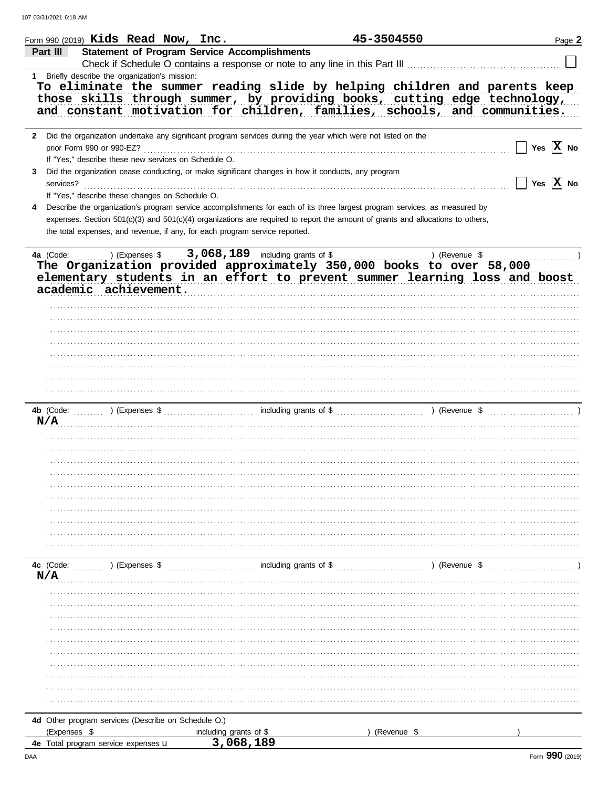| 45-3504550<br>Form 990 (2019) Kids Read Now, Inc.<br><b>Statement of Program Service Accomplishments</b><br>1 Briefly describe the organization's mission:<br>To eliminate the summer reading slide by helping children and parents keep<br>those skills through summer, by providing books, cutting edge technology,<br>and constant motivation for children, families, schools, and communities.<br>2 Did the organization undertake any significant program services during the year which were not listed on the<br>prior Form 990 or 990-EZ?<br>If "Yes," describe these new services on Schedule O.<br>Did the organization cease conducting, or make significant changes in how it conducts, any program<br>services?<br>If "Yes," describe these changes on Schedule O.<br>Describe the organization's program service accomplishments for each of its three largest program services, as measured by<br>expenses. Section 501(c)(3) and 501(c)(4) organizations are required to report the amount of grants and allocations to others,<br>the total expenses, and revenue, if any, for each program service reported.<br>) (Expenses $$3,068,189$ including grants of \$<br>) (Revenue \$<br>The Organization provided approximately 350,000 books to over 58,000<br>elementary students in an effort to prevent summer learning loss and boost<br>academic achievement.<br>N/A | Page 2                                              |                        |               |                                    |
|------------------------------------------------------------------------------------------------------------------------------------------------------------------------------------------------------------------------------------------------------------------------------------------------------------------------------------------------------------------------------------------------------------------------------------------------------------------------------------------------------------------------------------------------------------------------------------------------------------------------------------------------------------------------------------------------------------------------------------------------------------------------------------------------------------------------------------------------------------------------------------------------------------------------------------------------------------------------------------------------------------------------------------------------------------------------------------------------------------------------------------------------------------------------------------------------------------------------------------------------------------------------------------------------------------------------------------------------------------------------------------------|-----------------------------------------------------|------------------------|---------------|------------------------------------|
| Part III                                                                                                                                                                                                                                                                                                                                                                                                                                                                                                                                                                                                                                                                                                                                                                                                                                                                                                                                                                                                                                                                                                                                                                                                                                                                                                                                                                                 |                                                     |                        |               |                                    |
|                                                                                                                                                                                                                                                                                                                                                                                                                                                                                                                                                                                                                                                                                                                                                                                                                                                                                                                                                                                                                                                                                                                                                                                                                                                                                                                                                                                          |                                                     |                        |               |                                    |
|                                                                                                                                                                                                                                                                                                                                                                                                                                                                                                                                                                                                                                                                                                                                                                                                                                                                                                                                                                                                                                                                                                                                                                                                                                                                                                                                                                                          |                                                     |                        |               |                                    |
|                                                                                                                                                                                                                                                                                                                                                                                                                                                                                                                                                                                                                                                                                                                                                                                                                                                                                                                                                                                                                                                                                                                                                                                                                                                                                                                                                                                          |                                                     |                        |               |                                    |
|                                                                                                                                                                                                                                                                                                                                                                                                                                                                                                                                                                                                                                                                                                                                                                                                                                                                                                                                                                                                                                                                                                                                                                                                                                                                                                                                                                                          |                                                     |                        |               |                                    |
|                                                                                                                                                                                                                                                                                                                                                                                                                                                                                                                                                                                                                                                                                                                                                                                                                                                                                                                                                                                                                                                                                                                                                                                                                                                                                                                                                                                          |                                                     |                        |               | Yes $\overline{X}$ No              |
|                                                                                                                                                                                                                                                                                                                                                                                                                                                                                                                                                                                                                                                                                                                                                                                                                                                                                                                                                                                                                                                                                                                                                                                                                                                                                                                                                                                          |                                                     |                        |               |                                    |
|                                                                                                                                                                                                                                                                                                                                                                                                                                                                                                                                                                                                                                                                                                                                                                                                                                                                                                                                                                                                                                                                                                                                                                                                                                                                                                                                                                                          |                                                     |                        |               |                                    |
|                                                                                                                                                                                                                                                                                                                                                                                                                                                                                                                                                                                                                                                                                                                                                                                                                                                                                                                                                                                                                                                                                                                                                                                                                                                                                                                                                                                          |                                                     |                        |               | $\Box$ Yes $\boxed{\mathrm{X}}$ No |
|                                                                                                                                                                                                                                                                                                                                                                                                                                                                                                                                                                                                                                                                                                                                                                                                                                                                                                                                                                                                                                                                                                                                                                                                                                                                                                                                                                                          |                                                     |                        |               |                                    |
|                                                                                                                                                                                                                                                                                                                                                                                                                                                                                                                                                                                                                                                                                                                                                                                                                                                                                                                                                                                                                                                                                                                                                                                                                                                                                                                                                                                          |                                                     |                        |               |                                    |
|                                                                                                                                                                                                                                                                                                                                                                                                                                                                                                                                                                                                                                                                                                                                                                                                                                                                                                                                                                                                                                                                                                                                                                                                                                                                                                                                                                                          |                                                     |                        |               |                                    |
|                                                                                                                                                                                                                                                                                                                                                                                                                                                                                                                                                                                                                                                                                                                                                                                                                                                                                                                                                                                                                                                                                                                                                                                                                                                                                                                                                                                          |                                                     |                        |               |                                    |
| 4a (Code:                                                                                                                                                                                                                                                                                                                                                                                                                                                                                                                                                                                                                                                                                                                                                                                                                                                                                                                                                                                                                                                                                                                                                                                                                                                                                                                                                                                |                                                     |                        |               |                                    |
|                                                                                                                                                                                                                                                                                                                                                                                                                                                                                                                                                                                                                                                                                                                                                                                                                                                                                                                                                                                                                                                                                                                                                                                                                                                                                                                                                                                          |                                                     |                        |               |                                    |
|                                                                                                                                                                                                                                                                                                                                                                                                                                                                                                                                                                                                                                                                                                                                                                                                                                                                                                                                                                                                                                                                                                                                                                                                                                                                                                                                                                                          |                                                     |                        |               |                                    |
|                                                                                                                                                                                                                                                                                                                                                                                                                                                                                                                                                                                                                                                                                                                                                                                                                                                                                                                                                                                                                                                                                                                                                                                                                                                                                                                                                                                          |                                                     |                        |               |                                    |
|                                                                                                                                                                                                                                                                                                                                                                                                                                                                                                                                                                                                                                                                                                                                                                                                                                                                                                                                                                                                                                                                                                                                                                                                                                                                                                                                                                                          |                                                     |                        |               |                                    |
|                                                                                                                                                                                                                                                                                                                                                                                                                                                                                                                                                                                                                                                                                                                                                                                                                                                                                                                                                                                                                                                                                                                                                                                                                                                                                                                                                                                          |                                                     |                        |               |                                    |
|                                                                                                                                                                                                                                                                                                                                                                                                                                                                                                                                                                                                                                                                                                                                                                                                                                                                                                                                                                                                                                                                                                                                                                                                                                                                                                                                                                                          |                                                     |                        |               |                                    |
|                                                                                                                                                                                                                                                                                                                                                                                                                                                                                                                                                                                                                                                                                                                                                                                                                                                                                                                                                                                                                                                                                                                                                                                                                                                                                                                                                                                          |                                                     |                        |               |                                    |
|                                                                                                                                                                                                                                                                                                                                                                                                                                                                                                                                                                                                                                                                                                                                                                                                                                                                                                                                                                                                                                                                                                                                                                                                                                                                                                                                                                                          |                                                     |                        |               |                                    |
|                                                                                                                                                                                                                                                                                                                                                                                                                                                                                                                                                                                                                                                                                                                                                                                                                                                                                                                                                                                                                                                                                                                                                                                                                                                                                                                                                                                          |                                                     |                        |               |                                    |
|                                                                                                                                                                                                                                                                                                                                                                                                                                                                                                                                                                                                                                                                                                                                                                                                                                                                                                                                                                                                                                                                                                                                                                                                                                                                                                                                                                                          |                                                     |                        |               |                                    |
|                                                                                                                                                                                                                                                                                                                                                                                                                                                                                                                                                                                                                                                                                                                                                                                                                                                                                                                                                                                                                                                                                                                                                                                                                                                                                                                                                                                          |                                                     |                        |               |                                    |
|                                                                                                                                                                                                                                                                                                                                                                                                                                                                                                                                                                                                                                                                                                                                                                                                                                                                                                                                                                                                                                                                                                                                                                                                                                                                                                                                                                                          |                                                     |                        |               |                                    |
|                                                                                                                                                                                                                                                                                                                                                                                                                                                                                                                                                                                                                                                                                                                                                                                                                                                                                                                                                                                                                                                                                                                                                                                                                                                                                                                                                                                          |                                                     |                        |               |                                    |
|                                                                                                                                                                                                                                                                                                                                                                                                                                                                                                                                                                                                                                                                                                                                                                                                                                                                                                                                                                                                                                                                                                                                                                                                                                                                                                                                                                                          |                                                     |                        |               |                                    |
|                                                                                                                                                                                                                                                                                                                                                                                                                                                                                                                                                                                                                                                                                                                                                                                                                                                                                                                                                                                                                                                                                                                                                                                                                                                                                                                                                                                          |                                                     |                        |               |                                    |
|                                                                                                                                                                                                                                                                                                                                                                                                                                                                                                                                                                                                                                                                                                                                                                                                                                                                                                                                                                                                                                                                                                                                                                                                                                                                                                                                                                                          |                                                     |                        |               |                                    |
|                                                                                                                                                                                                                                                                                                                                                                                                                                                                                                                                                                                                                                                                                                                                                                                                                                                                                                                                                                                                                                                                                                                                                                                                                                                                                                                                                                                          |                                                     |                        |               |                                    |
|                                                                                                                                                                                                                                                                                                                                                                                                                                                                                                                                                                                                                                                                                                                                                                                                                                                                                                                                                                                                                                                                                                                                                                                                                                                                                                                                                                                          |                                                     |                        |               |                                    |
|                                                                                                                                                                                                                                                                                                                                                                                                                                                                                                                                                                                                                                                                                                                                                                                                                                                                                                                                                                                                                                                                                                                                                                                                                                                                                                                                                                                          |                                                     |                        |               |                                    |
|                                                                                                                                                                                                                                                                                                                                                                                                                                                                                                                                                                                                                                                                                                                                                                                                                                                                                                                                                                                                                                                                                                                                                                                                                                                                                                                                                                                          |                                                     |                        |               |                                    |
|                                                                                                                                                                                                                                                                                                                                                                                                                                                                                                                                                                                                                                                                                                                                                                                                                                                                                                                                                                                                                                                                                                                                                                                                                                                                                                                                                                                          |                                                     |                        |               |                                    |
|                                                                                                                                                                                                                                                                                                                                                                                                                                                                                                                                                                                                                                                                                                                                                                                                                                                                                                                                                                                                                                                                                                                                                                                                                                                                                                                                                                                          |                                                     |                        |               |                                    |
|                                                                                                                                                                                                                                                                                                                                                                                                                                                                                                                                                                                                                                                                                                                                                                                                                                                                                                                                                                                                                                                                                                                                                                                                                                                                                                                                                                                          |                                                     |                        |               |                                    |
|                                                                                                                                                                                                                                                                                                                                                                                                                                                                                                                                                                                                                                                                                                                                                                                                                                                                                                                                                                                                                                                                                                                                                                                                                                                                                                                                                                                          |                                                     |                        |               |                                    |
| 4c (Code:<br>N/A                                                                                                                                                                                                                                                                                                                                                                                                                                                                                                                                                                                                                                                                                                                                                                                                                                                                                                                                                                                                                                                                                                                                                                                                                                                                                                                                                                         | ) (Expenses \$                                      | including grants of \$ | ) (Revenue \$ |                                    |
|                                                                                                                                                                                                                                                                                                                                                                                                                                                                                                                                                                                                                                                                                                                                                                                                                                                                                                                                                                                                                                                                                                                                                                                                                                                                                                                                                                                          |                                                     |                        |               |                                    |
|                                                                                                                                                                                                                                                                                                                                                                                                                                                                                                                                                                                                                                                                                                                                                                                                                                                                                                                                                                                                                                                                                                                                                                                                                                                                                                                                                                                          |                                                     |                        |               |                                    |
|                                                                                                                                                                                                                                                                                                                                                                                                                                                                                                                                                                                                                                                                                                                                                                                                                                                                                                                                                                                                                                                                                                                                                                                                                                                                                                                                                                                          |                                                     |                        |               |                                    |
|                                                                                                                                                                                                                                                                                                                                                                                                                                                                                                                                                                                                                                                                                                                                                                                                                                                                                                                                                                                                                                                                                                                                                                                                                                                                                                                                                                                          |                                                     |                        |               |                                    |
|                                                                                                                                                                                                                                                                                                                                                                                                                                                                                                                                                                                                                                                                                                                                                                                                                                                                                                                                                                                                                                                                                                                                                                                                                                                                                                                                                                                          |                                                     |                        |               |                                    |
|                                                                                                                                                                                                                                                                                                                                                                                                                                                                                                                                                                                                                                                                                                                                                                                                                                                                                                                                                                                                                                                                                                                                                                                                                                                                                                                                                                                          |                                                     |                        |               |                                    |
|                                                                                                                                                                                                                                                                                                                                                                                                                                                                                                                                                                                                                                                                                                                                                                                                                                                                                                                                                                                                                                                                                                                                                                                                                                                                                                                                                                                          |                                                     |                        |               |                                    |
|                                                                                                                                                                                                                                                                                                                                                                                                                                                                                                                                                                                                                                                                                                                                                                                                                                                                                                                                                                                                                                                                                                                                                                                                                                                                                                                                                                                          |                                                     |                        |               |                                    |
|                                                                                                                                                                                                                                                                                                                                                                                                                                                                                                                                                                                                                                                                                                                                                                                                                                                                                                                                                                                                                                                                                                                                                                                                                                                                                                                                                                                          |                                                     |                        |               |                                    |
|                                                                                                                                                                                                                                                                                                                                                                                                                                                                                                                                                                                                                                                                                                                                                                                                                                                                                                                                                                                                                                                                                                                                                                                                                                                                                                                                                                                          |                                                     |                        |               |                                    |
|                                                                                                                                                                                                                                                                                                                                                                                                                                                                                                                                                                                                                                                                                                                                                                                                                                                                                                                                                                                                                                                                                                                                                                                                                                                                                                                                                                                          |                                                     |                        |               |                                    |
|                                                                                                                                                                                                                                                                                                                                                                                                                                                                                                                                                                                                                                                                                                                                                                                                                                                                                                                                                                                                                                                                                                                                                                                                                                                                                                                                                                                          | 4d Other program services (Describe on Schedule O.) |                        |               |                                    |
| (Expenses \$                                                                                                                                                                                                                                                                                                                                                                                                                                                                                                                                                                                                                                                                                                                                                                                                                                                                                                                                                                                                                                                                                                                                                                                                                                                                                                                                                                             |                                                     | including grants of \$ | (Revenue \$   |                                    |
| 4e Total program service expenses <b>U</b>                                                                                                                                                                                                                                                                                                                                                                                                                                                                                                                                                                                                                                                                                                                                                                                                                                                                                                                                                                                                                                                                                                                                                                                                                                                                                                                                               |                                                     | 3,068,189              |               |                                    |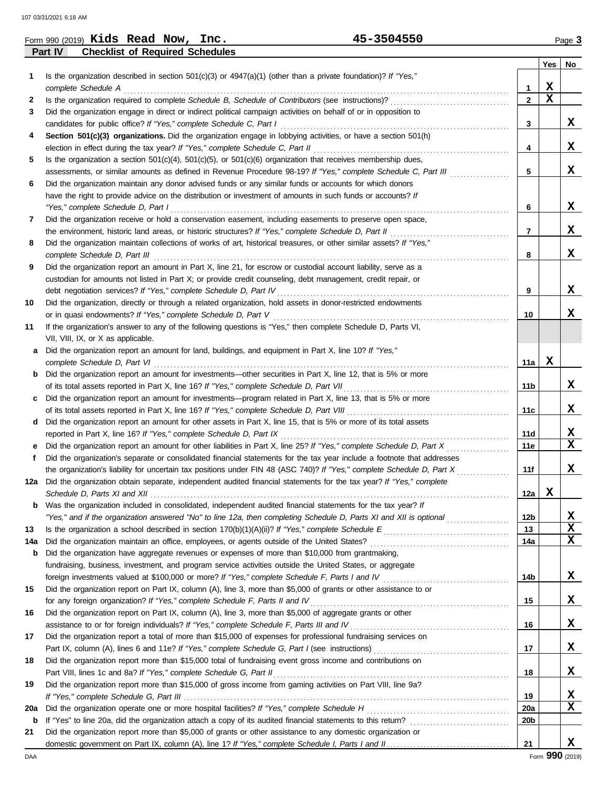|     | Part IV<br><b>Checklist of Required Schedules</b>                                                                       |                 |             |                  |
|-----|-------------------------------------------------------------------------------------------------------------------------|-----------------|-------------|------------------|
|     |                                                                                                                         |                 | Yes         | No               |
| 1   | Is the organization described in section $501(c)(3)$ or $4947(a)(1)$ (other than a private foundation)? If "Yes,"       |                 |             |                  |
|     | complete Schedule A                                                                                                     | 1               | X           |                  |
| 2   |                                                                                                                         | $\mathbf{2}$    | $\mathbf x$ |                  |
| 3   | Did the organization engage in direct or indirect political campaign activities on behalf of or in opposition to        |                 |             |                  |
|     | candidates for public office? If "Yes," complete Schedule C, Part I                                                     | 3               |             | X                |
| 4   | Section 501(c)(3) organizations. Did the organization engage in lobbying activities, or have a section 501(h)           |                 |             |                  |
|     | election in effect during the tax year? If "Yes," complete Schedule C, Part II                                          | 4               |             | X                |
| 5   | Is the organization a section $501(c)(4)$ , $501(c)(5)$ , or $501(c)(6)$ organization that receives membership dues,    |                 |             |                  |
|     | assessments, or similar amounts as defined in Revenue Procedure 98-19? If "Yes," complete Schedule C, Part III          | 5               |             | X                |
| 6   | Did the organization maintain any donor advised funds or any similar funds or accounts for which donors                 |                 |             |                  |
|     | have the right to provide advice on the distribution or investment of amounts in such funds or accounts? If             |                 |             |                  |
|     | "Yes," complete Schedule D, Part I                                                                                      | 6               |             | x                |
| 7   | Did the organization receive or hold a conservation easement, including easements to preserve open space,               |                 |             |                  |
|     | the environment, historic land areas, or historic structures? If "Yes," complete Schedule D, Part II                    | 7               |             | x                |
| 8   | Did the organization maintain collections of works of art, historical treasures, or other similar assets? If "Yes,"     |                 |             |                  |
|     | complete Schedule D, Part III                                                                                           | 8               |             | x                |
| 9   | Did the organization report an amount in Part X, line 21, for escrow or custodial account liability, serve as a         |                 |             |                  |
|     | custodian for amounts not listed in Part X; or provide credit counseling, debt management, credit repair, or            |                 |             |                  |
|     | debt negotiation services? If "Yes," complete Schedule D, Part IV                                                       | 9               |             | x                |
| 10  | Did the organization, directly or through a related organization, hold assets in donor-restricted endowments            |                 |             |                  |
|     | or in quasi endowments? If "Yes," complete Schedule D, Part V                                                           | 10              |             | x                |
| 11  | If the organization's answer to any of the following questions is "Yes," then complete Schedule D, Parts VI,            |                 |             |                  |
|     | VII, VIII, IX, or X as applicable.                                                                                      |                 |             |                  |
|     | Did the organization report an amount for land, buildings, and equipment in Part X, line 10? If "Yes,"                  |                 |             |                  |
| а   | complete Schedule D, Part VI                                                                                            | 11a             | х           |                  |
|     | Did the organization report an amount for investments—other securities in Part X, line 12, that is 5% or more           |                 |             |                  |
| b   |                                                                                                                         | 11b             |             | x                |
|     | of its total assets reported in Part X, line 16? If "Yes," complete Schedule D, Part VII                                |                 |             |                  |
| c   | Did the organization report an amount for investments—program related in Part X, line 13, that is 5% or more            |                 |             | x                |
|     | of its total assets reported in Part X, line 16? If "Yes," complete Schedule D, Part VIII                               | 11c             |             |                  |
| d   | Did the organization report an amount for other assets in Part X, line 15, that is 5% or more of its total assets       |                 |             |                  |
|     | reported in Part X, line 16? If "Yes," complete Schedule D, Part IX                                                     | 11d             |             | X<br>$\mathbf x$ |
| е   | Did the organization report an amount for other liabilities in Part X, line 25? If "Yes," complete Schedule D, Part X   | 11e             |             |                  |
| f   | Did the organization's separate or consolidated financial statements for the tax year include a footnote that addresses |                 |             |                  |
|     | the organization's liability for uncertain tax positions under FIN 48 (ASC 740)? If "Yes," complete Schedule D, Part X  | 11f             |             | x                |
| 12a | Did the organization obtain separate, independent audited financial statements for the tax year? If "Yes," complete     |                 |             |                  |
|     | Schedule D, Parts XI and XII                                                                                            | 12a             | х           |                  |
| b   | Was the organization included in consolidated, independent audited financial statements for the tax year? If            |                 |             |                  |
|     | "Yes," and if the organization answered "No" to line 12a, then completing Schedule D, Parts XI and XII is optional      | 12b             |             | X                |
| 13  |                                                                                                                         | 13              |             | х                |
| 14a | Did the organization maintain an office, employees, or agents outside of the United States?                             | 14a             |             | x                |
| b   | Did the organization have aggregate revenues or expenses of more than \$10,000 from grantmaking,                        |                 |             |                  |
|     | fundraising, business, investment, and program service activities outside the United States, or aggregate               |                 |             |                  |
|     | foreign investments valued at \$100,000 or more? If "Yes," complete Schedule F, Parts I and IV [[[[[[[[[[[[[[[          | 14b             |             | x                |
| 15  | Did the organization report on Part IX, column (A), line 3, more than \$5,000 of grants or other assistance to or       |                 |             |                  |
|     | for any foreign organization? If "Yes," complete Schedule F, Parts II and IV                                            | 15              |             | X                |
| 16  | Did the organization report on Part IX, column (A), line 3, more than \$5,000 of aggregate grants or other              |                 |             |                  |
|     | assistance to or for foreign individuals? If "Yes," complete Schedule F, Parts III and IV                               | 16              |             | X                |
| 17  | Did the organization report a total of more than \$15,000 of expenses for professional fundraising services on          |                 |             |                  |
|     |                                                                                                                         | 17              |             | X                |
| 18  | Did the organization report more than \$15,000 total of fundraising event gross income and contributions on             |                 |             |                  |
|     | Part VIII, lines 1c and 8a? If "Yes," complete Schedule G, Part II                                                      | 18              |             | X                |
| 19  | Did the organization report more than \$15,000 of gross income from gaming activities on Part VIII, line 9a?            |                 |             |                  |
|     |                                                                                                                         | 19              |             | X                |
| 20a | Did the organization operate one or more hospital facilities? If "Yes," complete Schedule H                             | 20a             |             | x                |
| b   |                                                                                                                         | 20 <sub>b</sub> |             |                  |
| 21  | Did the organization report more than \$5,000 of grants or other assistance to any domestic organization or             |                 |             |                  |
|     |                                                                                                                         | 21              |             | x                |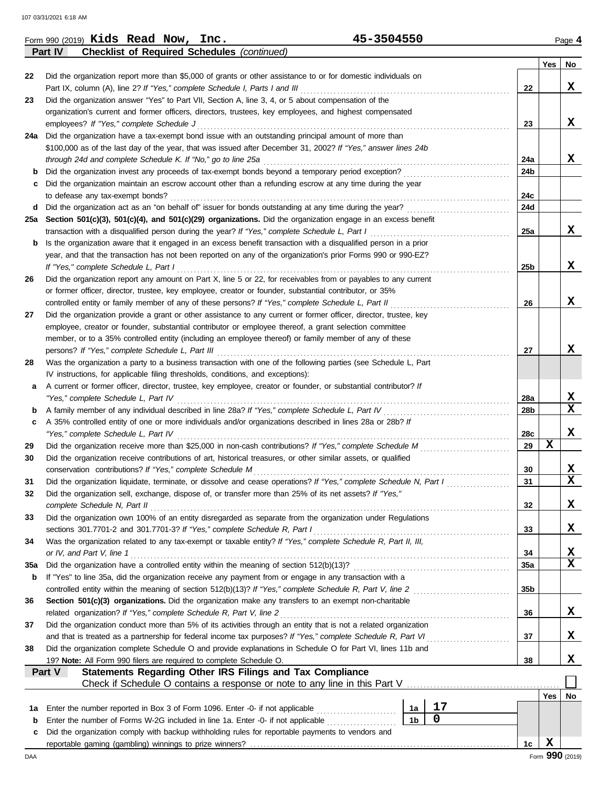|          | 45-3504550<br>Form 990 (2019) Kids Read Now, Inc.                                                                                                   |                |             |                 |             | Page 4                  |
|----------|-----------------------------------------------------------------------------------------------------------------------------------------------------|----------------|-------------|-----------------|-------------|-------------------------|
|          | <b>Checklist of Required Schedules (continued)</b><br>Part IV                                                                                       |                |             |                 |             |                         |
|          |                                                                                                                                                     |                |             |                 | Yes         | No                      |
| 22       | Did the organization report more than \$5,000 of grants or other assistance to or for domestic individuals on                                       |                |             |                 |             |                         |
|          | Part IX, column (A), line 2? If "Yes," complete Schedule I, Parts I and III                                                                         |                |             | 22              |             | X                       |
| 23       | Did the organization answer "Yes" to Part VII, Section A, line 3, 4, or 5 about compensation of the                                                 |                |             |                 |             |                         |
|          | organization's current and former officers, directors, trustees, key employees, and highest compensated                                             |                |             |                 |             | X                       |
|          | employees? If "Yes," complete Schedule J<br>24a Did the organization have a tax-exempt bond issue with an outstanding principal amount of more than |                |             | 23              |             |                         |
|          | \$100,000 as of the last day of the year, that was issued after December 31, 2002? If "Yes," answer lines 24b                                       |                |             |                 |             |                         |
|          | through 24d and complete Schedule K. If "No," go to line 25a                                                                                        |                |             | 24a             |             | x                       |
| b        | Did the organization invest any proceeds of tax-exempt bonds beyond a temporary period exception?                                                   |                |             | 24b             |             |                         |
| c        | Did the organization maintain an escrow account other than a refunding escrow at any time during the year                                           |                |             |                 |             |                         |
|          | to defease any tax-exempt bonds?                                                                                                                    |                |             | 24c             |             |                         |
| d        | Did the organization act as an "on behalf of" issuer for bonds outstanding at any time during the year?                                             |                |             | 24d             |             |                         |
|          | 25a Section 501(c)(3), 501(c)(4), and 501(c)(29) organizations. Did the organization engage in an excess benefit                                    |                |             |                 |             |                         |
|          | transaction with a disqualified person during the year? If "Yes," complete Schedule L, Part I                                                       |                |             | 25a             |             | x                       |
| b        | Is the organization aware that it engaged in an excess benefit transaction with a disqualified person in a prior                                    |                |             |                 |             |                         |
|          | year, and that the transaction has not been reported on any of the organization's prior Forms 990 or 990-EZ?                                        |                |             |                 |             |                         |
|          | If "Yes," complete Schedule L, Part I                                                                                                               |                |             | 25b             |             | X                       |
| 26       | Did the organization report any amount on Part X, line 5 or 22, for receivables from or payables to any current                                     |                |             |                 |             |                         |
|          | or former officer, director, trustee, key employee, creator or founder, substantial contributor, or 35%                                             |                |             |                 |             |                         |
|          | controlled entity or family member of any of these persons? If "Yes," complete Schedule L, Part II                                                  |                |             | 26              |             | X                       |
| 27       | Did the organization provide a grant or other assistance to any current or former officer, director, trustee, key                                   |                |             |                 |             |                         |
|          | employee, creator or founder, substantial contributor or employee thereof, a grant selection committee                                              |                |             |                 |             |                         |
|          | member, or to a 35% controlled entity (including an employee thereof) or family member of any of these                                              |                |             |                 |             |                         |
|          | persons? If "Yes," complete Schedule L, Part III                                                                                                    |                |             | 27              |             | x                       |
| 28       | Was the organization a party to a business transaction with one of the following parties (see Schedule L, Part                                      |                |             |                 |             |                         |
|          | IV instructions, for applicable filing thresholds, conditions, and exceptions):                                                                     |                |             |                 |             |                         |
| а        | A current or former officer, director, trustee, key employee, creator or founder, or substantial contributor? If                                    |                |             |                 |             |                         |
|          | "Yes," complete Schedule L, Part IV                                                                                                                 | .              |             | 28a             |             | x                       |
| b        | A family member of any individual described in line 28a? If "Yes," complete Schedule L, Part IV                                                     |                |             | 28b             |             | X                       |
| c        | A 35% controlled entity of one or more individuals and/or organizations described in lines 28a or 28b? If                                           |                |             |                 |             | x                       |
|          | "Yes," complete Schedule L, Part IV<br>Did the organization receive more than \$25,000 in non-cash contributions? If "Yes," complete Schedule M     |                |             | 28c<br>29       | $\mathbf x$ |                         |
| 29<br>30 | Did the organization receive contributions of art, historical treasures, or other similar assets, or qualified                                      |                |             |                 |             |                         |
|          |                                                                                                                                                     |                |             | 30              |             | X                       |
| 31       | Did the organization liquidate, terminate, or dissolve and cease operations? If "Yes," complete Schedule N, Part I                                  |                |             | 31              |             | $\overline{\mathbf{x}}$ |
| 32       | Did the organization sell, exchange, dispose of, or transfer more than 25% of its net assets? If "Yes,"                                             |                |             |                 |             |                         |
|          | complete Schedule N, Part II                                                                                                                        |                |             | 32              |             | x                       |
| 33       | Did the organization own 100% of an entity disregarded as separate from the organization under Regulations                                          |                |             |                 |             |                         |
|          | sections 301.7701-2 and 301.7701-3? If "Yes," complete Schedule R, Part I                                                                           |                |             | 33              |             | X                       |
| 34       | Was the organization related to any tax-exempt or taxable entity? If "Yes," complete Schedule R, Part II, III,                                      |                |             |                 |             |                         |
|          | or IV, and Part V, line 1                                                                                                                           |                |             | 34              |             | X                       |
| 35a      | Did the organization have a controlled entity within the meaning of section 512(b)(13)?                                                             |                |             | 35a             |             | X                       |
| b        | If "Yes" to line 35a, did the organization receive any payment from or engage in any transaction with a                                             |                |             |                 |             |                         |
|          | controlled entity within the meaning of section 512(b)(13)? If "Yes," complete Schedule R, Part V, line 2                                           |                |             | 35 <sub>b</sub> |             |                         |
| 36       | Section 501(c)(3) organizations. Did the organization make any transfers to an exempt non-charitable                                                |                |             |                 |             |                         |
|          | related organization? If "Yes," complete Schedule R, Part V, line 2                                                                                 |                |             | 36              |             | x                       |
| 37       | Did the organization conduct more than 5% of its activities through an entity that is not a related organization                                    |                |             |                 |             |                         |
|          | and that is treated as a partnership for federal income tax purposes? If "Yes," complete Schedule R, Part VI                                        |                |             | 37              |             | X                       |
| 38       | Did the organization complete Schedule O and provide explanations in Schedule O for Part VI, lines 11b and                                          |                |             |                 |             |                         |
|          | 19? Note: All Form 990 filers are required to complete Schedule O.                                                                                  |                |             | 38              |             | X                       |
|          | Statements Regarding Other IRS Filings and Tax Compliance<br>Part V                                                                                 |                |             |                 |             |                         |
|          | Check if Schedule O contains a response or note to any line in this Part V                                                                          |                |             |                 |             |                         |
|          |                                                                                                                                                     |                |             |                 | Yes         | No                      |
| 1a       | Enter the number reported in Box 3 of Form 1096. Enter -0- if not applicable                                                                        | 1a             | 17          |                 |             |                         |
| b        | Enter the number of Forms W-2G included in line 1a. Enter -0- if not applicable                                                                     | 1 <sub>b</sub> | $\mathbf 0$ |                 |             |                         |
| c        | Did the organization comply with backup withholding rules for reportable payments to vendors and                                                    |                |             |                 | X           |                         |
|          |                                                                                                                                                     |                |             | 1c              |             |                         |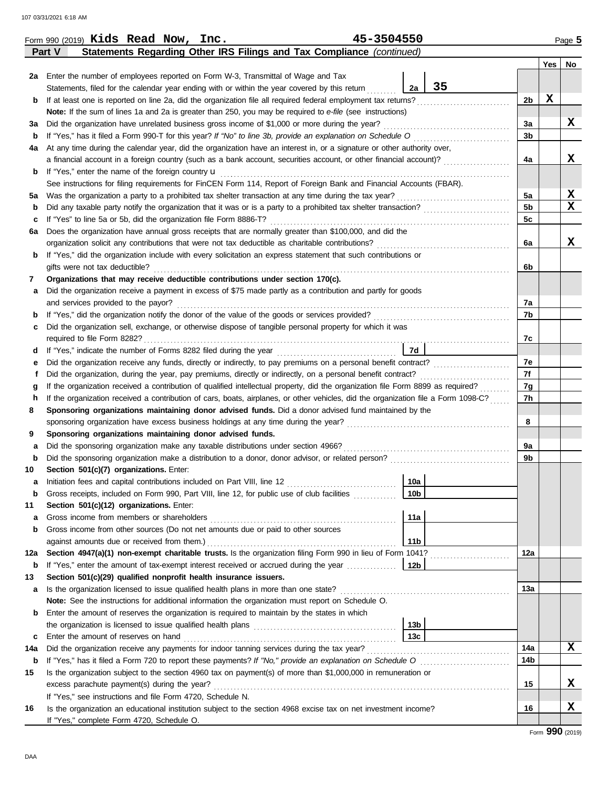|     | Statements Regarding Other IRS Filings and Tax Compliance (continued)<br>Part V                                                    |                 |    |                |     |    |
|-----|------------------------------------------------------------------------------------------------------------------------------------|-----------------|----|----------------|-----|----|
|     |                                                                                                                                    |                 |    |                | Yes | No |
| 2a  | Enter the number of employees reported on Form W-3, Transmittal of Wage and Tax                                                    |                 |    |                |     |    |
|     | Statements, filed for the calendar year ending with or within the year covered by this return                                      | 2a              | 35 |                |     |    |
| b   | If at least one is reported on line 2a, did the organization file all required federal employment tax returns?                     |                 |    | 2b             | X   |    |
|     | Note: If the sum of lines 1a and 2a is greater than 250, you may be required to e-file (see instructions)                          |                 |    |                |     |    |
| За  | Did the organization have unrelated business gross income of \$1,000 or more during the year?                                      |                 |    | За             |     | X  |
| b   |                                                                                                                                    |                 |    | 3b             |     |    |
| 4a  | At any time during the calendar year, did the organization have an interest in, or a signature or other authority over,            |                 |    |                |     |    |
|     | a financial account in a foreign country (such as a bank account, securities account, or other financial account)?                 |                 |    | 4a             |     | x  |
| b   | If "Yes," enter the name of the foreign country $\boldsymbol{\cup}$                                                                |                 |    |                |     |    |
|     | See instructions for filing requirements for FinCEN Form 114, Report of Foreign Bank and Financial Accounts (FBAR).                |                 |    |                |     |    |
| 5а  | Was the organization a party to a prohibited tax shelter transaction at any time during the tax year?                              |                 |    | 5a             |     | X  |
| b   |                                                                                                                                    |                 |    | 5 <sub>b</sub> |     | X  |
| с   | If "Yes" to line 5a or 5b, did the organization file Form 8886-T?                                                                  |                 |    | 5c             |     |    |
| 6а  | Does the organization have annual gross receipts that are normally greater than \$100,000, and did the                             |                 |    |                |     |    |
|     | organization solicit any contributions that were not tax deductible as charitable contributions?                                   |                 |    | 6a             |     | x  |
| b   | If "Yes," did the organization include with every solicitation an express statement that such contributions or                     |                 |    |                |     |    |
|     | gifts were not tax deductible?                                                                                                     |                 |    | 6b             |     |    |
| 7   | Organizations that may receive deductible contributions under section 170(c).                                                      |                 |    |                |     |    |
| а   | Did the organization receive a payment in excess of \$75 made partly as a contribution and partly for goods                        |                 |    |                |     |    |
|     | and services provided to the payor?                                                                                                |                 |    | 7a             |     |    |
| b   |                                                                                                                                    |                 |    | 7b             |     |    |
| c   | Did the organization sell, exchange, or otherwise dispose of tangible personal property for which it was                           |                 |    |                |     |    |
|     | required to file Form 8282?                                                                                                        |                 |    | 7c             |     |    |
| d   |                                                                                                                                    | 7d              |    |                |     |    |
| е   |                                                                                                                                    |                 |    | 7e             |     |    |
| f   | Did the organization, during the year, pay premiums, directly or indirectly, on a personal benefit contract?                       |                 |    | 7f             |     |    |
| g   | If the organization received a contribution of qualified intellectual property, did the organization file Form 8899 as required?   |                 |    | 7g             |     |    |
| h   | If the organization received a contribution of cars, boats, airplanes, or other vehicles, did the organization file a Form 1098-C? |                 |    | 7h             |     |    |
| 8   | Sponsoring organizations maintaining donor advised funds. Did a donor advised fund maintained by the                               |                 |    |                |     |    |
|     |                                                                                                                                    |                 |    | 8              |     |    |
| 9   | Sponsoring organizations maintaining donor advised funds.                                                                          |                 |    |                |     |    |
| а   | Did the sponsoring organization make any taxable distributions under section 4966?                                                 |                 |    | 9a             |     |    |
| b   |                                                                                                                                    |                 |    | 9b             |     |    |
| 10  | Section 501(c)(7) organizations. Enter:                                                                                            |                 |    |                |     |    |
| а   |                                                                                                                                    | 10a             |    |                |     |    |
|     | Gross receipts, included on Form 990, Part VIII, line 12, for public use of club facilities                                        | 10 <sub>b</sub> |    |                |     |    |
| 11  | Section 501(c)(12) organizations. Enter:                                                                                           |                 |    |                |     |    |
| a   | Gross income from members or shareholders                                                                                          | 11a             |    |                |     |    |
| b   | Gross income from other sources (Do not net amounts due or paid to other sources                                                   |                 |    |                |     |    |
|     | against amounts due or received from them.)                                                                                        | 11 <sub>b</sub> |    |                |     |    |
| 12a | Section 4947(a)(1) non-exempt charitable trusts. Is the organization filing Form 990 in lieu of Form 1041?                         |                 |    | 12a            |     |    |
| b   | If "Yes," enter the amount of tax-exempt interest received or accrued during the year                                              | 12b             |    |                |     |    |
| 13  | Section 501(c)(29) qualified nonprofit health insurance issuers.                                                                   |                 |    |                |     |    |
| а   | Is the organization licensed to issue qualified health plans in more than one state?                                               |                 |    | 13а            |     |    |
|     | Note: See the instructions for additional information the organization must report on Schedule O.                                  |                 |    |                |     |    |
| b   | Enter the amount of reserves the organization is required to maintain by the states in which                                       |                 |    |                |     |    |
|     |                                                                                                                                    | 13 <sub>b</sub> |    |                |     |    |
| c   | Enter the amount of reserves on hand                                                                                               | 13 <sub>c</sub> |    |                |     |    |
| 14a | Did the organization receive any payments for indoor tanning services during the tax year?                                         |                 |    | 14a            |     | x  |
| b   |                                                                                                                                    |                 |    | 14b            |     |    |
| 15  | Is the organization subject to the section 4960 tax on payment(s) of more than \$1,000,000 in remuneration or                      |                 |    |                |     |    |
|     | excess parachute payment(s) during the year?                                                                                       |                 |    | 15             |     | x  |
|     | If "Yes," see instructions and file Form 4720, Schedule N.                                                                         |                 |    |                |     |    |
| 16  | Is the organization an educational institution subject to the section 4968 excise tax on net investment income?                    |                 |    | 16             |     | x  |
|     | If "Yes," complete Form 4720, Schedule O.                                                                                          |                 |    |                |     |    |
|     |                                                                                                                                    |                 |    |                | ^^^ |    |

Form 990 (2019) Page **5 Kids Read Now, Inc. 45-3504550**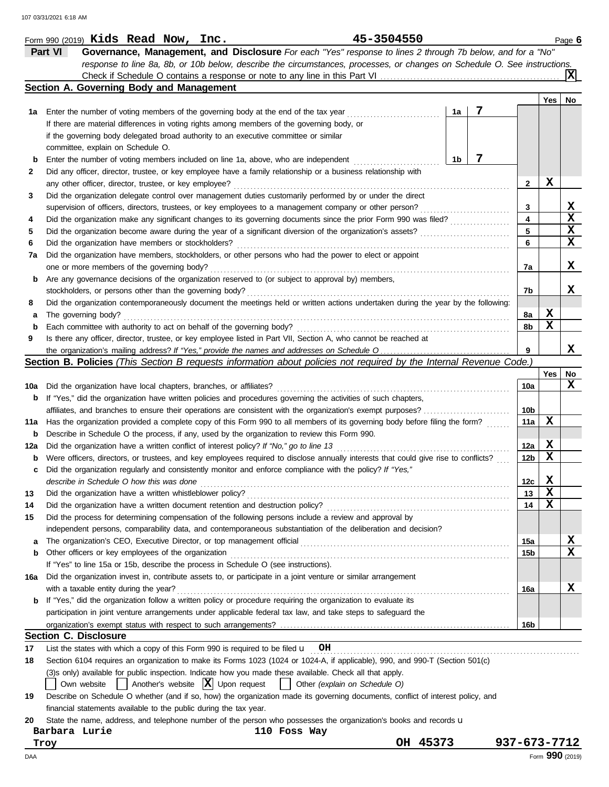|     | 45-3504550<br>Form 990 (2019) $Kids$ Read Now, Inc.                                                                                                                                          |                 |                 | Page 6      |
|-----|----------------------------------------------------------------------------------------------------------------------------------------------------------------------------------------------|-----------------|-----------------|-------------|
|     | Part VI<br>Governance, Management, and Disclosure For each "Yes" response to lines 2 through 7b below, and for a "No"                                                                        |                 |                 |             |
|     | response to line 8a, 8b, or 10b below, describe the circumstances, processes, or changes on Schedule O. See instructions.                                                                    |                 |                 |             |
|     |                                                                                                                                                                                              |                 |                 | ΙxΙ         |
|     | Section A. Governing Body and Management                                                                                                                                                     |                 |                 |             |
|     |                                                                                                                                                                                              |                 | Yes             | No          |
| 1а  | 7<br>1a<br>Enter the number of voting members of the governing body at the end of the tax year                                                                                               |                 |                 |             |
|     | If there are material differences in voting rights among members of the governing body, or                                                                                                   |                 |                 |             |
|     | if the governing body delegated broad authority to an executive committee or similar                                                                                                         |                 |                 |             |
|     | committee, explain on Schedule O.                                                                                                                                                            |                 |                 |             |
| b   | 7<br>1b<br>Enter the number of voting members included on line 1a, above, who are independent                                                                                                |                 |                 |             |
| 2   | Did any officer, director, trustee, or key employee have a family relationship or a business relationship with                                                                               |                 |                 |             |
|     | any other officer, director, trustee, or key employee?                                                                                                                                       | 2               | X               |             |
| 3   | Did the organization delegate control over management duties customarily performed by or under the direct                                                                                    |                 |                 |             |
|     | supervision of officers, directors, trustees, or key employees to a management company or other person?                                                                                      | 3               |                 | X           |
| 4   | Did the organization make any significant changes to its governing documents since the prior Form 990 was filed?                                                                             | 4               |                 | $\mathbf x$ |
| 5   | Did the organization become aware during the year of a significant diversion of the organization's assets?                                                                                   | 5               |                 | $\mathbf x$ |
| 6   | Did the organization have members or stockholders?                                                                                                                                           | 6               |                 | X           |
| 7a  | .<br>Did the organization have members, stockholders, or other persons who had the power to elect or appoint                                                                                 |                 |                 |             |
|     | one or more members of the governing body?                                                                                                                                                   | 7a              |                 | X           |
|     | Are any governance decisions of the organization reserved to (or subject to approval by) members,                                                                                            |                 |                 |             |
| b   |                                                                                                                                                                                              | 7b              |                 | x           |
|     | stockholders, or persons other than the governing body?<br>Did the organization contemporaneously document the meetings held or written actions undertaken during the year by the following: |                 |                 |             |
| 8   |                                                                                                                                                                                              |                 | х               |             |
| а   | The governing body?                                                                                                                                                                          | 8а              | x               |             |
| b   | Each committee with authority to act on behalf of the governing body?                                                                                                                        | 8b              |                 |             |
| 9   | Is there any officer, director, trustee, or key employee listed in Part VII, Section A, who cannot be reached at                                                                             |                 |                 | x           |
|     |                                                                                                                                                                                              | 9               |                 |             |
|     | <b>Section B. Policies</b> (This Section B requests information about policies not required by the Internal Revenue Code.)                                                                   |                 |                 |             |
|     |                                                                                                                                                                                              |                 | Yes             | No<br>X     |
| 10a | Did the organization have local chapters, branches, or affiliates?                                                                                                                           | 10a             |                 |             |
| b   | If "Yes," did the organization have written policies and procedures governing the activities of such chapters,                                                                               |                 |                 |             |
|     |                                                                                                                                                                                              | 10b             |                 |             |
| 11a | Has the organization provided a complete copy of this Form 990 to all members of its governing body before filing the form?                                                                  | 11a             | х               |             |
| b   | Describe in Schedule O the process, if any, used by the organization to review this Form 990.                                                                                                |                 |                 |             |
| 12a | Did the organization have a written conflict of interest policy? If "No," go to line 13                                                                                                      | 12a             | X               |             |
| b   | Were officers, directors, or trustees, and key employees required to disclose annually interests that could give rise to conflicts?                                                          | 12 <sub>b</sub> | X               |             |
| c   | Did the organization regularly and consistently monitor and enforce compliance with the policy? If "Yes,"                                                                                    |                 |                 |             |
|     | describe in Schedule O how this was done                                                                                                                                                     | 12 <sub>c</sub> | X               |             |
| 13  | Did the organization have a written whistleblower policy?                                                                                                                                    | 13              | X               |             |
| 14  | Did the organization have a written document retention and destruction policy?                                                                                                               | 14              | х               |             |
| 15  | Did the process for determining compensation of the following persons include a review and approval by                                                                                       |                 |                 |             |
|     | independent persons, comparability data, and contemporaneous substantiation of the deliberation and decision?                                                                                |                 |                 |             |
| a   | The organization's CEO, Executive Director, or top management official                                                                                                                       | 15a             |                 | X           |
| b   | Other officers or key employees of the organization                                                                                                                                          | 15b             |                 | X           |
|     | If "Yes" to line 15a or 15b, describe the process in Schedule O (see instructions).                                                                                                          |                 |                 |             |
| 16a | Did the organization invest in, contribute assets to, or participate in a joint venture or similar arrangement                                                                               |                 |                 |             |
|     | with a taxable entity during the year?                                                                                                                                                       | 16a             |                 | X           |
|     | <b>b</b> If "Yes," did the organization follow a written policy or procedure requiring the organization to evaluate its                                                                      |                 |                 |             |
|     | participation in joint venture arrangements under applicable federal tax law, and take steps to safeguard the                                                                                |                 |                 |             |
|     |                                                                                                                                                                                              | 16b             |                 |             |
|     | <b>Section C. Disclosure</b>                                                                                                                                                                 |                 |                 |             |
| 17  | List the states with which a copy of this Form 990 is required to be filed $\mu$ OH                                                                                                          |                 |                 |             |
| 18  | Section 6104 requires an organization to make its Forms 1023 (1024 or 1024-A, if applicable), 990, and 990-T (Section 501(c)                                                                 |                 |                 |             |
|     | (3)s only) available for public inspection. Indicate how you made these available. Check all that apply.                                                                                     |                 |                 |             |
|     | Another's website $ \mathbf{X} $ Upon request<br>Other (explain on Schedule O)<br>Own website<br>$\mathbf{1}$                                                                                |                 |                 |             |
| 19  | Describe on Schedule O whether (and if so, how) the organization made its governing documents, conflict of interest policy, and                                                              |                 |                 |             |
|     | financial statements available to the public during the tax year.                                                                                                                            |                 |                 |             |
| 20  | State the name, address, and telephone number of the person who possesses the organization's books and records u                                                                             |                 |                 |             |
|     | Barbara Lurie<br>110 Foss Way                                                                                                                                                                |                 |                 |             |
|     | OH 45373<br>Troy                                                                                                                                                                             | 937-673-7712    |                 |             |
| DAA |                                                                                                                                                                                              |                 | Form 990 (2019) |             |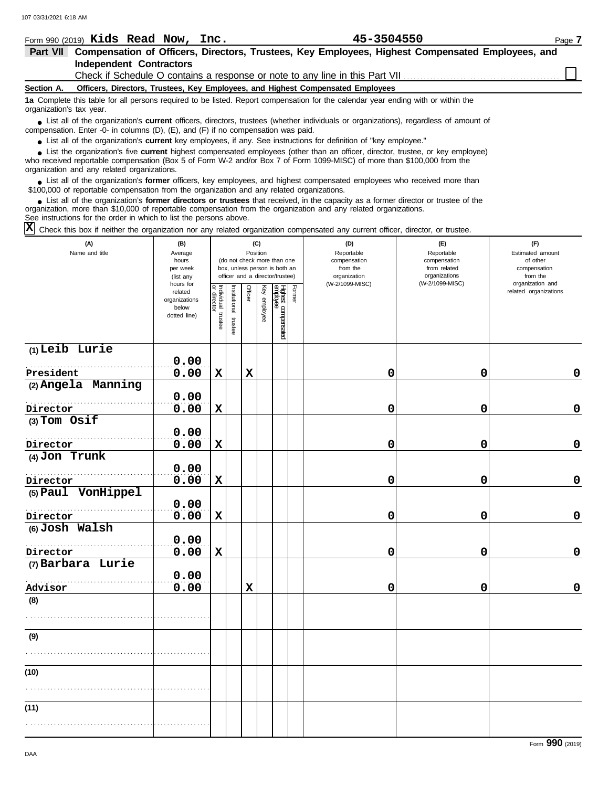|                          | Form 990 (2019) Kids Read Now, Inc.                                |  | 45-3504550                                                                                                                                                                                                                                                | Page 7 |
|--------------------------|--------------------------------------------------------------------|--|-----------------------------------------------------------------------------------------------------------------------------------------------------------------------------------------------------------------------------------------------------------|--------|
| <b>Part VII</b>          |                                                                    |  | Compensation of Officers, Directors, Trustees, Key Employees, Highest Compensated Employees, and                                                                                                                                                          |        |
|                          | <b>Independent Contractors</b>                                     |  |                                                                                                                                                                                                                                                           |        |
|                          |                                                                    |  |                                                                                                                                                                                                                                                           |        |
| Section A.               |                                                                    |  | Officers, Directors, Trustees, Key Employees, and Highest Compensated Employees                                                                                                                                                                           |        |
| organization's tax year. |                                                                    |  | 1a Complete this table for all persons required to be listed. Report compensation for the calendar year ending with or within the                                                                                                                         |        |
|                          |                                                                    |  | List all of the organization's <b>current</b> officers, directors, trustees (whether individuals or organizations), regardless of amount of<br>compensation. Enter -0- in columns (D), (E), and (F) if no compensation was paid.                          |        |
|                          |                                                                    |  | • List all of the organization's <b>current</b> key employees, if any. See instructions for definition of "key employee."                                                                                                                                 |        |
|                          | organization and any related organizations.                        |  | List the organization's five current highest compensated employees (other than an officer, director, trustee, or key employee)<br>who received reportable compensation (Box 5 of Form W-2 and/or Box 7 of Form 1099-MISC) of more than \$100,000 from the |        |
|                          |                                                                    |  | • List all of the organization's former officers, key employees, and highest compensated employees who received more than<br>\$100,000 of reportable compensation from the organization and any related organizations.                                    |        |
|                          | See instructions for the order in which to list the persons above. |  | List all of the organization's former directors or trustees that received, in the capacity as a former director or trustee of the<br>organization, more than \$10,000 of reportable compensation from the organization and any related organizations.     |        |
|                          |                                                                    |  | $ X $ Check this box if neither the organization nor any related organization compensated any current officer, director, or trustee.                                                                                                                      |        |

| Crieck this box in Heither the Organization Hor any related organization compensated any current onicer, director, or trustee.<br>(A)<br>Name and title | (B)<br>Average<br>hours<br>per week<br>(list any               |                                   |                       |             | (C)<br>Position | (do not check more than one<br>box, unless person is both an<br>officer and a director/trustee) |        | (D)<br>Reportable<br>compensation<br>from the<br>organization | (F)<br>Reportable<br>compensation<br>from related<br>organizations | (F)<br>Estimated amount<br>of other<br>compensation<br>from the |
|---------------------------------------------------------------------------------------------------------------------------------------------------------|----------------------------------------------------------------|-----------------------------------|-----------------------|-------------|-----------------|-------------------------------------------------------------------------------------------------|--------|---------------------------------------------------------------|--------------------------------------------------------------------|-----------------------------------------------------------------|
|                                                                                                                                                         | hours for<br>related<br>organizations<br>below<br>dotted line) | Individual trustee<br>or director | Institutional trustee | Officer     | Key employee    | Highest compensated<br>emptyee                                                                  | Former | (W-2/1099-MISC)                                               | (W-2/1099-MISC)                                                    | organization and<br>related organizations                       |
| $(1)$ Leib Lurie                                                                                                                                        | 0.00                                                           |                                   |                       |             |                 |                                                                                                 |        |                                                               |                                                                    |                                                                 |
| President                                                                                                                                               | 0.00                                                           | $\mathbf x$                       |                       | $\mathbf x$ |                 |                                                                                                 |        | 0                                                             | $\mathbf 0$                                                        | 0                                                               |
| (2) Angela Manning                                                                                                                                      | 0.00                                                           |                                   |                       |             |                 |                                                                                                 |        |                                                               |                                                                    |                                                                 |
| Director                                                                                                                                                | 0.00                                                           | $\mathbf x$                       |                       |             |                 |                                                                                                 |        | 0                                                             | $\mathbf 0$                                                        | $\mathbf 0$                                                     |
| $(3)$ Tom Osif                                                                                                                                          | 0.00                                                           |                                   |                       |             |                 |                                                                                                 |        |                                                               |                                                                    |                                                                 |
| Director                                                                                                                                                | 0.00                                                           | $\mathbf x$                       |                       |             |                 |                                                                                                 |        | 0                                                             | 0                                                                  | $\mathbf 0$                                                     |
| $(4)$ Jon Trunk                                                                                                                                         |                                                                |                                   |                       |             |                 |                                                                                                 |        |                                                               |                                                                    |                                                                 |
|                                                                                                                                                         | 0.00                                                           |                                   |                       |             |                 |                                                                                                 |        |                                                               |                                                                    |                                                                 |
| Director                                                                                                                                                | 0.00                                                           | $\mathbf x$                       |                       |             |                 |                                                                                                 |        | 0                                                             | $\mathbf 0$                                                        | $\mathbf 0$                                                     |
| (5) Paul VonHippel                                                                                                                                      |                                                                |                                   |                       |             |                 |                                                                                                 |        |                                                               |                                                                    |                                                                 |
|                                                                                                                                                         | 0.00                                                           |                                   |                       |             |                 |                                                                                                 |        |                                                               |                                                                    |                                                                 |
| Director                                                                                                                                                | 0.00                                                           | $\mathbf x$                       |                       |             |                 |                                                                                                 |        | 0                                                             | 0                                                                  | $\mathbf 0$                                                     |
| (6) Josh Walsh                                                                                                                                          |                                                                |                                   |                       |             |                 |                                                                                                 |        |                                                               |                                                                    |                                                                 |
|                                                                                                                                                         | 0.00                                                           |                                   |                       |             |                 |                                                                                                 |        |                                                               |                                                                    |                                                                 |
| Director                                                                                                                                                | 0.00                                                           | $\mathbf x$                       |                       |             |                 |                                                                                                 |        | $\mathbf 0$                                                   | 0                                                                  | $\mathbf 0$                                                     |
| (7) Barbara Lurie                                                                                                                                       |                                                                |                                   |                       |             |                 |                                                                                                 |        |                                                               |                                                                    |                                                                 |
|                                                                                                                                                         | 0.00                                                           |                                   |                       |             |                 |                                                                                                 |        |                                                               |                                                                    |                                                                 |
| Advisor                                                                                                                                                 | 0.00                                                           |                                   |                       | $\mathbf x$ |                 |                                                                                                 |        | 0                                                             | 0                                                                  | $\mathbf 0$                                                     |
| (8)                                                                                                                                                     |                                                                |                                   |                       |             |                 |                                                                                                 |        |                                                               |                                                                    |                                                                 |
|                                                                                                                                                         |                                                                |                                   |                       |             |                 |                                                                                                 |        |                                                               |                                                                    |                                                                 |
| (9)                                                                                                                                                     |                                                                |                                   |                       |             |                 |                                                                                                 |        |                                                               |                                                                    |                                                                 |
|                                                                                                                                                         |                                                                |                                   |                       |             |                 |                                                                                                 |        |                                                               |                                                                    |                                                                 |
|                                                                                                                                                         |                                                                |                                   |                       |             |                 |                                                                                                 |        |                                                               |                                                                    |                                                                 |
| (10)                                                                                                                                                    |                                                                |                                   |                       |             |                 |                                                                                                 |        |                                                               |                                                                    |                                                                 |
|                                                                                                                                                         |                                                                |                                   |                       |             |                 |                                                                                                 |        |                                                               |                                                                    |                                                                 |
| (11)                                                                                                                                                    |                                                                |                                   |                       |             |                 |                                                                                                 |        |                                                               |                                                                    |                                                                 |
|                                                                                                                                                         |                                                                |                                   |                       |             |                 |                                                                                                 |        |                                                               |                                                                    |                                                                 |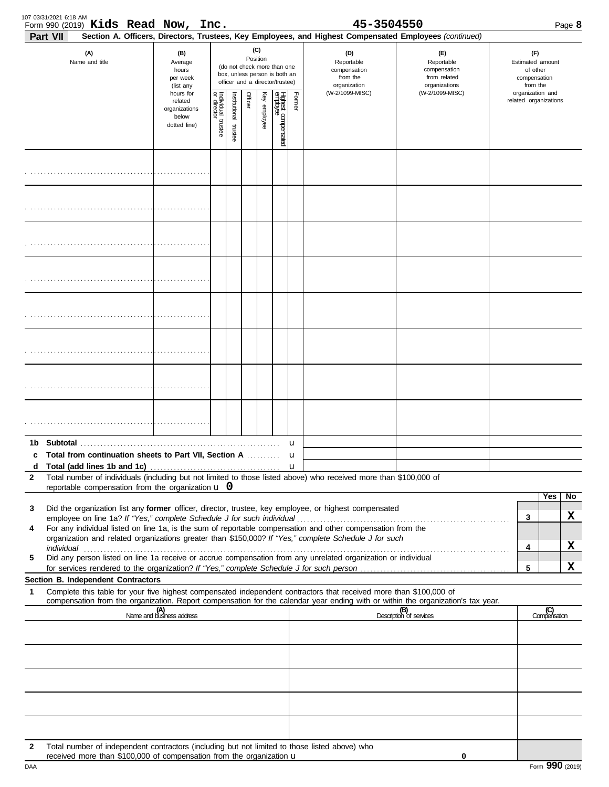| 107 03/31/2021 6:18 AM | Form 990 (2019) Kids Read Now, Inc.                                                                                                                                                                                                                                                                                                                                                                                                                                                                                                                                                                                                                                                                                                                                                                                                                                                                                                                                                                                                                                                                                                                                                                                                                                                                                                                              |                                                                |                                        |                       |         |                 |                                                                                                 |             | 45-3504550                                                                                                                                                              |                                                                    |                                                                 | Page 8 |
|------------------------|------------------------------------------------------------------------------------------------------------------------------------------------------------------------------------------------------------------------------------------------------------------------------------------------------------------------------------------------------------------------------------------------------------------------------------------------------------------------------------------------------------------------------------------------------------------------------------------------------------------------------------------------------------------------------------------------------------------------------------------------------------------------------------------------------------------------------------------------------------------------------------------------------------------------------------------------------------------------------------------------------------------------------------------------------------------------------------------------------------------------------------------------------------------------------------------------------------------------------------------------------------------------------------------------------------------------------------------------------------------|----------------------------------------------------------------|----------------------------------------|-----------------------|---------|-----------------|-------------------------------------------------------------------------------------------------|-------------|-------------------------------------------------------------------------------------------------------------------------------------------------------------------------|--------------------------------------------------------------------|-----------------------------------------------------------------|--------|
| Part VII               | (A)<br>Name and title                                                                                                                                                                                                                                                                                                                                                                                                                                                                                                                                                                                                                                                                                                                                                                                                                                                                                                                                                                                                                                                                                                                                                                                                                                                                                                                                            | (B)<br>Average<br>hours<br>per week<br>(list any               |                                        |                       |         | (C)<br>Position | (do not check more than one<br>box, unless person is both an<br>officer and a director/trustee) |             | Section A. Officers, Directors, Trustees, Key Employees, and Highest Compensated Employees (continued)<br>(D)<br>Reportable<br>compensation<br>from the<br>organization | (E)<br>Reportable<br>compensation<br>from related<br>organizations | (F)<br>Estimated amount<br>of other<br>compensation<br>from the |        |
|                        |                                                                                                                                                                                                                                                                                                                                                                                                                                                                                                                                                                                                                                                                                                                                                                                                                                                                                                                                                                                                                                                                                                                                                                                                                                                                                                                                                                  | hours for<br>related<br>organizations<br>below<br>dotted line) | ₽<br>Individual trustee<br>or director | Institutional trustee | Officer | Key employee    | Highest compensated<br>employee                                                                 | Former      | (W-2/1099-MISC)                                                                                                                                                         | (W-2/1099-MISC)                                                    | organization and<br>related organizations                       |        |
|                        |                                                                                                                                                                                                                                                                                                                                                                                                                                                                                                                                                                                                                                                                                                                                                                                                                                                                                                                                                                                                                                                                                                                                                                                                                                                                                                                                                                  |                                                                |                                        |                       |         |                 |                                                                                                 |             |                                                                                                                                                                         |                                                                    |                                                                 |        |
|                        |                                                                                                                                                                                                                                                                                                                                                                                                                                                                                                                                                                                                                                                                                                                                                                                                                                                                                                                                                                                                                                                                                                                                                                                                                                                                                                                                                                  |                                                                |                                        |                       |         |                 |                                                                                                 |             |                                                                                                                                                                         |                                                                    |                                                                 |        |
|                        |                                                                                                                                                                                                                                                                                                                                                                                                                                                                                                                                                                                                                                                                                                                                                                                                                                                                                                                                                                                                                                                                                                                                                                                                                                                                                                                                                                  |                                                                |                                        |                       |         |                 |                                                                                                 |             |                                                                                                                                                                         |                                                                    |                                                                 |        |
|                        |                                                                                                                                                                                                                                                                                                                                                                                                                                                                                                                                                                                                                                                                                                                                                                                                                                                                                                                                                                                                                                                                                                                                                                                                                                                                                                                                                                  |                                                                |                                        |                       |         |                 |                                                                                                 |             |                                                                                                                                                                         |                                                                    |                                                                 |        |
|                        |                                                                                                                                                                                                                                                                                                                                                                                                                                                                                                                                                                                                                                                                                                                                                                                                                                                                                                                                                                                                                                                                                                                                                                                                                                                                                                                                                                  |                                                                |                                        |                       |         |                 |                                                                                                 |             |                                                                                                                                                                         |                                                                    |                                                                 |        |
|                        |                                                                                                                                                                                                                                                                                                                                                                                                                                                                                                                                                                                                                                                                                                                                                                                                                                                                                                                                                                                                                                                                                                                                                                                                                                                                                                                                                                  |                                                                |                                        |                       |         |                 |                                                                                                 |             |                                                                                                                                                                         |                                                                    |                                                                 |        |
|                        |                                                                                                                                                                                                                                                                                                                                                                                                                                                                                                                                                                                                                                                                                                                                                                                                                                                                                                                                                                                                                                                                                                                                                                                                                                                                                                                                                                  |                                                                |                                        |                       |         |                 |                                                                                                 |             |                                                                                                                                                                         |                                                                    |                                                                 |        |
|                        |                                                                                                                                                                                                                                                                                                                                                                                                                                                                                                                                                                                                                                                                                                                                                                                                                                                                                                                                                                                                                                                                                                                                                                                                                                                                                                                                                                  |                                                                |                                        |                       |         |                 |                                                                                                 |             |                                                                                                                                                                         |                                                                    |                                                                 |        |
| d                      |                                                                                                                                                                                                                                                                                                                                                                                                                                                                                                                                                                                                                                                                                                                                                                                                                                                                                                                                                                                                                                                                                                                                                                                                                                                                                                                                                                  |                                                                |                                        |                       |         |                 |                                                                                                 | u<br>u<br>u |                                                                                                                                                                         |                                                                    |                                                                 |        |
| $\mathbf{2}$           |                                                                                                                                                                                                                                                                                                                                                                                                                                                                                                                                                                                                                                                                                                                                                                                                                                                                                                                                                                                                                                                                                                                                                                                                                                                                                                                                                                  |                                                                |                                        |                       |         |                 |                                                                                                 |             |                                                                                                                                                                         |                                                                    |                                                                 |        |
| 3                      |                                                                                                                                                                                                                                                                                                                                                                                                                                                                                                                                                                                                                                                                                                                                                                                                                                                                                                                                                                                                                                                                                                                                                                                                                                                                                                                                                                  |                                                                |                                        |                       |         |                 |                                                                                                 |             |                                                                                                                                                                         |                                                                    | 3                                                               |        |
| 4                      |                                                                                                                                                                                                                                                                                                                                                                                                                                                                                                                                                                                                                                                                                                                                                                                                                                                                                                                                                                                                                                                                                                                                                                                                                                                                                                                                                                  |                                                                |                                        |                       |         |                 |                                                                                                 |             |                                                                                                                                                                         |                                                                    | 4                                                               |        |
| 5                      |                                                                                                                                                                                                                                                                                                                                                                                                                                                                                                                                                                                                                                                                                                                                                                                                                                                                                                                                                                                                                                                                                                                                                                                                                                                                                                                                                                  |                                                                |                                        |                       |         |                 |                                                                                                 |             |                                                                                                                                                                         |                                                                    | 5                                                               |        |
| 1                      | c Total from continuation sheets to Part VII, Section A<br>Total number of individuals (including but not limited to those listed above) who received more than \$100,000 of<br>reportable compensation from the organization $\boldsymbol{\cup}$ 0<br>Yes<br>No<br>Did the organization list any former officer, director, trustee, key employee, or highest compensated<br>x<br>For any individual listed on line 1a, is the sum of reportable compensation and other compensation from the<br>organization and related organizations greater than \$150,000? If "Yes," complete Schedule J for such<br>x<br>individual with a construction of the construction of the construction of the construction of the construction of the construction of the construction of the construction of the construction of the construction of the cons<br>Did any person listed on line 1a receive or accrue compensation from any unrelated organization or individual<br>x<br>Section B. Independent Contractors<br>Complete this table for your five highest compensated independent contractors that received more than \$100,000 of<br>compensation from the organization. Report compensation for the calendar year ending with or within the organization's tax year.<br>(C)<br>Compensation<br>(A)<br>Name and business address<br>(B)<br>Description of services |                                                                |                                        |                       |         |                 |                                                                                                 |             |                                                                                                                                                                         |                                                                    |                                                                 |        |
|                        |                                                                                                                                                                                                                                                                                                                                                                                                                                                                                                                                                                                                                                                                                                                                                                                                                                                                                                                                                                                                                                                                                                                                                                                                                                                                                                                                                                  |                                                                |                                        |                       |         |                 |                                                                                                 |             |                                                                                                                                                                         |                                                                    |                                                                 |        |
|                        |                                                                                                                                                                                                                                                                                                                                                                                                                                                                                                                                                                                                                                                                                                                                                                                                                                                                                                                                                                                                                                                                                                                                                                                                                                                                                                                                                                  |                                                                |                                        |                       |         |                 |                                                                                                 |             |                                                                                                                                                                         |                                                                    |                                                                 |        |
|                        |                                                                                                                                                                                                                                                                                                                                                                                                                                                                                                                                                                                                                                                                                                                                                                                                                                                                                                                                                                                                                                                                                                                                                                                                                                                                                                                                                                  |                                                                |                                        |                       |         |                 |                                                                                                 |             |                                                                                                                                                                         |                                                                    |                                                                 |        |
|                        |                                                                                                                                                                                                                                                                                                                                                                                                                                                                                                                                                                                                                                                                                                                                                                                                                                                                                                                                                                                                                                                                                                                                                                                                                                                                                                                                                                  |                                                                |                                        |                       |         |                 |                                                                                                 |             |                                                                                                                                                                         |                                                                    |                                                                 |        |
|                        |                                                                                                                                                                                                                                                                                                                                                                                                                                                                                                                                                                                                                                                                                                                                                                                                                                                                                                                                                                                                                                                                                                                                                                                                                                                                                                                                                                  |                                                                |                                        |                       |         |                 |                                                                                                 |             |                                                                                                                                                                         |                                                                    |                                                                 |        |
| 2                      | Total number of independent contractors (including but not limited to those listed above) who<br>received more than \$100,000 of compensation from the organization u                                                                                                                                                                                                                                                                                                                                                                                                                                                                                                                                                                                                                                                                                                                                                                                                                                                                                                                                                                                                                                                                                                                                                                                            |                                                                |                                        |                       |         |                 |                                                                                                 |             |                                                                                                                                                                         | 0                                                                  |                                                                 |        |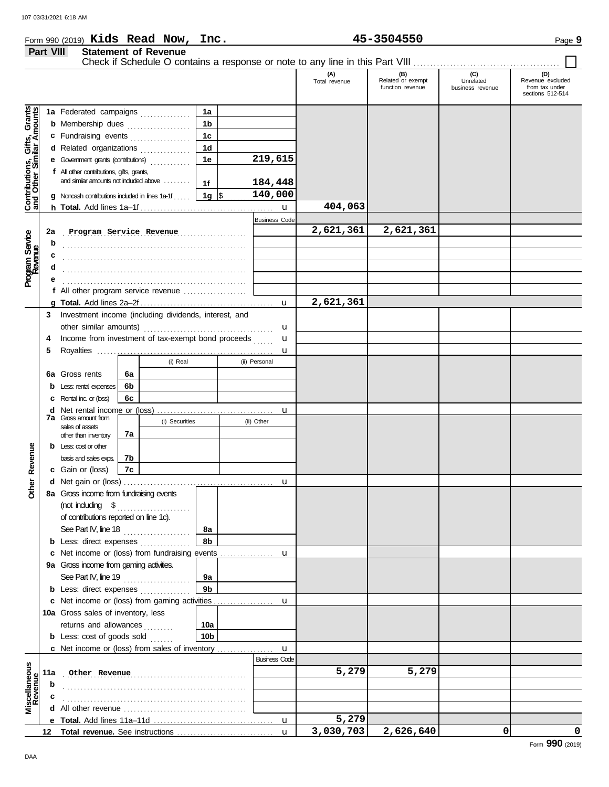**Part VIII Statement of Revenue**

# Form 990 (2019) Page **9 Kids Read Now, Inc. 45-3504550**

|                                                           |             |                                                            |    |                |                 |   |                      |              | (A)<br>Total revenue | (B)<br>Related or exempt<br>function revenue | (C)<br>Unrelated<br>business revenue | (D)<br>Revenue excluded<br>from tax under<br>sections 512-514 |
|-----------------------------------------------------------|-------------|------------------------------------------------------------|----|----------------|-----------------|---|----------------------|--------------|----------------------|----------------------------------------------|--------------------------------------|---------------------------------------------------------------|
|                                                           |             |                                                            |    |                | 1a              |   |                      |              |                      |                                              |                                      |                                                               |
| Contributions, Gifts, Grants<br>and Other Similar Amounts |             | 1a Federated campaigns<br><b>b</b> Membership dues <i></i> |    | 1 <sub>b</sub> |                 |   |                      |              |                      |                                              |                                      |                                                               |
|                                                           |             | c Fundraising events                                       |    |                | 1 <sub>c</sub>  |   |                      |              |                      |                                              |                                      |                                                               |
|                                                           |             | d Related organizations                                    |    |                | 1 <sub>d</sub>  |   |                      |              |                      |                                              |                                      |                                                               |
|                                                           |             | e Government grants (contributions)                        |    |                | 1e              |   | 219,615              |              |                      |                                              |                                      |                                                               |
|                                                           |             | f All other contributions, gifts, grants,                  |    |                |                 |   |                      |              |                      |                                              |                                      |                                                               |
|                                                           |             | and similar amounts not induded above                      |    |                | 1f              |   | 184,448              |              |                      |                                              |                                      |                                                               |
|                                                           |             | g Noncash contributions included in lines 1a-1f            |    |                | 1g $\vert$ \$   |   | 140,000              |              |                      |                                              |                                      |                                                               |
|                                                           |             |                                                            |    |                |                 |   |                      | $\mathbf{u}$ | 404,063              |                                              |                                      |                                                               |
|                                                           |             |                                                            |    |                |                 |   | <b>Business Code</b> |              |                      |                                              |                                      |                                                               |
|                                                           | 2a          | Program Service Revenue                                    |    |                |                 | . |                      |              | 2,621,361            | 2,621,361                                    |                                      |                                                               |
| Program Service<br>Revenue                                | b           |                                                            |    |                |                 |   |                      |              |                      |                                              |                                      |                                                               |
|                                                           |             |                                                            |    |                |                 |   |                      |              |                      |                                              |                                      |                                                               |
|                                                           |             |                                                            |    |                |                 |   |                      |              |                      |                                              |                                      |                                                               |
|                                                           |             |                                                            |    |                |                 |   |                      |              |                      |                                              |                                      |                                                               |
|                                                           |             | f All other program service revenue                        |    |                |                 |   |                      |              |                      |                                              |                                      |                                                               |
|                                                           |             |                                                            |    |                |                 |   |                      | $\mathbf{u}$ | 2,621,361            |                                              |                                      |                                                               |
|                                                           | $3^{\circ}$ | Investment income (including dividends, interest, and      |    |                |                 |   |                      |              |                      |                                              |                                      |                                                               |
|                                                           |             |                                                            |    |                |                 |   |                      | u            |                      |                                              |                                      |                                                               |
|                                                           | 4           |                                                            |    |                |                 |   |                      | $\mathbf{u}$ |                      |                                              |                                      |                                                               |
|                                                           | 5           | Income from investment of tax-exempt bond proceeds         |    |                |                 |   |                      | u            |                      |                                              |                                      |                                                               |
|                                                           |             |                                                            |    | (i) Real       |                 |   | (ii) Personal        |              |                      |                                              |                                      |                                                               |
|                                                           |             | 6a Gross rents                                             | 6a |                |                 |   |                      |              |                      |                                              |                                      |                                                               |
|                                                           |             | <b>b</b> Less: rental expenses                             | 6b |                |                 |   |                      |              |                      |                                              |                                      |                                                               |
|                                                           |             | <b>c</b> Rental inc. or (loss)                             | 6с |                |                 |   |                      |              |                      |                                              |                                      |                                                               |
|                                                           |             |                                                            |    |                |                 |   |                      | u            |                      |                                              |                                      |                                                               |
|                                                           |             | <b>7a</b> Gross amount from                                |    | (i) Securities |                 |   | (ii) Other           |              |                      |                                              |                                      |                                                               |
|                                                           |             | sales of assets<br>other than inventory                    | 7a |                |                 |   |                      |              |                      |                                              |                                      |                                                               |
|                                                           |             | $b$ Less: $\cos$ or other                                  |    |                |                 |   |                      |              |                      |                                              |                                      |                                                               |
| Revenue                                                   |             | basis and sales exps.                                      | 7b |                |                 |   |                      |              |                      |                                              |                                      |                                                               |
|                                                           |             | c Gain or (loss)                                           | 7c |                |                 |   |                      |              |                      |                                              |                                      |                                                               |
|                                                           |             |                                                            |    |                |                 |   |                      | u            |                      |                                              |                                      |                                                               |
| Other                                                     |             | 8a Gross income from fundraising events                    |    |                |                 |   |                      |              |                      |                                              |                                      |                                                               |
|                                                           |             | (not including \$                                          |    |                |                 |   |                      |              |                      |                                              |                                      |                                                               |
|                                                           |             | of contributions reported on line 1c).                     |    |                |                 |   |                      |              |                      |                                              |                                      |                                                               |
|                                                           |             | See Part IV, line 18                                       |    | .              | 8а              |   |                      |              |                      |                                              |                                      |                                                               |
|                                                           |             |                                                            |    |                | 8b              |   |                      |              |                      |                                              |                                      |                                                               |
|                                                           |             | c Net income or (loss) from fundraising events             |    |                |                 |   |                      | u            |                      |                                              |                                      |                                                               |
|                                                           |             | 9a Gross income from gaming activities.                    |    |                |                 |   |                      |              |                      |                                              |                                      |                                                               |
|                                                           |             | See Part IV, line 19 $\ldots$                              |    |                | 9a              |   |                      |              |                      |                                              |                                      |                                                               |
|                                                           |             | <b>b</b> Less: direct expenses                             |    |                | 9 <sub>b</sub>  |   |                      |              |                      |                                              |                                      |                                                               |
|                                                           |             | c Net income or (loss) from gaming activities              |    |                |                 |   |                      | u            |                      |                                              |                                      |                                                               |
|                                                           |             | 10a Gross sales of inventory, less                         |    |                |                 |   |                      |              |                      |                                              |                                      |                                                               |
|                                                           |             | returns and allowances                                     |    |                | 10a             |   |                      |              |                      |                                              |                                      |                                                               |
|                                                           |             | <b>b</b> Less: cost of goods sold                          |    |                | 10 <sub>b</sub> |   |                      |              |                      |                                              |                                      |                                                               |
|                                                           |             | c Net income or (loss) from sales of inventory             |    |                |                 |   |                      | $\mathbf{u}$ |                      |                                              |                                      |                                                               |
|                                                           |             |                                                            |    |                |                 |   | <b>Business Code</b> |              |                      |                                              |                                      |                                                               |
| Miscellaneous<br>Revenue                                  | 11a         | Other Revenue                                              |    |                |                 |   |                      |              | 5,279                | 5,279                                        |                                      |                                                               |
|                                                           | b           |                                                            |    |                |                 |   |                      |              |                      |                                              |                                      |                                                               |
|                                                           | c           |                                                            |    |                |                 |   |                      |              |                      |                                              |                                      |                                                               |
|                                                           |             |                                                            |    |                |                 |   |                      |              |                      |                                              |                                      |                                                               |
|                                                           |             |                                                            |    |                |                 |   |                      | u            | 5,279                |                                              |                                      |                                                               |
|                                                           |             |                                                            |    |                |                 |   |                      | $\mathbf{u}$ | 3,030,703            | 2,626,640                                    | $\Omega$                             | 0                                                             |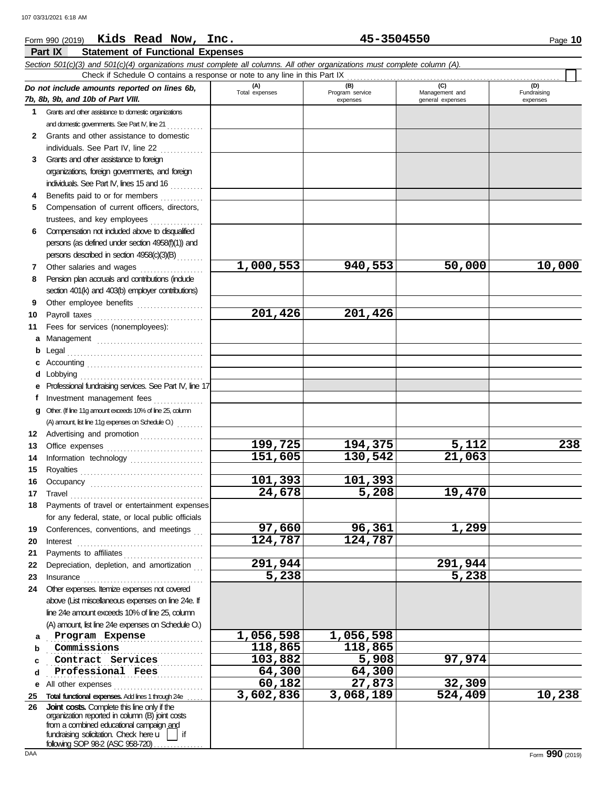### **Part IX Statement of Functional Expenses** Form 990 (2019) Page **10 Kids Read Now, Inc. 45-3504550** *Section 501(c)(3) and 501(c)(4) organizations must complete all columns. All other organizations must complete column (A). Do not include amounts reported on lines 6b, 7b, 8b, 9b, and 10b of Part VIII.* **1 2 3 4 5 6 7 8 9 10 11** Fees for services (nonemployees): **a** Management ................................. **b** Legal . . . . . . . . . . . . . . . . . . . . . . . . . . . . . . . . . . . . . . . . . **c** Accounting . . . . . . . . . . . . . . . . . . . . . . . . . . . . . . . . . . . **d** Lobbying . . . . . . . . . . . . . . . . . . . . . . . . . . . . . . . . . . . . . **e** Professional fundraising services. See Part IV, line 17 **f g** Other. (If line 11g amount exceeds 10% of line 25, column **12** Advertising and promotion . . . . . . . . . . . . . . . . . . **13 14 15 16 17 18 19 20 21 22** Depreciation, depletion, and amortization . . . **23 24** Other expenses. Itemize expenses not covered **a b c** Grants and other assistance to domestic organizations and domestic governments. See Part IV, line 21 . . . . . . . . . . . Grants and other assistance to domestic individuals. See Part IV, line 22 . . . . . . . . . . . . . Grants and other assistance to foreign organizations, foreign governments, and foreign individuals. See Part IV, lines 15 and 16 Benefits paid to or for members . . . . . . . . . . . . . Compensation of current officers, directors, trustees, and key employees ................ Compensation not included above to disqualified persons (as defined under section 4958(f)(1)) and persons described in section 4958(c)(3)(B) . . . . . . . . Other salaries and wages ................... Pension plan accruals and contributions (include section 401(k) and 403(b) employer contributions) Other employee benefits .................... Payroll taxes . . . . . . . . . . . . . . . . . . . . . . . . . . . . . . . . . Investment management fees ................ Office expenses ................................. Information technology ...................... Royalties . . . . . . . . . . . . . . . . . . . . . . . . . . . . . . . . . . . . . Occupancy . . . . . . . . . . . . . . . . . . . . . . . . . . . . . . . . . . Travel . . . . . . . . . . . . . . . . . . . . . . . . . . . . . . . . . . . . . . . . Payments of travel or entertainment expenses for any federal, state, or local public officials Conferences, conventions, and meetings Interest . . . . . . . . . . . . . . . . . . . . . . . . . . . . . . . . . . . . . . Payments to affiliates . . . . . . . . . . . . . . . . . . . . . . . . Insurance . . . . . . . . . . . . . . . . . . . . . . . . . . . . . . . . . . . . above (List miscellaneous expenses on line 24e. If line 24e amount exceeds 10% of line 25, column (A) amount, list line 24e expenses on Schedule O.) **(A) (B) (C) (C) (C) Total expenses Program service Management** Total expenses Program service<br>
expenses Program service<br>  $\frac{1}{2}$  Management and<br>
general expenses expenses general expenses (D)<br>Fundraising expenses . . . . . . . . . . . . . . . . . . . . . . . . . . . . . . . . . . . . . . . . . . . . . . . **Program Expense 1,056,598 1,056,598 Commissions** 118,865 118,865 **Contract Services 103,882 5,908 97,974** Check if Schedule O contains a response or note to any line in this Part IX (A) amount, list line 11g expenses on Schedule O.)  $\ldots \ldots$ **1,000,553 940,553 50,000 10,000 201,426 201,426 199,725 194,375 5,112 238 151,605 130,542 21,063 101,393 101,393 24,678 5,208 19,470 97,660 96,361 1,299 124,787 124,787 291,944 291,944 5,238 5,238**

**Professional Fees 64,300 64,300** 

**d**

**3,602,836 3,068,189 524,409 10,238**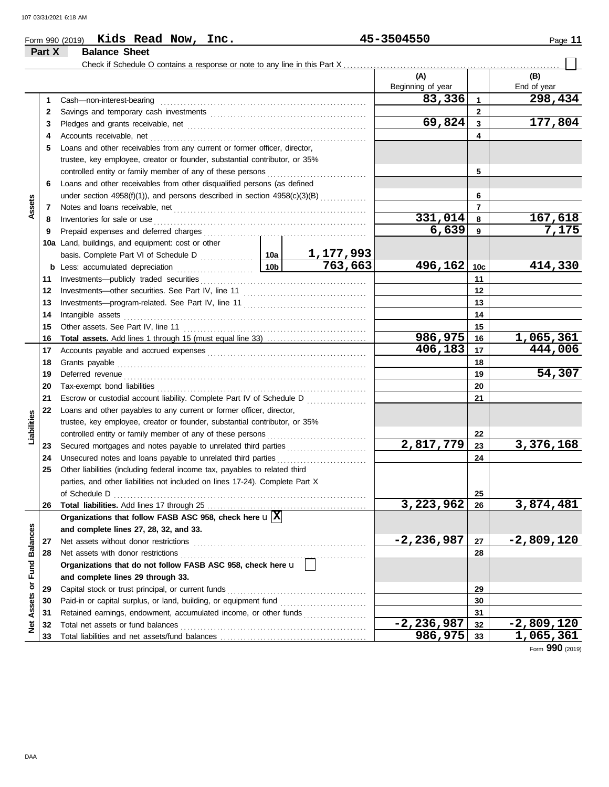| Form 990 (2019) | Kids Read Now,       |  | Inc. |                                                                                         | 45-3504550 | Page |  |
|-----------------|----------------------|--|------|-----------------------------------------------------------------------------------------|------------|------|--|
| <b>Part X</b>   | <b>Balance Sheet</b> |  |      |                                                                                         |            |      |  |
|                 |                      |  |      | Check if Schedule O contains a response or note to any line in this Part $X_{\alpha}$ . |            |      |  |
|                 |                      |  |      |                                                                                         | (A         | (B)  |  |

#### Check if Schedule O contains a response or note to any line in this Part X **(A) (B)** Beginning of year  $\parallel$  | End of year **83,336 298,434** Cash—non-interest-bearing . . . . . . . . . . . . . . . . . . . . . . . . . . . . . . . . . . . . . . . . . . . . . . . . . . . . . . . . . . . . . . **1 1 2 2** Savings and temporary cash investments . . . . . . . . . . . . . . . . . . . . . . . . . . . . . . . . . . . . . . . . . . . . . . . **69,824 177,804 3 3** Pledges and grants receivable, net . . . . . . . . . . . . . . . . . . . . . . . . . . . . . . . . . . . . . . . . . . . . . . . . . . . . . . **4 4** Accounts receivable, net . . . . . . . . . . . . . . . . . . . . . . . . . . . . . . . . . . . . . . . . . . . . . . . . . . . . . . . . . . . . . . . . . **5** Loans and other receivables from any current or former officer, director, trustee, key employee, creator or founder, substantial contributor, or 35% controlled entity or family member of any of these persons **5 6** Loans and other receivables from other disqualified persons (as defined **6** under section  $4958(f)(1)$ , and persons described in section  $4958(c)(3)(B)$  ............. **Assets 7 7** Notes and loans receivable, net . . . . . . . . . . . . . . . . . . . . . . . . . . . . . . . . . . . . . . . . . . . . . . . . . . . . . . . . . . **331,014 167,618 8 8** Inventories for sale or use . . . . . . . . . . . . . . . . . . . . . . . . . . . . . . . . . . . . . . . . . . . . . . . . . . . . . . . . . . . . . . . . Prepaid expenses and deferred charges . . . . . . . . . . . . . . . . . . . . . . . . . . . . . . . . . . . . . . . . . . . . . . . . . **6,639 7,175 9 9 10a** Land, buildings, and equipment: cost or other basis. Complete Part VI of Schedule D ................ **1,177,993 10a 763,663 496,162 414,330 10c b** Less: accumulated depreciation . . . . . . . . . . . . . . . . . . 10b **11** Investments—publicly traded securities . . . . . . . . . . . . . . . . . . . . . . . . . . . . . . . . . . . . . . . . . . . . . . . . . . **11** Investments—other securities. See Part IV, line 11 . . . . . . . . . . . . . . . . . . . . . . . . . . . . . . . . . . . . . **12 12 13 13** Investments—program-related. See Part IV, line 11 . . . . . . . . . . . . . . . . . . . . . . . . . . . . . . . . . . . . . Intangible assets . . . . . . . . . . . . . . . . . . . . . . . . . . . . . . . . . . . . . . . . . . . . . . . . . . . . . . . . . . . . . . . . . . . . . . . . . **14 14 15 15** Other assets. See Part IV, line 11 . . . . . . . . . . . . . . . . . . . . . . . . . . . . . . . . . . . . . . . . . . . . . . . . . . . . . . . **986,975** 16 1,065,361<br>406,183 17 444,006 **Total assets.** Add lines 1 through 15 (must equal line 33) . . . . . . . . . . . . . . . . . . . . . . . . . . . . . . **16 16 406,183 444,006 17** Accounts payable and accrued expenses . . . . . . . . . . . . . . . . . . . . . . . . . . . . . . . . . . . . . . . . . . . . . . . . **17 18** Grants payable . . . . . . . . . . . . . . . . . . . . . . . . . . . . . . . . . . . . . . . . . . . . . . . . . . . . . . . . . . . . . . . . . . . . . . . . . . . **18 54,307** Deferred revenue . . . . . . . . . . . . . . . . . . . . . . . . . . . . . . . . . . . . . . . . . . . . . . . . . . . . . . . . . . . . . . . . . . . . . . . . . **19 19** Tax-exempt bond liabilities . . . . . . . . . . . . . . . . . . . . . . . . . . . . . . . . . . . . . . . . . . . . . . . . . . . . . . . . . . . . . . . **20 20 21** Escrow or custodial account liability. Complete Part IV of Schedule D . . . . . . . . . . . . . . . . . . **21 22** Loans and other payables to any current or former officer, director, **Liabilities** trustee, key employee, creator or founder, substantial contributor, or 35% **22** controlled entity or family member of any of these persons **2,817,779 3,376,168** Secured mortgages and notes payable to unrelated third parties . . . . . . . . . . . . . . . . . . . . . . . . **23 23 24** Unsecured notes and loans payable to unrelated third parties . . . . . . . . . . . . . . . . . . . . . . . . . . . **24 25** Other liabilities (including federal income tax, payables to related third parties, and other liabilities not included on lines 17-24). Complete Part X of Schedule D . . . . . . . . . . . . . . . . . . . . . . . . . . . . . . . . . . . . . . . . . . . . . . . . . . . . . . . . . . . . . . . . . . . . . . . . . . . . **25 3,223,962 3,874,481 26** Total liabilities. Add lines 17 through 25 **26 Organizations that follow FASB ASC 958, check here** u **X** Net Assets or Fund Balances **Net Assets or Fund Balances and complete lines 27, 28, 32, and 33. 27** Net assets without donor restrictions . . . . . . . . . . . . . . . . . . . . . . . . . . . . . . . . . . . . . . . . . . . . . . . . . . . . **-2,236,987 -2,809,120 27** Net assets with donor restrictions . . . . . . . . . . . . . . . . . . . . . . . . . . . . . . . . . . . . . . . . . . . . . . . . . . . . . . . . **28 28 Organizations that do not follow FASB ASC 958, check here** u **and complete lines 29 through 33.** Capital stock or trust principal, or current funds . . . . . . . . . . . . . . . . . . . . . . . . . . . . . . . . . . . . . . . . . . **29 29** Paid-in or capital surplus, or land, building, or equipment fund ........................... **30 30 31** Retained earnings, endowment, accumulated income, or other funds ..................... **31 -2,236,987 -2,809,120** Total net assets or fund balances . . . . . . . . . . . . . . . . . . . . . . . . . . . . . . . . . . . . . . . . . . . . . . . . . . . . . . . . **32 32 33** Total liabilities and net assets/fund balances ... **986,975 1,065,361 33**

Form **990** (2019)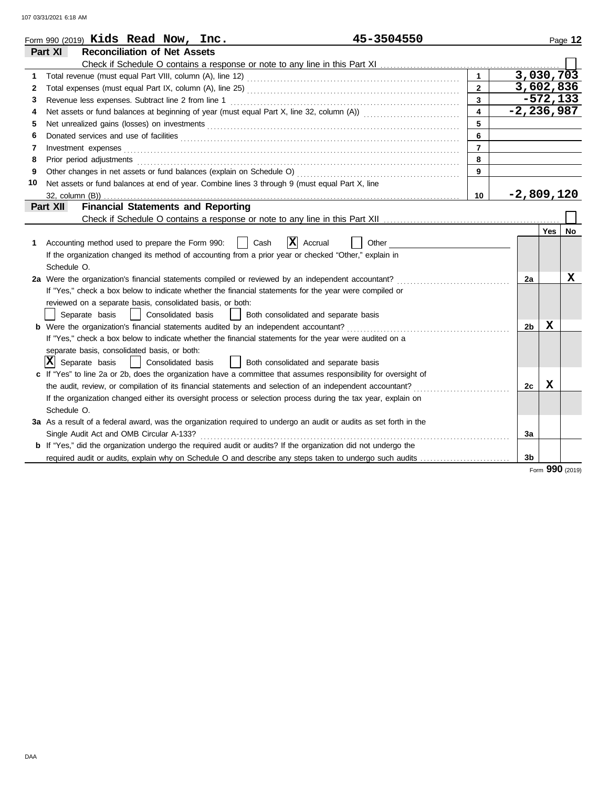|              | Form 990 (2019) Kids Read Now, Inc.<br>45-3504550                                                                                                                                                                             |                         |                |                | Page 12 |
|--------------|-------------------------------------------------------------------------------------------------------------------------------------------------------------------------------------------------------------------------------|-------------------------|----------------|----------------|---------|
|              | Part XI<br><b>Reconciliation of Net Assets</b>                                                                                                                                                                                |                         |                |                |         |
|              |                                                                                                                                                                                                                               |                         |                |                |         |
| 1            |                                                                                                                                                                                                                               | $\mathbf{1}$            |                | 3,030,703      |         |
| $\mathbf{2}$ |                                                                                                                                                                                                                               | $\overline{2}$          |                | 3,602,836      |         |
| 3            | Revenue less expenses. Subtract line 2 from line 1                                                                                                                                                                            | $\overline{\mathbf{3}}$ |                | $-572, 133$    |         |
| 4            |                                                                                                                                                                                                                               | $\overline{\mathbf{4}}$ |                | $-2, 236, 987$ |         |
| 5            | Net unrealized gains (losses) on investments [1] production in the unrealized gains (losses) on investments [1] production in the unrealized gains (losses) on investments [1] production in the unrealized gains (losses) on | 5                       |                |                |         |
| 6            |                                                                                                                                                                                                                               | 6                       |                |                |         |
| 7            | Investment expenses <b>constant expenses</b>                                                                                                                                                                                  | $\overline{7}$          |                |                |         |
| 8            | Prior period adjustments <b>construction and construction of the construction</b> and construction of the construction                                                                                                        | 8                       |                |                |         |
| 9            |                                                                                                                                                                                                                               | $\mathbf{9}$            |                |                |         |
| 10           | Net assets or fund balances at end of year. Combine lines 3 through 9 (must equal Part X, line                                                                                                                                |                         |                |                |         |
|              |                                                                                                                                                                                                                               | 10                      |                | $-2,809,120$   |         |
|              | <b>Financial Statements and Reporting</b><br>Part XII                                                                                                                                                                         |                         |                |                |         |
|              |                                                                                                                                                                                                                               |                         |                |                |         |
|              |                                                                                                                                                                                                                               |                         |                | <b>Yes</b>     | No      |
| 1            | $ \mathbf{X} $ Accrual<br>Accounting method used to prepare the Form 990:<br>Cash<br>Other                                                                                                                                    |                         |                |                |         |
|              | If the organization changed its method of accounting from a prior year or checked "Other," explain in                                                                                                                         |                         |                |                |         |
|              | Schedule O.                                                                                                                                                                                                                   |                         |                |                |         |
|              | 2a Were the organization's financial statements compiled or reviewed by an independent accountant?                                                                                                                            |                         | 2a             |                | x       |
|              | If "Yes," check a box below to indicate whether the financial statements for the year were compiled or                                                                                                                        |                         |                |                |         |
|              | reviewed on a separate basis, consolidated basis, or both:                                                                                                                                                                    |                         |                |                |         |
|              | Separate basis<br>Consolidated basis<br>  Both consolidated and separate basis                                                                                                                                                |                         |                |                |         |
|              | <b>b</b> Were the organization's financial statements audited by an independent accountant?                                                                                                                                   |                         | 2 <sub>b</sub> | X              |         |
|              | If "Yes," check a box below to indicate whether the financial statements for the year were audited on a                                                                                                                       |                         |                |                |         |
|              | separate basis, consolidated basis, or both:                                                                                                                                                                                  |                         |                |                |         |
|              | $ \mathbf{X} $ Separate basis<br>  Consolidated basis<br>  Both consolidated and separate basis                                                                                                                               |                         |                |                |         |
|              | c If "Yes" to line 2a or 2b, does the organization have a committee that assumes responsibility for oversight of                                                                                                              |                         |                |                |         |
|              | the audit, review, or compilation of its financial statements and selection of an independent accountant?                                                                                                                     |                         | 2c             | х              |         |
|              | If the organization changed either its oversight process or selection process during the tax year, explain on                                                                                                                 |                         |                |                |         |
|              | Schedule O.                                                                                                                                                                                                                   |                         |                |                |         |
|              | 3a As a result of a federal award, was the organization required to undergo an audit or audits as set forth in the                                                                                                            |                         |                |                |         |
|              | Single Audit Act and OMB Circular A-133?                                                                                                                                                                                      |                         | За             |                |         |
|              | <b>b</b> If "Yes," did the organization undergo the required audit or audits? If the organization did not undergo the                                                                                                         |                         |                |                |         |
|              | required audit or audits, explain why on Schedule O and describe any steps taken to undergo such audits                                                                                                                       |                         | 3 <sub>b</sub> |                |         |
|              |                                                                                                                                                                                                                               |                         |                |                |         |

Form **990** (2019)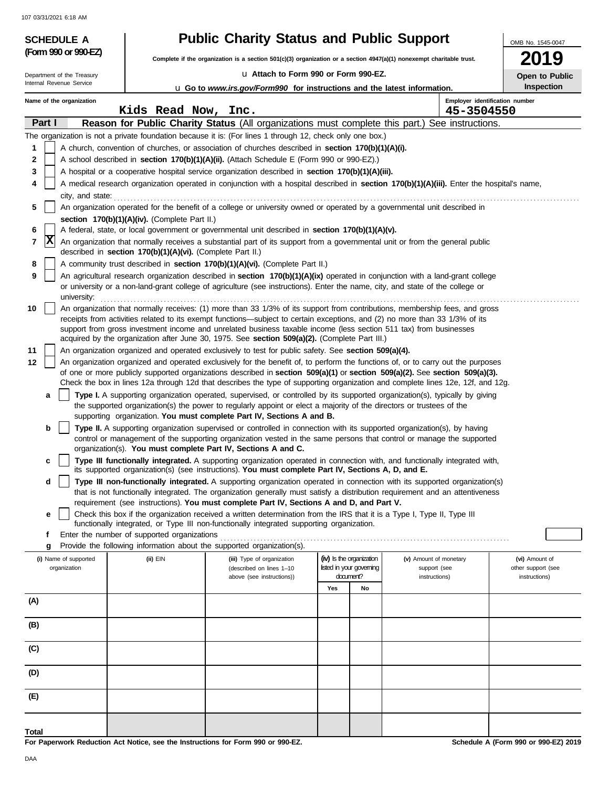Internal Revenue Service Department of the Treasury

**(Form 990 or 990-EZ)**

# **SCHEDULE A Public Charity Status and Public Support**

**Complete if the organization is a section 501(c)(3) organization or a section 4947(a)(1) nonexempt charitable trust.**

u **Attach to Form 990 or Form 990-EZ.**

| ZU 19                 |  |  |
|-----------------------|--|--|
| <b>Open to Public</b> |  |  |
| Inspection            |  |  |

OMB No. 1545-0047

**2019**

|       |        | Internal Revenue Service                                                                         |                                                            | <b>u Go to www.irs.gov/Form990 for instructions and the latest information.</b>                                                                                                                                                                                                                                                                                                                                                                                                  |     |                                                                   |                                                         |            | <b>Inspection</b>                                     |
|-------|--------|--------------------------------------------------------------------------------------------------|------------------------------------------------------------|----------------------------------------------------------------------------------------------------------------------------------------------------------------------------------------------------------------------------------------------------------------------------------------------------------------------------------------------------------------------------------------------------------------------------------------------------------------------------------|-----|-------------------------------------------------------------------|---------------------------------------------------------|------------|-------------------------------------------------------|
|       |        | Name of the organization                                                                         | Kids Read Now, Inc.                                        |                                                                                                                                                                                                                                                                                                                                                                                                                                                                                  |     |                                                                   |                                                         | 45-3504550 | Employer identification number                        |
|       | Part I |                                                                                                  |                                                            | Reason for Public Charity Status (All organizations must complete this part.) See instructions.                                                                                                                                                                                                                                                                                                                                                                                  |     |                                                                   |                                                         |            |                                                       |
|       |        |                                                                                                  |                                                            | The organization is not a private foundation because it is: (For lines 1 through 12, check only one box.)                                                                                                                                                                                                                                                                                                                                                                        |     |                                                                   |                                                         |            |                                                       |
| 1     |        |                                                                                                  |                                                            | A church, convention of churches, or association of churches described in section 170(b)(1)(A)(i).                                                                                                                                                                                                                                                                                                                                                                               |     |                                                                   |                                                         |            |                                                       |
| 2     |        |                                                                                                  |                                                            | A school described in <b>section 170(b)(1)(A)(ii).</b> (Attach Schedule E (Form 990 or 990-EZ).)                                                                                                                                                                                                                                                                                                                                                                                 |     |                                                                   |                                                         |            |                                                       |
| 3     |        |                                                                                                  |                                                            | A hospital or a cooperative hospital service organization described in section 170(b)(1)(A)(iii).                                                                                                                                                                                                                                                                                                                                                                                |     |                                                                   |                                                         |            |                                                       |
|       |        |                                                                                                  |                                                            | A medical research organization operated in conjunction with a hospital described in section 170(b)(1)(A)(iii). Enter the hospital's name,                                                                                                                                                                                                                                                                                                                                       |     |                                                                   |                                                         |            |                                                       |
|       |        | city, and state:                                                                                 |                                                            |                                                                                                                                                                                                                                                                                                                                                                                                                                                                                  |     |                                                                   |                                                         |            |                                                       |
| 5     |        |                                                                                                  | section 170(b)(1)(A)(iv). (Complete Part II.)              | An organization operated for the benefit of a college or university owned or operated by a governmental unit described in                                                                                                                                                                                                                                                                                                                                                        |     |                                                                   |                                                         |            |                                                       |
| 6     |        | A federal, state, or local government or governmental unit described in section 170(b)(1)(A)(v). |                                                            |                                                                                                                                                                                                                                                                                                                                                                                                                                                                                  |     |                                                                   |                                                         |            |                                                       |
| 7     | ΙX     |                                                                                                  | described in section 170(b)(1)(A)(vi). (Complete Part II.) | An organization that normally receives a substantial part of its support from a governmental unit or from the general public                                                                                                                                                                                                                                                                                                                                                     |     |                                                                   |                                                         |            |                                                       |
| 8     |        |                                                                                                  |                                                            | A community trust described in section 170(b)(1)(A)(vi). (Complete Part II.)                                                                                                                                                                                                                                                                                                                                                                                                     |     |                                                                   |                                                         |            |                                                       |
| 9     |        | university:                                                                                      |                                                            | An agricultural research organization described in section 170(b)(1)(A)(ix) operated in conjunction with a land-grant college<br>or university or a non-land-grant college of agriculture (see instructions). Enter the name, city, and state of the college or                                                                                                                                                                                                                  |     |                                                                   |                                                         |            |                                                       |
| 10    |        |                                                                                                  |                                                            | An organization that normally receives: (1) more than 33 1/3% of its support from contributions, membership fees, and gross<br>receipts from activities related to its exempt functions—subject to certain exceptions, and (2) no more than 33 1/3% of its<br>support from gross investment income and unrelated business taxable income (less section 511 tax) from businesses<br>acquired by the organization after June 30, 1975. See section 509(a)(2). (Complete Part III.) |     |                                                                   |                                                         |            |                                                       |
| 11    |        |                                                                                                  |                                                            | An organization organized and operated exclusively to test for public safety. See section 509(a)(4).                                                                                                                                                                                                                                                                                                                                                                             |     |                                                                   |                                                         |            |                                                       |
| 12    |        |                                                                                                  |                                                            | An organization organized and operated exclusively for the benefit of, to perform the functions of, or to carry out the purposes<br>of one or more publicly supported organizations described in section 509(a)(1) or section 509(a)(2). See section 509(a)(3).<br>Check the box in lines 12a through 12d that describes the type of supporting organization and complete lines 12e, 12f, and 12g.                                                                               |     |                                                                   |                                                         |            |                                                       |
|       | а      |                                                                                                  |                                                            | Type I. A supporting organization operated, supervised, or controlled by its supported organization(s), typically by giving<br>the supported organization(s) the power to regularly appoint or elect a majority of the directors or trustees of the                                                                                                                                                                                                                              |     |                                                                   |                                                         |            |                                                       |
|       |        |                                                                                                  |                                                            | supporting organization. You must complete Part IV, Sections A and B.                                                                                                                                                                                                                                                                                                                                                                                                            |     |                                                                   |                                                         |            |                                                       |
|       | b      |                                                                                                  |                                                            | Type II. A supporting organization supervised or controlled in connection with its supported organization(s), by having<br>control or management of the supporting organization vested in the same persons that control or manage the supported<br>organization(s). You must complete Part IV, Sections A and C.                                                                                                                                                                 |     |                                                                   |                                                         |            |                                                       |
|       | c      |                                                                                                  |                                                            | Type III functionally integrated. A supporting organization operated in connection with, and functionally integrated with,<br>its supported organization(s) (see instructions). You must complete Part IV, Sections A, D, and E.                                                                                                                                                                                                                                                 |     |                                                                   |                                                         |            |                                                       |
|       | d      |                                                                                                  |                                                            | Type III non-functionally integrated. A supporting organization operated in connection with its supported organization(s)<br>that is not functionally integrated. The organization generally must satisfy a distribution requirement and an attentiveness<br>requirement (see instructions). You must complete Part IV, Sections A and D, and Part V.                                                                                                                            |     |                                                                   |                                                         |            |                                                       |
|       | е      |                                                                                                  |                                                            | Check this box if the organization received a written determination from the IRS that it is a Type I, Type II, Type III<br>functionally integrated, or Type III non-functionally integrated supporting organization.                                                                                                                                                                                                                                                             |     |                                                                   |                                                         |            |                                                       |
|       | f      |                                                                                                  | Enter the number of supported organizations                |                                                                                                                                                                                                                                                                                                                                                                                                                                                                                  |     |                                                                   |                                                         |            |                                                       |
|       | g      |                                                                                                  |                                                            | Provide the following information about the supported organization(s).                                                                                                                                                                                                                                                                                                                                                                                                           |     |                                                                   |                                                         |            |                                                       |
|       |        | (i) Name of supported<br>organization                                                            | (ii) EIN                                                   | (iii) Type of organization<br>(described on lines 1-10<br>above (see instructions))                                                                                                                                                                                                                                                                                                                                                                                              |     | (iv) Is the organization<br>listed in your governing<br>document? | (v) Amount of monetary<br>support (see<br>instructions) |            | (vi) Amount of<br>other support (see<br>instructions) |
|       |        |                                                                                                  |                                                            |                                                                                                                                                                                                                                                                                                                                                                                                                                                                                  | Yes | No                                                                |                                                         |            |                                                       |
| (A)   |        |                                                                                                  |                                                            |                                                                                                                                                                                                                                                                                                                                                                                                                                                                                  |     |                                                                   |                                                         |            |                                                       |
| (B)   |        |                                                                                                  |                                                            |                                                                                                                                                                                                                                                                                                                                                                                                                                                                                  |     |                                                                   |                                                         |            |                                                       |
| (C)   |        |                                                                                                  |                                                            |                                                                                                                                                                                                                                                                                                                                                                                                                                                                                  |     |                                                                   |                                                         |            |                                                       |
| (D)   |        |                                                                                                  |                                                            |                                                                                                                                                                                                                                                                                                                                                                                                                                                                                  |     |                                                                   |                                                         |            |                                                       |
|       |        |                                                                                                  |                                                            |                                                                                                                                                                                                                                                                                                                                                                                                                                                                                  |     |                                                                   |                                                         |            |                                                       |
| (E)   |        |                                                                                                  |                                                            |                                                                                                                                                                                                                                                                                                                                                                                                                                                                                  |     |                                                                   |                                                         |            |                                                       |
| Total |        |                                                                                                  |                                                            |                                                                                                                                                                                                                                                                                                                                                                                                                                                                                  |     |                                                                   |                                                         |            |                                                       |

**For Paperwork Reduction Act Notice, see the Instructions for Form 990 or 990-EZ.**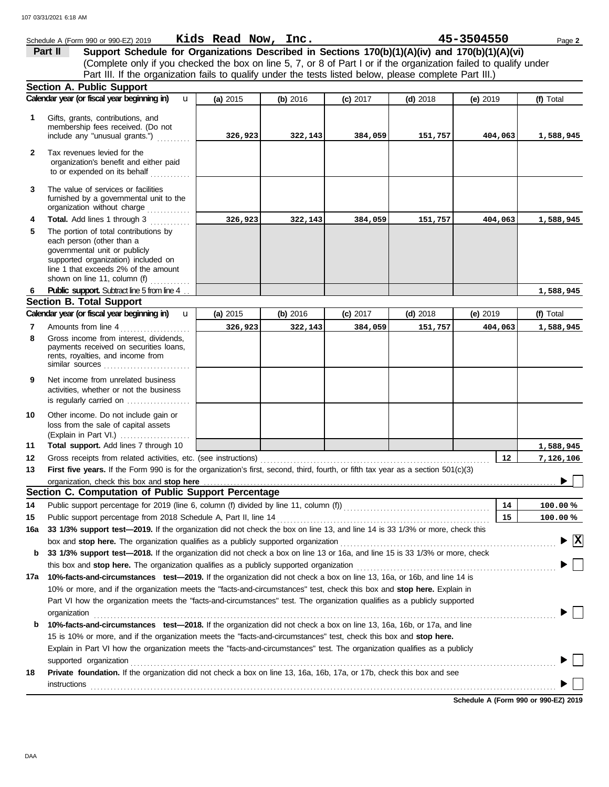|              | Schedule A (Form 990 or 990-EZ) 2019                                                                                                                                                                                           | Kids Read Now, Inc. |          |          |            | 45-3504550       | Page 2                                 |
|--------------|--------------------------------------------------------------------------------------------------------------------------------------------------------------------------------------------------------------------------------|---------------------|----------|----------|------------|------------------|----------------------------------------|
|              | Support Schedule for Organizations Described in Sections 170(b)(1)(A)(iv) and 170(b)(1)(A)(vi)<br>Part II                                                                                                                      |                     |          |          |            |                  |                                        |
|              | (Complete only if you checked the box on line 5, 7, or 8 of Part I or if the organization failed to qualify under                                                                                                              |                     |          |          |            |                  |                                        |
|              | Part III. If the organization fails to qualify under the tests listed below, please complete Part III.)                                                                                                                        |                     |          |          |            |                  |                                        |
|              | <b>Section A. Public Support</b>                                                                                                                                                                                               |                     |          |          |            |                  |                                        |
|              | Calendar year (or fiscal year beginning in)<br>u                                                                                                                                                                               | (a) 2015            | (b) 2016 | (c) 2017 | $(d)$ 2018 | (e) $2019$       | (f) Total                              |
| 1            |                                                                                                                                                                                                                                |                     |          |          |            |                  |                                        |
|              | Gifts, grants, contributions, and<br>membership fees received. (Do not                                                                                                                                                         |                     |          |          |            |                  |                                        |
|              | include any "unusual grants.")                                                                                                                                                                                                 | 326,923             | 322,143  | 384,059  | 151,757    | 404,063          | 1,588,945                              |
| $\mathbf{2}$ | Tax revenues levied for the                                                                                                                                                                                                    |                     |          |          |            |                  |                                        |
|              | organization's benefit and either paid                                                                                                                                                                                         |                     |          |          |            |                  |                                        |
|              | to or expended on its behalf                                                                                                                                                                                                   |                     |          |          |            |                  |                                        |
| 3            | The value of services or facilities                                                                                                                                                                                            |                     |          |          |            |                  |                                        |
|              | furnished by a governmental unit to the                                                                                                                                                                                        |                     |          |          |            |                  |                                        |
|              | organization without charge                                                                                                                                                                                                    |                     |          |          |            |                  |                                        |
| 4            | Total. Add lines 1 through 3                                                                                                                                                                                                   | 326,923             | 322,143  | 384,059  | 151,757    | 404,063          | 1,588,945                              |
| 5            | The portion of total contributions by                                                                                                                                                                                          |                     |          |          |            |                  |                                        |
|              | each person (other than a<br>governmental unit or publicly                                                                                                                                                                     |                     |          |          |            |                  |                                        |
|              | supported organization) included on                                                                                                                                                                                            |                     |          |          |            |                  |                                        |
|              | line 1 that exceeds 2% of the amount                                                                                                                                                                                           |                     |          |          |            |                  |                                        |
|              | shown on line 11, column (f) $\ldots$                                                                                                                                                                                          |                     |          |          |            |                  |                                        |
| 6            | <b>Public support.</b> Subtract line 5 from line 4<br><b>Section B. Total Support</b>                                                                                                                                          |                     |          |          |            |                  | 1,588,945                              |
|              | Calendar year (or fiscal year beginning in)<br>$\mathbf{u}$                                                                                                                                                                    |                     |          |          |            |                  |                                        |
|              |                                                                                                                                                                                                                                | (a) 2015            | (b) 2016 | (c) 2017 | $(d)$ 2018 | (e) $2019$       | (f) Total                              |
| 7            | Amounts from line 4                                                                                                                                                                                                            | 326,923             | 322,143  | 384,059  | 151,757    | 404,063          | 1,588,945                              |
| 8            | Gross income from interest, dividends,<br>payments received on securities loans,                                                                                                                                               |                     |          |          |            |                  |                                        |
|              | rents, royalties, and income from                                                                                                                                                                                              |                     |          |          |            |                  |                                        |
|              | similar sources                                                                                                                                                                                                                |                     |          |          |            |                  |                                        |
| 9            | Net income from unrelated business                                                                                                                                                                                             |                     |          |          |            |                  |                                        |
|              | activities, whether or not the business                                                                                                                                                                                        |                     |          |          |            |                  |                                        |
|              | is regularly carried on $\ldots$ , $\ldots$ , $\ldots$                                                                                                                                                                         |                     |          |          |            |                  |                                        |
| 10           | Other income. Do not include gain or                                                                                                                                                                                           |                     |          |          |            |                  |                                        |
|              | loss from the sale of capital assets<br>(Explain in Part VI.)                                                                                                                                                                  |                     |          |          |            |                  |                                        |
| 11           | Total support. Add lines 7 through 10                                                                                                                                                                                          |                     |          |          |            |                  | 1,588,945                              |
| 12           |                                                                                                                                                                                                                                |                     |          |          |            | 12 <sup>12</sup> | 7,126,106                              |
| 13           | First five years. If the Form 990 is for the organization's first, second, third, fourth, or fifth tax year as a section 501(c)(3)                                                                                             |                     |          |          |            |                  |                                        |
|              |                                                                                                                                                                                                                                |                     |          |          |            |                  | $\overline{\phantom{0}}$<br>▸          |
|              | Section C. Computation of Public Support Percentage                                                                                                                                                                            |                     |          |          |            |                  |                                        |
| 14           | Public support percentage for 2019 (line 6, column (f) divided by line 11, column (f) [[[[[[[[[[[[[[[[[[[[[[[                                                                                                                  |                     |          |          |            | 14               | 100.00%                                |
| 15           |                                                                                                                                                                                                                                |                     |          |          |            | 15               | 100.00%                                |
| 16a          | 33 1/3% support test-2019. If the organization did not check the box on line 13, and line 14 is 33 1/3% or more, check this                                                                                                    |                     |          |          |            |                  |                                        |
|              |                                                                                                                                                                                                                                |                     |          |          |            |                  | $\blacktriangleright \boxed{\text{X}}$ |
| b            | 33 1/3% support test-2018. If the organization did not check a box on line 13 or 16a, and line 15 is 33 1/3% or more, check                                                                                                    |                     |          |          |            |                  |                                        |
|              |                                                                                                                                                                                                                                |                     |          |          |            |                  |                                        |
| 17a          | 10%-facts-and-circumstances test-2019. If the organization did not check a box on line 13, 16a, or 16b, and line 14 is                                                                                                         |                     |          |          |            |                  |                                        |
|              | 10% or more, and if the organization meets the "facts-and-circumstances" test, check this box and stop here. Explain in                                                                                                        |                     |          |          |            |                  |                                        |
|              | Part VI how the organization meets the "facts-and-circumstances" test. The organization qualifies as a publicly supported                                                                                                      |                     |          |          |            |                  |                                        |
|              | organization                                                                                                                                                                                                                   |                     |          |          |            |                  |                                        |
| b            | 10%-facts-and-circumstances test-2018. If the organization did not check a box on line 13, 16a, 16b, or 17a, and line                                                                                                          |                     |          |          |            |                  |                                        |
|              | 15 is 10% or more, and if the organization meets the "facts-and-circumstances" test, check this box and stop here.                                                                                                             |                     |          |          |            |                  |                                        |
|              | Explain in Part VI how the organization meets the "facts-and-circumstances" test. The organization qualifies as a publicly                                                                                                     |                     |          |          |            |                  |                                        |
|              | supported organization with the contract of the contract of the contract of the contract of the contract of the contract of the contract of the contract of the contract of the contract of the contract of the contract of th |                     |          |          |            |                  |                                        |
| 18           | Private foundation. If the organization did not check a box on line 13, 16a, 16b, 17a, or 17b, check this box and see                                                                                                          |                     |          |          |            |                  |                                        |
|              |                                                                                                                                                                                                                                |                     |          |          |            |                  |                                        |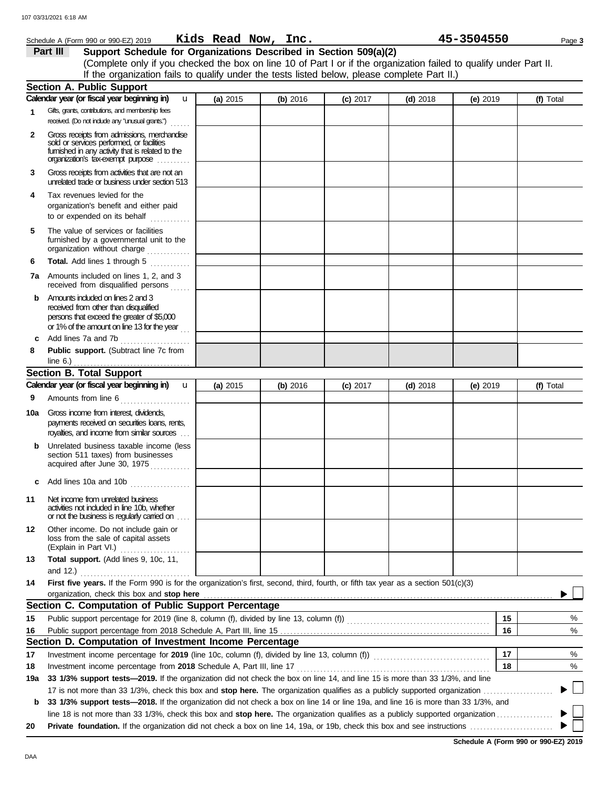|     | Schedule A (Form 990 or 990-EZ) 2019                                                                                                                                                                                           | Kids Read Now, Inc. |          |            |            | 45-3504550 | Page 3    |
|-----|--------------------------------------------------------------------------------------------------------------------------------------------------------------------------------------------------------------------------------|---------------------|----------|------------|------------|------------|-----------|
|     | Support Schedule for Organizations Described in Section 509(a)(2)<br>Part III                                                                                                                                                  |                     |          |            |            |            |           |
|     | (Complete only if you checked the box on line 10 of Part I or if the organization failed to qualify under Part II.                                                                                                             |                     |          |            |            |            |           |
|     | If the organization fails to qualify under the tests listed below, please complete Part II.)                                                                                                                                   |                     |          |            |            |            |           |
|     | <b>Section A. Public Support</b>                                                                                                                                                                                               |                     |          |            |            |            |           |
|     | Calendar year (or fiscal year beginning in)<br><b>u</b>                                                                                                                                                                        | (a) 2015            | (b) 2016 | (c) 2017   | (d) $2018$ | (e) $2019$ | (f) Total |
| 1   | Gifts, grants, contributions, and membership fees<br>received. (Do not include any "unusual grants.")                                                                                                                          |                     |          |            |            |            |           |
| 2   | Gross receipts from admissions, merchandise<br>sold or services performed, or facilities<br>furnished in any activity that is related to the<br>organization's tax-exempt purpose                                              |                     |          |            |            |            |           |
| 3   | Gross receipts from activities that are not an<br>unrelated trade or business under section 513                                                                                                                                |                     |          |            |            |            |           |
| 4   | Tax revenues levied for the<br>organization's benefit and either paid<br>to or expended on its behalf                                                                                                                          |                     |          |            |            |            |           |
| 5   | The value of services or facilities<br>furnished by a governmental unit to the<br>organization without charge                                                                                                                  |                     |          |            |            |            |           |
| 6   | Total. Add lines 1 through 5                                                                                                                                                                                                   |                     |          |            |            |            |           |
|     | <b>7a</b> Amounts included on lines 1, 2, and 3<br>received from disqualified persons                                                                                                                                          |                     |          |            |            |            |           |
| b   | Amounts included on lines 2 and 3<br>received from other than disqualified<br>persons that exceed the greater of \$5,000<br>or 1% of the amount on line 13 for the year                                                        |                     |          |            |            |            |           |
| c   |                                                                                                                                                                                                                                |                     |          |            |            |            |           |
| 8   | Public support. (Subtract line 7c from<br>line $6.$ )                                                                                                                                                                          |                     |          |            |            |            |           |
|     | <b>Section B. Total Support</b>                                                                                                                                                                                                |                     |          |            |            |            |           |
|     | Calendar year (or fiscal year beginning in)<br>$\mathbf{u}$                                                                                                                                                                    | (a) 2015            | (b) 2016 | $(c)$ 2017 | $(d)$ 2018 | (e) $2019$ | (f) Total |
| 9   | Amounts from line 6                                                                                                                                                                                                            |                     |          |            |            |            |           |
| 10a | Gross income from interest, dividends.<br>payments received on securities loans, rents,                                                                                                                                        |                     |          |            |            |            |           |
|     | royalties, and income from similar sources                                                                                                                                                                                     |                     |          |            |            |            |           |
| b   | Unrelated business taxable income (less<br>section 511 taxes) from businesses<br>acquired after June 30, 1975                                                                                                                  |                     |          |            |            |            |           |
| с   | Add lines 10a and 10b                                                                                                                                                                                                          |                     |          |            |            |            |           |
| 11  | Net income from unrelated business<br>activities not induded in line 10b, whether<br>or not the business is regularly carried on<br>1.11                                                                                       |                     |          |            |            |            |           |
| 12  | Other income. Do not include gain or<br>loss from the sale of capital assets                                                                                                                                                   |                     |          |            |            |            |           |
| 13  | Total support. (Add lines 9, 10c, 11,<br>and 12.) $\ldots$                                                                                                                                                                     |                     |          |            |            |            |           |
| 14  | First five years. If the Form 990 is for the organization's first, second, third, fourth, or fifth tax year as a section 501(c)(3)<br>organization, check this box and stop here                                               |                     |          |            |            |            |           |
|     | Section C. Computation of Public Support Percentage                                                                                                                                                                            |                     |          |            |            |            |           |
| 15  |                                                                                                                                                                                                                                |                     |          |            |            | 15         | %         |
| 16  |                                                                                                                                                                                                                                |                     |          |            |            | 16         | $\%$      |
|     | Section D. Computation of Investment Income Percentage                                                                                                                                                                         |                     |          |            |            |            |           |
| 17  | Investment income percentage for 2019 (line 10c, column (f), divided by line 13, column (f)) contain the percentage of the 10c, column (f) and the set of the set of the set of the set of the 13, column (f) and the percenta |                     |          |            |            | 17         | %         |
| 18  |                                                                                                                                                                                                                                |                     |          |            |            | 18         | %         |
| 19a | 33 1/3% support tests-2019. If the organization did not check the box on line 14, and line 15 is more than 33 1/3%, and line                                                                                                   |                     |          |            |            |            |           |
|     |                                                                                                                                                                                                                                |                     |          |            |            |            |           |
| b   | 33 1/3% support tests-2018. If the organization did not check a box on line 14 or line 19a, and line 16 is more than 33 1/3%, and                                                                                              |                     |          |            |            |            |           |
|     |                                                                                                                                                                                                                                |                     |          |            |            |            |           |
| 20  |                                                                                                                                                                                                                                |                     |          |            |            |            |           |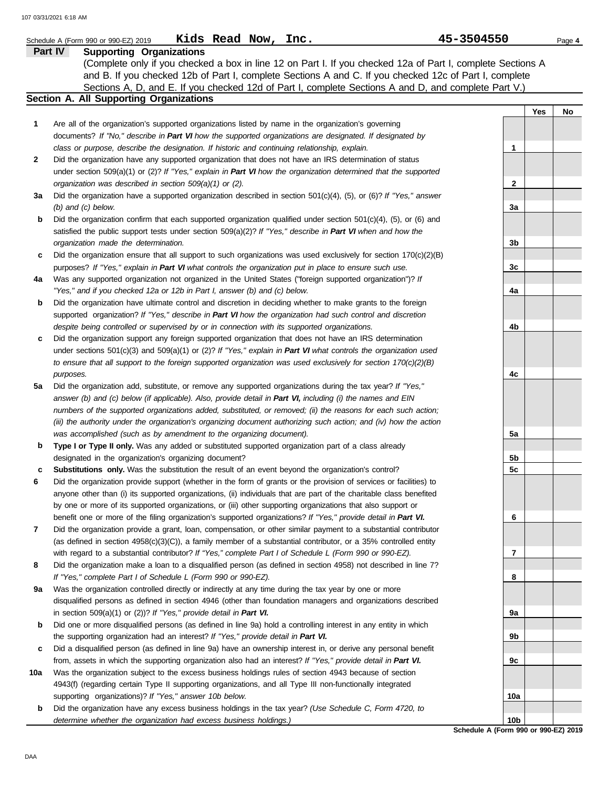|              | Kids Read Now, Inc.<br>Schedule A (Form 990 or 990-EZ) 2019                                                                                                                                                                                                                                                                                                                                                                                                                 | 45-3504550      |     | Page 4 |
|--------------|-----------------------------------------------------------------------------------------------------------------------------------------------------------------------------------------------------------------------------------------------------------------------------------------------------------------------------------------------------------------------------------------------------------------------------------------------------------------------------|-----------------|-----|--------|
|              | <b>Supporting Organizations</b><br>Part IV<br>(Complete only if you checked a box in line 12 on Part I. If you checked 12a of Part I, complete Sections A<br>and B. If you checked 12b of Part I, complete Sections A and C. If you checked 12c of Part I, complete<br>Sections A, D, and E. If you checked 12d of Part I, complete Sections A and D, and complete Part V.)                                                                                                 |                 |     |        |
|              | Section A. All Supporting Organizations                                                                                                                                                                                                                                                                                                                                                                                                                                     |                 | Yes | No     |
| 1            | Are all of the organization's supported organizations listed by name in the organization's governing<br>documents? If "No," describe in Part VI how the supported organizations are designated. If designated by<br>class or purpose, describe the designation. If historic and continuing relationship, explain.                                                                                                                                                           | 1               |     |        |
| $\mathbf{2}$ | Did the organization have any supported organization that does not have an IRS determination of status<br>under section 509(a)(1) or (2)? If "Yes," explain in Part VI how the organization determined that the supported<br>organization was described in section 509(a)(1) or (2).                                                                                                                                                                                        | 2               |     |        |
| За           | Did the organization have a supported organization described in section $501(c)(4)$ , (5), or (6)? If "Yes," answer<br>$(b)$ and $(c)$ below.                                                                                                                                                                                                                                                                                                                               | За              |     |        |
| b            | Did the organization confirm that each supported organization qualified under section $501(c)(4)$ , $(5)$ , or $(6)$ and<br>satisfied the public support tests under section 509(a)(2)? If "Yes," describe in Part VI when and how the<br>organization made the determination.                                                                                                                                                                                              | 3b              |     |        |
| c            | Did the organization ensure that all support to such organizations was used exclusively for section $170(c)(2)(B)$<br>purposes? If "Yes," explain in Part VI what controls the organization put in place to ensure such use.                                                                                                                                                                                                                                                | 3c              |     |        |
| 4a<br>b      | Was any supported organization not organized in the United States ("foreign supported organization")? If<br>"Yes," and if you checked 12a or 12b in Part I, answer (b) and (c) below.<br>Did the organization have ultimate control and discretion in deciding whether to make grants to the foreign                                                                                                                                                                        | 4a              |     |        |
|              | supported organization? If "Yes," describe in Part VI how the organization had such control and discretion<br>despite being controlled or supervised by or in connection with its supported organizations.                                                                                                                                                                                                                                                                  | 4b              |     |        |
| c            | Did the organization support any foreign supported organization that does not have an IRS determination<br>under sections $501(c)(3)$ and $509(a)(1)$ or (2)? If "Yes," explain in Part VI what controls the organization used<br>to ensure that all support to the foreign supported organization was used exclusively for section $170(c)(2)(B)$                                                                                                                          |                 |     |        |
| 5a           | purposes.<br>Did the organization add, substitute, or remove any supported organizations during the tax year? If "Yes,"<br>answer (b) and (c) below (if applicable). Also, provide detail in Part VI, including (i) the names and EIN<br>numbers of the supported organizations added, substituted, or removed; (ii) the reasons for each such action;<br>(iii) the authority under the organization's organizing document authorizing such action; and (iv) how the action | 4с              |     |        |
| b            | was accomplished (such as by amendment to the organizing document).<br>Type I or Type II only. Was any added or substituted supported organization part of a class already                                                                                                                                                                                                                                                                                                  | 5a              |     |        |
|              | designated in the organization's organizing document?                                                                                                                                                                                                                                                                                                                                                                                                                       | 5b              |     |        |
| c<br>6       | Substitutions only. Was the substitution the result of an event beyond the organization's control?<br>Did the organization provide support (whether in the form of grants or the provision of services or facilities) to<br>anyone other than (i) its supported organizations, (ii) individuals that are part of the charitable class benefited<br>by one or more of its supported organizations, or (iii) other supporting organizations that also support or              | 5c              |     |        |
| 7            | benefit one or more of the filing organization's supported organizations? If "Yes," provide detail in Part VI.<br>Did the organization provide a grant, loan, compensation, or other similar payment to a substantial contributor<br>(as defined in section $4958(c)(3)(C)$ ), a family member of a substantial contributor, or a 35% controlled entity                                                                                                                     | 6               |     |        |
| 8            | with regard to a substantial contributor? If "Yes," complete Part I of Schedule L (Form 990 or 990-EZ).<br>Did the organization make a loan to a disqualified person (as defined in section 4958) not described in line 7?<br>If "Yes," complete Part I of Schedule L (Form 990 or 990-EZ).                                                                                                                                                                                 | 7<br>8          |     |        |
| 9а           | Was the organization controlled directly or indirectly at any time during the tax year by one or more<br>disqualified persons as defined in section 4946 (other than foundation managers and organizations described<br>in section $509(a)(1)$ or (2))? If "Yes," provide detail in Part VI.                                                                                                                                                                                | 9а              |     |        |
| b            | Did one or more disqualified persons (as defined in line 9a) hold a controlling interest in any entity in which<br>the supporting organization had an interest? If "Yes," provide detail in Part VI.<br>Did a disqualified person (as defined in line 9a) have an ownership interest in, or derive any personal benefit                                                                                                                                                     | 9b              |     |        |
| с<br>10a     | from, assets in which the supporting organization also had an interest? If "Yes," provide detail in Part VI.<br>Was the organization subject to the excess business holdings rules of section 4943 because of section                                                                                                                                                                                                                                                       | 9c              |     |        |
| b            | 4943(f) (regarding certain Type II supporting organizations, and all Type III non-functionally integrated<br>supporting organizations)? If "Yes," answer 10b below.<br>Did the organization have any excess business holdings in the tax year? (Use Schedule C, Form 4720, to                                                                                                                                                                                               | 10a             |     |        |
|              | determine whether the organization had excess business holdings.)                                                                                                                                                                                                                                                                                                                                                                                                           | 10 <sub>b</sub> |     |        |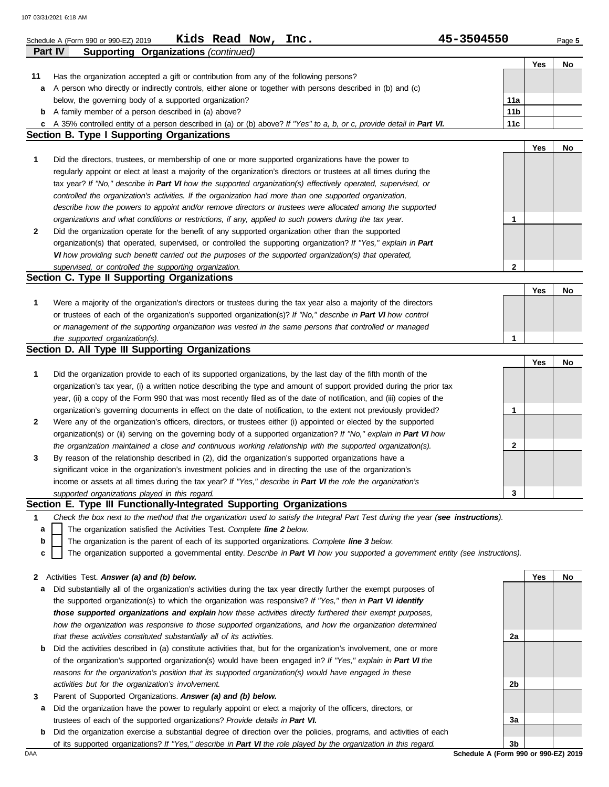|              | Kids Read Now,<br>Inc.<br>Schedule A (Form 990 or 990-EZ) 2019                                                                    | 45-3504550      |     | Page 5 |
|--------------|-----------------------------------------------------------------------------------------------------------------------------------|-----------------|-----|--------|
|              | <b>Supporting Organizations (continued)</b><br><b>Part IV</b>                                                                     |                 |     |        |
|              |                                                                                                                                   |                 | Yes | No     |
| 11           | Has the organization accepted a gift or contribution from any of the following persons?                                           |                 |     |        |
| а            | A person who directly or indirectly controls, either alone or together with persons described in (b) and (c)                      |                 |     |        |
|              | below, the governing body of a supported organization?                                                                            | 11a             |     |        |
|              | <b>b</b> A family member of a person described in (a) above?                                                                      | 11 <sub>b</sub> |     |        |
| c            | A 35% controlled entity of a person described in (a) or (b) above? If "Yes" to a, b, or c, provide detail in Part VI.             | 11c             |     |        |
|              | <b>Section B. Type I Supporting Organizations</b>                                                                                 |                 |     |        |
|              |                                                                                                                                   |                 | Yes | No     |
| 1            | Did the directors, trustees, or membership of one or more supported organizations have the power to                               |                 |     |        |
|              | regularly appoint or elect at least a majority of the organization's directors or trustees at all times during the                |                 |     |        |
|              | tax year? If "No," describe in Part VI how the supported organization(s) effectively operated, supervised, or                     |                 |     |        |
|              | controlled the organization's activities. If the organization had more than one supported organization,                           |                 |     |        |
|              | describe how the powers to appoint and/or remove directors or trustees were allocated among the supported                         |                 |     |        |
|              | organizations and what conditions or restrictions, if any, applied to such powers during the tax year.                            | 1               |     |        |
| $\mathbf{2}$ | Did the organization operate for the benefit of any supported organization other than the supported                               |                 |     |        |
|              | organization(s) that operated, supervised, or controlled the supporting organization? If "Yes," explain in Part                   |                 |     |        |
|              | VI how providing such benefit carried out the purposes of the supported organization(s) that operated,                            |                 |     |        |
|              | supervised, or controlled the supporting organization.                                                                            | 2               |     |        |
|              | Section C. Type II Supporting Organizations                                                                                       |                 |     |        |
|              |                                                                                                                                   |                 | Yes | No     |
| 1            | Were a majority of the organization's directors or trustees during the tax year also a majority of the directors                  |                 |     |        |
|              | or trustees of each of the organization's supported organization(s)? If "No," describe in Part VI how control                     |                 |     |        |
|              | or management of the supporting organization was vested in the same persons that controlled or managed                            |                 |     |        |
|              | the supported organization(s).                                                                                                    | 1               |     |        |
|              | Section D. All Type III Supporting Organizations                                                                                  |                 |     |        |
|              |                                                                                                                                   |                 | Yes | No     |
| 1            | Did the organization provide to each of its supported organizations, by the last day of the fifth month of the                    |                 |     |        |
|              | organization's tax year, (i) a written notice describing the type and amount of support provided during the prior tax             |                 |     |        |
|              | year, (ii) a copy of the Form 990 that was most recently filed as of the date of notification, and (iii) copies of the            |                 |     |        |
|              | organization's governing documents in effect on the date of notification, to the extent not previously provided?                  | 1               |     |        |
| $\mathbf{2}$ | Were any of the organization's officers, directors, or trustees either (i) appointed or elected by the supported                  |                 |     |        |
|              | organization(s) or (ii) serving on the governing body of a supported organization? If "No," explain in Part VI how                |                 |     |        |
|              | the organization maintained a close and continuous working relationship with the supported organization(s).                       | 2               |     |        |
| 3            | By reason of the relationship described in (2), did the organization's supported organizations have a                             |                 |     |        |
|              | significant voice in the organization's investment policies and in directing the use of the organization's                        |                 |     |        |
|              | income or assets at all times during the tax year? If "Yes," describe in Part VI the role the organization's                      | 3               |     |        |
|              | supported organizations played in this regard.<br>Section E. Type III Functionally-Integrated Supporting Organizations            |                 |     |        |
| 1            | Check the box next to the method that the organization used to satisfy the Integral Part Test during the year (see instructions). |                 |     |        |
| а            | The organization satisfied the Activities Test. Complete line 2 below.                                                            |                 |     |        |
| b            | The organization is the parent of each of its supported organizations. Complete line 3 below.                                     |                 |     |        |
| c            | The organization supported a governmental entity. Describe in Part VI how you supported a government entity (see instructions).   |                 |     |        |
|              |                                                                                                                                   |                 |     |        |
| 2            | Activities Test. Answer (a) and (b) below.                                                                                        |                 | Yes | No     |
| а            | Did substantially all of the organization's activities during the tax year directly further the exempt purposes of                |                 |     |        |
|              | the supported organization(s) to which the organization was responsive? If "Yes," then in Part VI identify                        |                 |     |        |
|              | those supported organizations and explain how these activities directly furthered their exempt purposes,                          |                 |     |        |
|              | how the organization was responsive to those supported organizations, and how the organization determined                         |                 |     |        |
|              | that these activities constituted substantially all of its activities.                                                            | 2a              |     |        |
| b            | Did the activities described in (a) constitute activities that, but for the organization's involvement, one or more               |                 |     |        |
|              | of the organization's supported organization(s) would have been engaged in? If "Yes," explain in Part VI the                      |                 |     |        |
|              | reasons for the organization's position that its supported organization(s) would have engaged in these                            |                 |     |        |
|              | activities but for the organization's involvement.                                                                                | 2b              |     |        |
| 3            | Parent of Supported Organizations. Answer (a) and (b) below.                                                                      |                 |     |        |
|              | Did the organization have the power to regularly appoint or elect a majority of the officers, directors, or                       |                 |     |        |
| а            | trustees of each of the supported organizations? Provide details in Part VI.                                                      | За              |     |        |
| b            | Did the organization exercise a substantial degree of direction over the policies, programs, and activities of each               |                 |     |        |
|              | of its supported organizations? If "Yes," describe in Part VI the role played by the organization in this regard.                 | 3b              |     |        |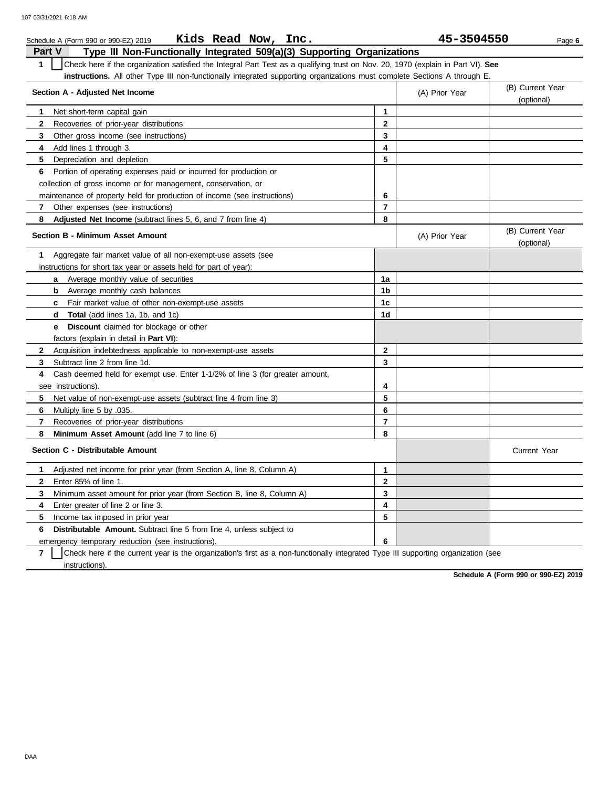|               | Kids Read Now, Inc.<br>Schedule A (Form 990 or 990-EZ) 2019                                                                      |                | 45-3504550     |                                | Page 6 |
|---------------|----------------------------------------------------------------------------------------------------------------------------------|----------------|----------------|--------------------------------|--------|
| <b>Part V</b> | Type III Non-Functionally Integrated 509(a)(3) Supporting Organizations                                                          |                |                |                                |        |
| $\mathbf{1}$  | Check here if the organization satisfied the Integral Part Test as a qualifying trust on Nov. 20, 1970 (explain in Part VI). See |                |                |                                |        |
|               | instructions. All other Type III non-functionally integrated supporting organizations must complete Sections A through E.        |                |                |                                |        |
|               | Section A - Adjusted Net Income                                                                                                  |                |                | (B) Current Year               |        |
|               |                                                                                                                                  |                | (A) Prior Year | (optional)                     |        |
| 1             | Net short-term capital gain                                                                                                      | 1              |                |                                |        |
| $\mathbf{2}$  | Recoveries of prior-year distributions                                                                                           | $\mathbf{2}$   |                |                                |        |
| 3             | Other gross income (see instructions)                                                                                            | 3              |                |                                |        |
| 4             | Add lines 1 through 3.                                                                                                           | 4              |                |                                |        |
| 5             | Depreciation and depletion                                                                                                       | 5              |                |                                |        |
| 6             | Portion of operating expenses paid or incurred for production or                                                                 |                |                |                                |        |
|               | collection of gross income or for management, conservation, or                                                                   |                |                |                                |        |
|               | maintenance of property held for production of income (see instructions)                                                         | 6              |                |                                |        |
| 7             | Other expenses (see instructions)                                                                                                | $\overline{7}$ |                |                                |        |
| 8             | Adjusted Net Income (subtract lines 5, 6, and 7 from line 4)                                                                     | 8              |                |                                |        |
|               | Section B - Minimum Asset Amount                                                                                                 |                | (A) Prior Year | (B) Current Year<br>(optional) |        |
| 1             | Aggregate fair market value of all non-exempt-use assets (see                                                                    |                |                |                                |        |
|               | instructions for short tax year or assets held for part of year):                                                                |                |                |                                |        |
|               | <b>a</b> Average monthly value of securities                                                                                     | 1a             |                |                                |        |
|               | Average monthly cash balances<br>b                                                                                               | 1b             |                |                                |        |
|               | Fair market value of other non-exempt-use assets<br>c.                                                                           | 1 <sub>c</sub> |                |                                |        |
|               | <b>Total</b> (add lines 1a, 1b, and 1c)<br>d.                                                                                    | 1d             |                |                                |        |
|               | <b>e</b> Discount claimed for blockage or other                                                                                  |                |                |                                |        |
|               | factors (explain in detail in Part VI):                                                                                          |                |                |                                |        |
| $\mathbf{2}$  | Acquisition indebtedness applicable to non-exempt-use assets                                                                     | $\mathbf{2}$   |                |                                |        |
| 3             | Subtract line 2 from line 1d.                                                                                                    | 3              |                |                                |        |
| 4             | Cash deemed held for exempt use. Enter 1-1/2% of line 3 (for greater amount,                                                     |                |                |                                |        |
|               | see instructions).                                                                                                               | 4              |                |                                |        |
| 5             | Net value of non-exempt-use assets (subtract line 4 from line 3)                                                                 | 5              |                |                                |        |
| 6             | Multiply line 5 by .035.                                                                                                         | 6              |                |                                |        |
| 7             | Recoveries of prior-year distributions                                                                                           | $\overline{7}$ |                |                                |        |
| 8             | Minimum Asset Amount (add line 7 to line 6)                                                                                      | 8              |                |                                |        |
|               | Section C - Distributable Amount                                                                                                 |                |                | <b>Current Year</b>            |        |
| 1             | Adjusted net income for prior year (from Section A, line 8, Column A)                                                            | $\mathbf{1}$   |                |                                |        |
| $\mathbf{2}$  | Enter 85% of line 1.                                                                                                             | 2              |                |                                |        |
| 3             | Minimum asset amount for prior year (from Section B, line 8, Column A)                                                           | 3              |                |                                |        |
| 4             | Enter greater of line 2 or line 3.                                                                                               | 4              |                |                                |        |
| 5             | Income tax imposed in prior year                                                                                                 | 5              |                |                                |        |
| 6             | <b>Distributable Amount.</b> Subtract line 5 from line 4, unless subject to                                                      |                |                |                                |        |
|               | emergency temporary reduction (see instructions).                                                                                | 6              |                |                                |        |

**7** instructions). Check here if the current year is the organization's first as a non-functionally integrated Type III supporting organization (see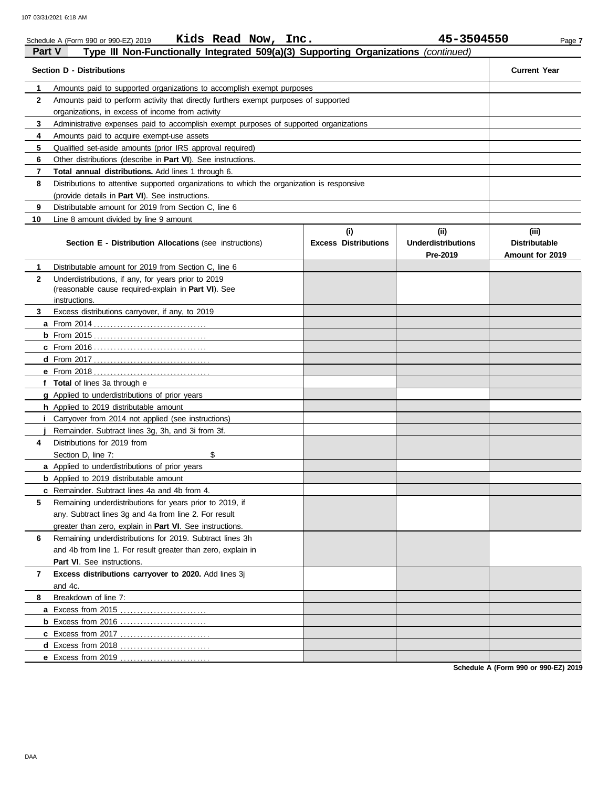|              | Kids Read Now, Inc.<br>Schedule A (Form 990 or 990-EZ) 2019                                |                                    | 45-3504550                                    | Page 7                                           |
|--------------|--------------------------------------------------------------------------------------------|------------------------------------|-----------------------------------------------|--------------------------------------------------|
| Part V       | Type III Non-Functionally Integrated 509(a)(3) Supporting Organizations (continued)        |                                    |                                               |                                                  |
|              | <b>Section D - Distributions</b>                                                           |                                    |                                               | <b>Current Year</b>                              |
| 1            | Amounts paid to supported organizations to accomplish exempt purposes                      |                                    |                                               |                                                  |
| $\mathbf{2}$ | Amounts paid to perform activity that directly furthers exempt purposes of supported       |                                    |                                               |                                                  |
|              | organizations, in excess of income from activity                                           |                                    |                                               |                                                  |
| 3            | Administrative expenses paid to accomplish exempt purposes of supported organizations      |                                    |                                               |                                                  |
| 4            | Amounts paid to acquire exempt-use assets                                                  |                                    |                                               |                                                  |
| 5            | Qualified set-aside amounts (prior IRS approval required)                                  |                                    |                                               |                                                  |
| 6            | Other distributions (describe in Part VI). See instructions.                               |                                    |                                               |                                                  |
| 7            | Total annual distributions. Add lines 1 through 6.                                         |                                    |                                               |                                                  |
| 8            | Distributions to attentive supported organizations to which the organization is responsive |                                    |                                               |                                                  |
|              | (provide details in Part VI). See instructions.                                            |                                    |                                               |                                                  |
| 9            | Distributable amount for 2019 from Section C, line 6                                       |                                    |                                               |                                                  |
| 10           | Line 8 amount divided by line 9 amount                                                     |                                    |                                               |                                                  |
|              | Section E - Distribution Allocations (see instructions)                                    | (i)<br><b>Excess Distributions</b> | (ii)<br><b>Underdistributions</b><br>Pre-2019 | (iii)<br><b>Distributable</b><br>Amount for 2019 |
| 1            | Distributable amount for 2019 from Section C, line 6                                       |                                    |                                               |                                                  |
| $\mathbf{2}$ | Underdistributions, if any, for years prior to 2019                                        |                                    |                                               |                                                  |
|              | (reasonable cause required-explain in Part VI). See                                        |                                    |                                               |                                                  |
|              | instructions.                                                                              |                                    |                                               |                                                  |
| 3            | Excess distributions carryover, if any, to 2019                                            |                                    |                                               |                                                  |
|              |                                                                                            |                                    |                                               |                                                  |
|              |                                                                                            |                                    |                                               |                                                  |
|              |                                                                                            |                                    |                                               |                                                  |
|              |                                                                                            |                                    |                                               |                                                  |
|              |                                                                                            |                                    |                                               |                                                  |
|              | f Total of lines 3a through e                                                              |                                    |                                               |                                                  |
|              | g Applied to underdistributions of prior years                                             |                                    |                                               |                                                  |
|              | h Applied to 2019 distributable amount                                                     |                                    |                                               |                                                  |
| Î.           | Carryover from 2014 not applied (see instructions)                                         |                                    |                                               |                                                  |
|              | Remainder. Subtract lines 3g, 3h, and 3i from 3f.                                          |                                    |                                               |                                                  |
| 4            | Distributions for 2019 from                                                                |                                    |                                               |                                                  |
|              | Section D, line 7:<br>\$                                                                   |                                    |                                               |                                                  |
|              | a Applied to underdistributions of prior years                                             |                                    |                                               |                                                  |
|              | <b>b</b> Applied to 2019 distributable amount                                              |                                    |                                               |                                                  |
|              | c Remainder. Subtract lines 4a and 4b from 4.                                              |                                    |                                               |                                                  |
| 5            | Remaining underdistributions for years prior to 2019, if                                   |                                    |                                               |                                                  |
|              | any. Subtract lines 3g and 4a from line 2. For result                                      |                                    |                                               |                                                  |
|              | greater than zero, explain in Part VI. See instructions.                                   |                                    |                                               |                                                  |
| 6            | Remaining underdistributions for 2019. Subtract lines 3h                                   |                                    |                                               |                                                  |
|              | and 4b from line 1. For result greater than zero, explain in                               |                                    |                                               |                                                  |
|              | Part VI. See instructions.                                                                 |                                    |                                               |                                                  |
| 7            | Excess distributions carryover to 2020. Add lines 3j                                       |                                    |                                               |                                                  |
|              | and 4c.                                                                                    |                                    |                                               |                                                  |
| 8            | Breakdown of line 7:                                                                       |                                    |                                               |                                                  |
|              |                                                                                            |                                    |                                               |                                                  |
|              |                                                                                            |                                    |                                               |                                                  |
|              |                                                                                            |                                    |                                               |                                                  |
|              |                                                                                            |                                    |                                               |                                                  |
|              | e Excess from 2019                                                                         |                                    |                                               |                                                  |
|              |                                                                                            |                                    |                                               |                                                  |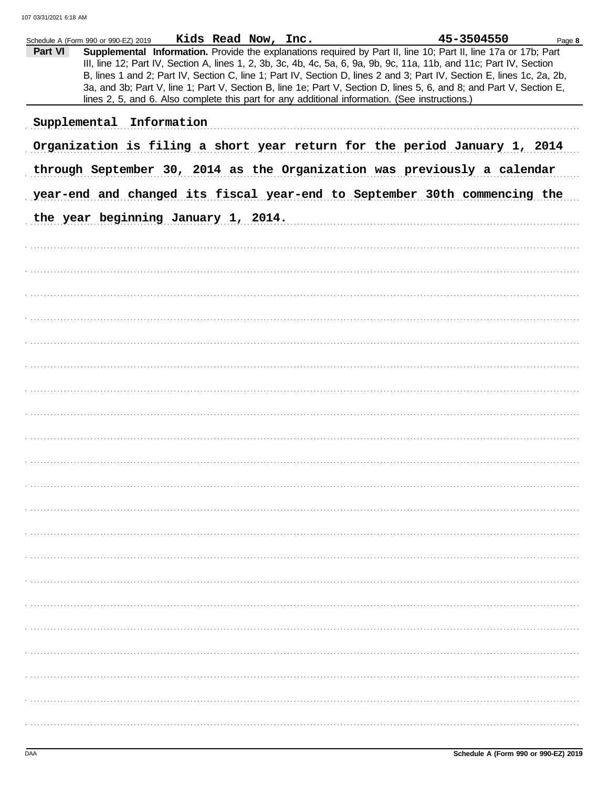|         | Schedule A (Form 990 or 990-EZ) 2019 | Kids Read Now, Inc. |                                                                                                | 45-3504550<br>Page 8                                                                                                                                                                                                                           |
|---------|--------------------------------------|---------------------|------------------------------------------------------------------------------------------------|------------------------------------------------------------------------------------------------------------------------------------------------------------------------------------------------------------------------------------------------|
| Part VI |                                      |                     |                                                                                                | Supplemental Information. Provide the explanations required by Part II, line 10; Part II, line 17a or 17b; Part<br>III, line 12; Part IV, Section A, lines 1, 2, 3b, 3c, 4b, 4c, 5a, 6, 9a, 9b, 9c, 11a, 11b, and 11c; Part IV, Section        |
|         |                                      |                     |                                                                                                | B, lines 1 and 2; Part IV, Section C, line 1; Part IV, Section D, lines 2 and 3; Part IV, Section E, lines 1c, 2a, 2b,<br>3a, and 3b; Part V, line 1; Part V, Section B, line 1e; Part V, Section D, lines 5, 6, and 8; and Part V, Section E, |
|         |                                      |                     | lines 2, 5, and 6. Also complete this part for any additional information. (See instructions.) |                                                                                                                                                                                                                                                |
|         | Supplemental Information             |                     |                                                                                                |                                                                                                                                                                                                                                                |
|         |                                      |                     |                                                                                                | Organization is filing a short year return for the period January 1, 2014                                                                                                                                                                      |
|         |                                      |                     |                                                                                                | through September 30, 2014 as the Organization was previously a calendar                                                                                                                                                                       |
|         |                                      |                     |                                                                                                | year-end and changed its fiscal year-end to September 30th commencing the                                                                                                                                                                      |
|         | the year beginning January 1, 2014.  |                     |                                                                                                |                                                                                                                                                                                                                                                |
|         |                                      |                     |                                                                                                |                                                                                                                                                                                                                                                |
|         |                                      |                     |                                                                                                |                                                                                                                                                                                                                                                |
|         |                                      |                     |                                                                                                |                                                                                                                                                                                                                                                |
|         |                                      |                     |                                                                                                |                                                                                                                                                                                                                                                |
|         |                                      |                     |                                                                                                |                                                                                                                                                                                                                                                |
|         |                                      |                     |                                                                                                |                                                                                                                                                                                                                                                |
|         |                                      |                     |                                                                                                |                                                                                                                                                                                                                                                |
|         |                                      |                     |                                                                                                |                                                                                                                                                                                                                                                |
|         |                                      |                     |                                                                                                |                                                                                                                                                                                                                                                |
|         |                                      |                     |                                                                                                |                                                                                                                                                                                                                                                |
|         |                                      |                     |                                                                                                |                                                                                                                                                                                                                                                |
|         |                                      |                     |                                                                                                |                                                                                                                                                                                                                                                |
|         |                                      |                     |                                                                                                |                                                                                                                                                                                                                                                |
|         |                                      |                     |                                                                                                |                                                                                                                                                                                                                                                |
|         |                                      |                     |                                                                                                |                                                                                                                                                                                                                                                |
|         |                                      |                     |                                                                                                |                                                                                                                                                                                                                                                |
|         |                                      |                     |                                                                                                |                                                                                                                                                                                                                                                |
|         |                                      |                     |                                                                                                |                                                                                                                                                                                                                                                |
|         |                                      |                     |                                                                                                |                                                                                                                                                                                                                                                |
|         |                                      |                     |                                                                                                |                                                                                                                                                                                                                                                |
|         |                                      |                     |                                                                                                |                                                                                                                                                                                                                                                |
|         |                                      |                     |                                                                                                |                                                                                                                                                                                                                                                |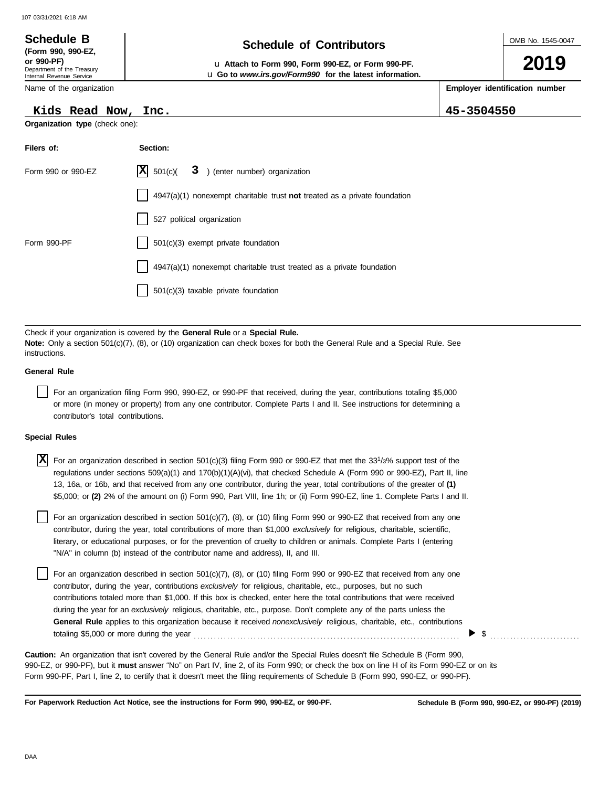### OMB No. 1545-0047 Department of the Treasury Internal Revenue Service Name of the organization **2019 Schedule of Contributors Schedule B (Form 990, 990-EZ, or 990-PF)** u **Attach to Form 990, Form 990-EZ, or Form 990-PF. Employer identification number** u **Go to** *www.irs.gov/Form990* **for the latest information. Kids Read Now, Inc. 45-3504550**

| $11211$ $11111$                       |  | . . |
|---------------------------------------|--|-----|
| <b>Organization type</b> (check one): |  |     |

| Filers of:         | Section:                                                                    |
|--------------------|-----------------------------------------------------------------------------|
| Form 990 or 990-EZ | $ \mathbf{X} $ 501(c)( 3) (enter number) organization                       |
|                    | $4947(a)(1)$ nonexempt charitable trust not treated as a private foundation |
|                    | 527 political organization                                                  |
| Form 990-PF        | 501(c)(3) exempt private foundation                                         |
|                    | 4947(a)(1) nonexempt charitable trust treated as a private foundation       |
|                    | 501(c)(3) taxable private foundation                                        |

Check if your organization is covered by the **General Rule** or a **Special Rule. Note:** Only a section 501(c)(7), (8), or (10) organization can check boxes for both the General Rule and a Special Rule. See instructions.

## **General Rule**

For an organization filing Form 990, 990-EZ, or 990-PF that received, during the year, contributions totaling \$5,000 or more (in money or property) from any one contributor. Complete Parts I and II. See instructions for determining a contributor's total contributions.

### **Special Rules**

X For an organization described in section 501(c)(3) filing Form 990 or 990-EZ that met the 33<sup>1</sup>/3% support test of the regulations under sections 509(a)(1) and 170(b)(1)(A)(vi), that checked Schedule A (Form 990 or 990-EZ), Part II, line 13, 16a, or 16b, and that received from any one contributor, during the year, total contributions of the greater of **(1)** \$5,000; or **(2)** 2% of the amount on (i) Form 990, Part VIII, line 1h; or (ii) Form 990-EZ, line 1. Complete Parts I and II.

literary, or educational purposes, or for the prevention of cruelty to children or animals. Complete Parts I (entering For an organization described in section 501(c)(7), (8), or (10) filing Form 990 or 990-EZ that received from any one contributor, during the year, total contributions of more than \$1,000 *exclusively* for religious, charitable, scientific, "N/A" in column (b) instead of the contributor name and address), II, and III.

For an organization described in section 501(c)(7), (8), or (10) filing Form 990 or 990-EZ that received from any one contributor, during the year, contributions *exclusively* for religious, charitable, etc., purposes, but no such contributions totaled more than \$1,000. If this box is checked, enter here the total contributions that were received during the year for an *exclusively* religious, charitable, etc., purpose. Don't complete any of the parts unless the **General Rule** applies to this organization because it received *nonexclusively* religious, charitable, etc., contributions totaling \$5,000 or more during the year . . . . . . . . . . . . . . . . . . . . . . . . . . . . . . . . . . . . . . . . . . . . . . . . . . . . . . . . . . . . . . . . . . . . . . . . . . . . . . . .

990-EZ, or 990-PF), but it **must** answer "No" on Part IV, line 2, of its Form 990; or check the box on line H of its Form 990-EZ or on its Form 990-PF, Part I, line 2, to certify that it doesn't meet the filing requirements of Schedule B (Form 990, 990-EZ, or 990-PF). **Caution:** An organization that isn't covered by the General Rule and/or the Special Rules doesn't file Schedule B (Form 990,

**For Paperwork Reduction Act Notice, see the instructions for Form 990, 990-EZ, or 990-PF.**

 $\triangleright$  \$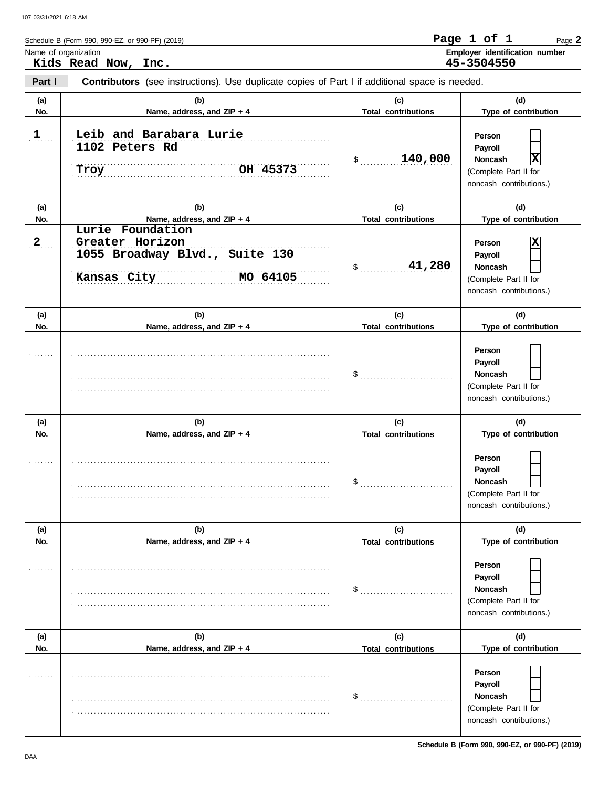|              | Schedule B (Form 990, 990-EZ, or 990-PF) (2019)<br>Name of organization                          |                                   | Page 1 of 1<br>Page 2<br>Employer identification number                                      |
|--------------|--------------------------------------------------------------------------------------------------|-----------------------------------|----------------------------------------------------------------------------------------------|
|              | Kids Read Now, Inc.                                                                              |                                   | 45-3504550                                                                                   |
| Part I       | Contributors (see instructions). Use duplicate copies of Part I if additional space is needed.   |                                   |                                                                                              |
| (a)<br>No.   | (b)<br>Name, address, and ZIP + 4                                                                | (c)<br><b>Total contributions</b> | (d)<br>Type of contribution                                                                  |
| $\mathbf{1}$ | Leib and Barabara Lurie<br>1102 Peters Rd<br>OH 45373<br>Troy                                    | 140,000<br>\$                     | Person<br>Payroll<br>X<br>Noncash<br>(Complete Part II for<br>noncash contributions.)        |
| (a)          | (b)                                                                                              | (c)                               | (d)                                                                                          |
| No.          | Name, address, and ZIP + 4                                                                       | <b>Total contributions</b>        | Type of contribution                                                                         |
| $\mathbf{2}$ | Lurie Foundation<br>Greater Horizon<br>1055 Broadway Blvd., Suite 130<br>MO 64105<br>Kansas City | 41,280<br>$\frac{1}{2}$           | X<br>Person<br>Payroll<br><b>Noncash</b><br>(Complete Part II for<br>noncash contributions.) |
| (a)          | (b)                                                                                              | (c)                               | (d)                                                                                          |
| No.          | Name, address, and ZIP + 4                                                                       | <b>Total contributions</b>        | Type of contribution                                                                         |
|              |                                                                                                  | $\$\$                             | Person<br>Payroll<br><b>Noncash</b><br>(Complete Part II for<br>noncash contributions.)      |
| (a)          | (b)                                                                                              | (c)                               | (d)                                                                                          |
| No.          | Name, address, and ZIP + 4                                                                       | <b>Total contributions</b>        | Type of contribution                                                                         |
|              |                                                                                                  | \$                                | Person<br>Payroll<br>Noncash<br>(Complete Part II for<br>noncash contributions.)             |
| (a)<br>No.   | (b)<br>Name, address, and ZIP + 4                                                                | (c)<br><b>Total contributions</b> | (d)<br>Type of contribution                                                                  |
|              |                                                                                                  | \$                                | Person<br>Payroll<br><b>Noncash</b><br>(Complete Part II for<br>noncash contributions.)      |
| (a)<br>No.   | (b)<br>Name, address, and ZIP + 4                                                                | (c)<br><b>Total contributions</b> | (d)<br>Type of contribution                                                                  |
|              |                                                                                                  | \$                                | Person<br>Payroll<br><b>Noncash</b><br>(Complete Part II for                                 |

noncash contributions.)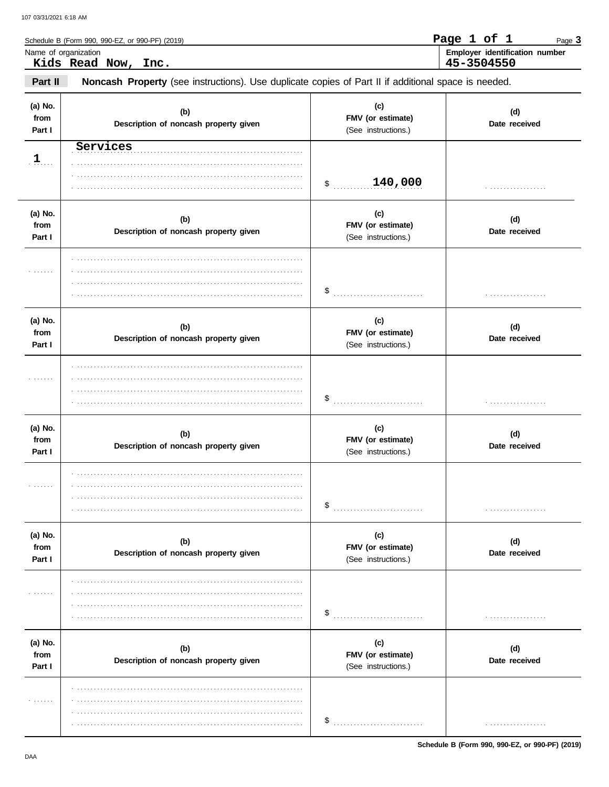$\overline{\phantom{0}}$ 

|                           | Schedule B (Form 990, 990-EZ, or 990-PF) (2019)                                                     |                                                 | Page 1 of 1<br>Page 3                        |
|---------------------------|-----------------------------------------------------------------------------------------------------|-------------------------------------------------|----------------------------------------------|
|                           | Name of organization<br>Kids Read Now, Inc.                                                         |                                                 | Employer identification number<br>45-3504550 |
| Part II                   | Noncash Property (see instructions). Use duplicate copies of Part II if additional space is needed. |                                                 |                                              |
| (a) No.<br>from<br>Part I | (b)<br>Description of noncash property given                                                        | (c)<br>FMV (or estimate)<br>(See instructions.) | (d)<br>Date received                         |
| 1                         | Services                                                                                            | 140,000<br>\$                                   | .                                            |
| (a) No.<br>from<br>Part I | (b)<br>Description of noncash property given                                                        | (c)<br>FMV (or estimate)<br>(See instructions.) | (d)<br>Date received                         |
|                           |                                                                                                     | \$                                              |                                              |
| (a) No.<br>from<br>Part I | (b)<br>Description of noncash property given                                                        | (c)<br>FMV (or estimate)<br>(See instructions.) | (d)<br>Date received                         |
|                           |                                                                                                     | \$                                              |                                              |
| (a) No.<br>from<br>Part I | (b)<br>Description of noncash property given                                                        | (c)<br>FMV (or estimate)<br>(See instructions.) | (d)<br>Date received                         |
|                           |                                                                                                     | \$                                              |                                              |
| (a) No.<br>from<br>Part I | (b)<br>Description of noncash property given                                                        | (c)<br>FMV (or estimate)<br>(See instructions.) | (d)<br>Date received                         |
| .                         |                                                                                                     | \$                                              |                                              |
| (a) No.<br>from<br>Part I | (b)<br>Description of noncash property given                                                        | (c)<br>FMV (or estimate)<br>(See instructions.) | (d)<br>Date received                         |
|                           |                                                                                                     | \$                                              | .                                            |

Schedule B (Form 990, 990-EZ, or 990-PF) (2019)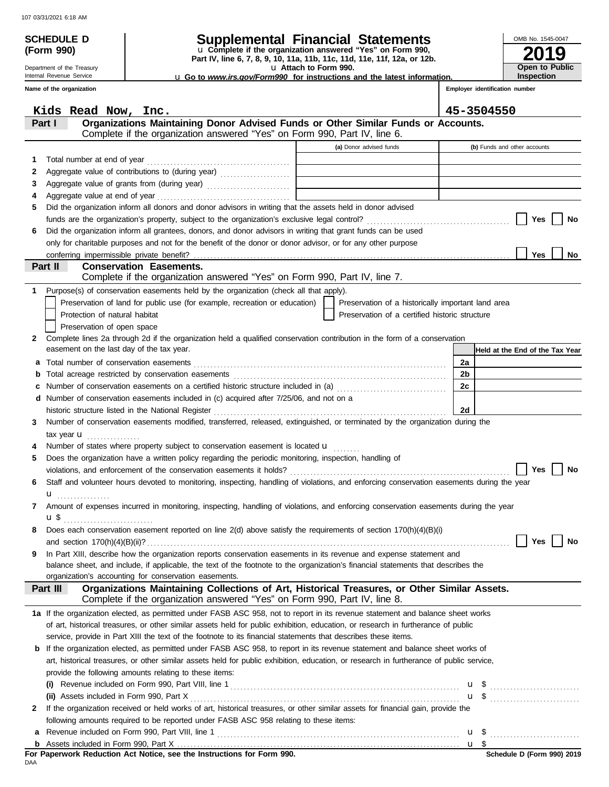| <b>SCHEDULE D</b><br>(Form 990)                                       |                                                                                                                                                                                                                                       | Supplemental Financial Statements<br>u Complete if the organization answered "Yes" on Form 990,                                                                                                                              |                | OMB No. 1545-0047                   |
|-----------------------------------------------------------------------|---------------------------------------------------------------------------------------------------------------------------------------------------------------------------------------------------------------------------------------|------------------------------------------------------------------------------------------------------------------------------------------------------------------------------------------------------------------------------|----------------|-------------------------------------|
|                                                                       |                                                                                                                                                                                                                                       | Part IV, line 6, 7, 8, 9, 10, 11a, 11b, 11c, 11d, 11e, 11f, 12a, or 12b.                                                                                                                                                     |                | Ÿ                                   |
| Department of the Treasury<br>Internal Revenue Service                |                                                                                                                                                                                                                                       | La Attach to Form 990.<br><b>u Go to www.irs.gov/Form990 for instructions and the latest information.</b>                                                                                                                    |                | Open to Public<br><b>Inspection</b> |
| Name of the organization                                              |                                                                                                                                                                                                                                       |                                                                                                                                                                                                                              |                | Employer identification number      |
| Kids Read Now, Inc.                                                   |                                                                                                                                                                                                                                       |                                                                                                                                                                                                                              |                | 45-3504550                          |
| Part I                                                                |                                                                                                                                                                                                                                       | Organizations Maintaining Donor Advised Funds or Other Similar Funds or Accounts.                                                                                                                                            |                |                                     |
|                                                                       | Complete if the organization answered "Yes" on Form 990, Part IV, line 6.                                                                                                                                                             |                                                                                                                                                                                                                              |                |                                     |
|                                                                       |                                                                                                                                                                                                                                       | (a) Donor advised funds                                                                                                                                                                                                      |                | (b) Funds and other accounts        |
| 1                                                                     | Total number at end of year<br>[11] matter continuous contract and of year<br>[11] matter continuous contract and with the set of year<br>12010 matter contract and with the set of year<br>12010 matter contract and with the set of |                                                                                                                                                                                                                              |                |                                     |
| 2                                                                     | Aggregate value of contributions to (during year) [1] [1] [1] Aggregate value of contributions to (during year)                                                                                                                       |                                                                                                                                                                                                                              |                |                                     |
| 3                                                                     | Aggregate value of grants from (during year)                                                                                                                                                                                          |                                                                                                                                                                                                                              |                |                                     |
| 4                                                                     |                                                                                                                                                                                                                                       |                                                                                                                                                                                                                              |                |                                     |
| 5                                                                     | Did the organization inform all donors and donor advisors in writing that the assets held in donor advised                                                                                                                            |                                                                                                                                                                                                                              |                |                                     |
|                                                                       |                                                                                                                                                                                                                                       |                                                                                                                                                                                                                              |                | Yes<br>No                           |
| 6                                                                     |                                                                                                                                                                                                                                       | Did the organization inform all grantees, donors, and donor advisors in writing that grant funds can be used<br>only for charitable purposes and not for the benefit of the donor or donor advisor, or for any other purpose |                |                                     |
| conferring impermissible private benefit?                             |                                                                                                                                                                                                                                       |                                                                                                                                                                                                                              |                | Yes<br>No.                          |
| Part II                                                               | <b>Conservation Easements.</b>                                                                                                                                                                                                        |                                                                                                                                                                                                                              |                |                                     |
|                                                                       | Complete if the organization answered "Yes" on Form 990, Part IV, line 7.                                                                                                                                                             |                                                                                                                                                                                                                              |                |                                     |
| 1                                                                     | Purpose(s) of conservation easements held by the organization (check all that apply).                                                                                                                                                 |                                                                                                                                                                                                                              |                |                                     |
|                                                                       | Preservation of land for public use (for example, recreation or education)                                                                                                                                                            | Preservation of a historically important land area                                                                                                                                                                           |                |                                     |
| Protection of natural habitat                                         |                                                                                                                                                                                                                                       | Preservation of a certified historic structure                                                                                                                                                                               |                |                                     |
| Preservation of open space                                            |                                                                                                                                                                                                                                       |                                                                                                                                                                                                                              |                |                                     |
| 2                                                                     |                                                                                                                                                                                                                                       | Complete lines 2a through 2d if the organization held a qualified conservation contribution in the form of a conservation                                                                                                    |                |                                     |
| easement on the last day of the tax year.                             |                                                                                                                                                                                                                                       |                                                                                                                                                                                                                              |                | Held at the End of the Tax Year     |
| a                                                                     |                                                                                                                                                                                                                                       |                                                                                                                                                                                                                              | 2a             |                                     |
| b                                                                     |                                                                                                                                                                                                                                       |                                                                                                                                                                                                                              | 2 <sub>b</sub> |                                     |
| c                                                                     |                                                                                                                                                                                                                                       | Number of conservation easements on a certified historic structure included in (a) [[[[[[[[[[[[[[[[[[[[[[[[[]]]]]]]                                                                                                          | 2c             |                                     |
| d                                                                     | Number of conservation easements included in (c) acquired after 7/25/06, and not on a                                                                                                                                                 |                                                                                                                                                                                                                              |                |                                     |
|                                                                       |                                                                                                                                                                                                                                       | Number of conservation easements modified, transferred, released, extinguished, or terminated by the organization during the                                                                                                 | 2d             |                                     |
| 3<br>tax year $\blacksquare$                                          |                                                                                                                                                                                                                                       |                                                                                                                                                                                                                              |                |                                     |
|                                                                       | Number of states where property subject to conservation easement is located u                                                                                                                                                         |                                                                                                                                                                                                                              |                |                                     |
| 5                                                                     | Does the organization have a written policy regarding the periodic monitoring, inspection, handling of                                                                                                                                |                                                                                                                                                                                                                              |                |                                     |
|                                                                       |                                                                                                                                                                                                                                       |                                                                                                                                                                                                                              |                | Yes<br>No                           |
| 6                                                                     |                                                                                                                                                                                                                                       | Staff and volunteer hours devoted to monitoring, inspecting, handling of violations, and enforcing conservation easements during the year                                                                                    |                |                                     |
| <b>u</b>                                                              |                                                                                                                                                                                                                                       |                                                                                                                                                                                                                              |                |                                     |
| 7                                                                     |                                                                                                                                                                                                                                       | Amount of expenses incurred in monitoring, inspecting, handling of violations, and enforcing conservation easements during the year                                                                                          |                |                                     |
| $u$ \$ $\ldots$ $\ldots$ $\ldots$ $\ldots$ $\ldots$ $\ldots$ $\ldots$ |                                                                                                                                                                                                                                       |                                                                                                                                                                                                                              |                |                                     |
| 8                                                                     |                                                                                                                                                                                                                                       | Does each conservation easement reported on line 2(d) above satisfy the requirements of section 170(h)(4)(B)(i)                                                                                                              |                |                                     |
|                                                                       |                                                                                                                                                                                                                                       |                                                                                                                                                                                                                              |                | Yes<br>No                           |
| 9                                                                     |                                                                                                                                                                                                                                       | In Part XIII, describe how the organization reports conservation easements in its revenue and expense statement and                                                                                                          |                |                                     |
|                                                                       | organization's accounting for conservation easements.                                                                                                                                                                                 | balance sheet, and include, if applicable, the text of the footnote to the organization's financial statements that describes the                                                                                            |                |                                     |
| Part III                                                              |                                                                                                                                                                                                                                       | Organizations Maintaining Collections of Art, Historical Treasures, or Other Similar Assets.                                                                                                                                 |                |                                     |
|                                                                       | Complete if the organization answered "Yes" on Form 990, Part IV, line 8.                                                                                                                                                             |                                                                                                                                                                                                                              |                |                                     |
|                                                                       |                                                                                                                                                                                                                                       | 1a If the organization elected, as permitted under FASB ASC 958, not to report in its revenue statement and balance sheet works                                                                                              |                |                                     |
|                                                                       |                                                                                                                                                                                                                                       | of art, historical treasures, or other similar assets held for public exhibition, education, or research in furtherance of public                                                                                            |                |                                     |
|                                                                       | service, provide in Part XIII the text of the footnote to its financial statements that describes these items.                                                                                                                        |                                                                                                                                                                                                                              |                |                                     |
| b                                                                     |                                                                                                                                                                                                                                       | If the organization elected, as permitted under FASB ASC 958, to report in its revenue statement and balance sheet works of                                                                                                  |                |                                     |
|                                                                       |                                                                                                                                                                                                                                       | art, historical treasures, or other similar assets held for public exhibition, education, or research in furtherance of public service,                                                                                      |                |                                     |
|                                                                       | provide the following amounts relating to these items:                                                                                                                                                                                |                                                                                                                                                                                                                              |                |                                     |
|                                                                       |                                                                                                                                                                                                                                       |                                                                                                                                                                                                                              |                |                                     |
| 2                                                                     |                                                                                                                                                                                                                                       | If the organization received or held works of art, historical treasures, or other similar assets for financial gain, provide the                                                                                             |                | $\mathsf{u}$ \$                     |
|                                                                       | following amounts required to be reported under FASB ASC 958 relating to these items:                                                                                                                                                 |                                                                                                                                                                                                                              |                |                                     |
|                                                                       |                                                                                                                                                                                                                                       |                                                                                                                                                                                                                              |                |                                     |

**b**

Assets included in Form 990, Part X . . . . . . . . . . . . . . . . . . . . . . . . . . . . . . . . . . . . . . . . . . . . . . . . . . . . . . . . . . . . . . . . . . . . . . . . . . . . . . . . . . . . .

<u>u \$</u>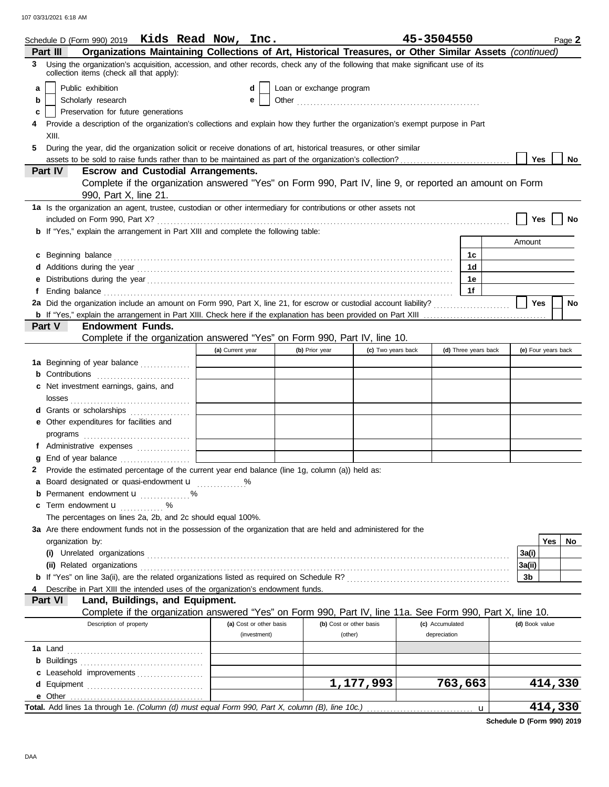| Organizations Maintaining Collections of Art, Historical Treasures, or Other Similar Assets (continued)<br>Part III<br>Using the organization's acquisition, accession, and other records, check any of the following that make significant use of its<br>3<br>collection items (check all that apply):<br>Public exhibition<br>Loan or exchange program<br>a<br>d<br>Scholarly research<br>b<br>е<br>Preservation for future generations<br>c<br>Provide a description of the organization's collections and explain how they further the organization's exempt purpose in Part<br>XIII.<br>During the year, did the organization solicit or receive donations of art, historical treasures, or other similar<br>5.<br>Yes<br>No<br>Part IV<br><b>Escrow and Custodial Arrangements.</b><br>Complete if the organization answered "Yes" on Form 990, Part IV, line 9, or reported an amount on Form<br>990, Part X, line 21.<br>1a Is the organization an agent, trustee, custodian or other intermediary for contributions or other assets not<br>Yes<br>No<br>b If "Yes," explain the arrangement in Part XIII and complete the following table:<br>Amount<br>c Beginning balance <b>contract to the contract of the contract of the contract of the contract of the contract of the contract of the contract of the contract of the contract of the contract of the contract of the contract </b><br>1c<br>1d<br>1е<br>1f<br>Ending balance with the contract of the contract of the contract of the contract of the contract of the contract of the contract of the contract of the contract of the contract of the contract of the contract of the contra<br>f<br>2a Did the organization include an amount on Form 990, Part X, line 21, for escrow or custodial account liability?<br><b>Yes</b><br><b>No</b><br><b>Endowment Funds.</b><br>Part V<br>Complete if the organization answered "Yes" on Form 990, Part IV, line 10.<br>(a) Current year<br>(b) Prior year<br>(c) Two years back<br>(d) Three years back<br>(e) Four years back<br>1a Beginning of year balance<br>c Net investment earnings, gains, and<br>d Grants or scholarships<br>e Other expenditures for facilities and<br>f Administrative expenses<br>g<br>Provide the estimated percentage of the current year end balance (line 1g, column (a)) held as:<br>2<br>a Board designated or quasi-endowment <b>u</b><br>%<br>Permanent endowment <b>u</b> %<br>Term endowment <b>u</b><br>℅<br>c<br>The percentages on lines 2a, 2b, and 2c should equal 100%.<br>3a Are there endowment funds not in the possession of the organization that are held and administered for the<br>Yes<br>No<br>organization by:<br>3a(i)<br>3a(ii)<br>3b<br>Describe in Part XIII the intended uses of the organization's endowment funds.<br>Land, Buildings, and Equipment.<br>Part VI<br>Complete if the organization answered "Yes" on Form 990, Part IV, line 11a. See Form 990, Part X, line 10.<br>Description of property<br>(b) Cost or other basis<br>(c) Accumulated<br>(a) Cost or other basis<br>(d) Book value<br>depreciation<br>(investment)<br>(other)<br>c Leasehold improvements<br>1,177,993<br>763,663<br>414,330<br>414,330<br>Total. Add lines 1a through 1e. (Column (d) must equal Form 990, Part X, column (B), line 10c.) | Schedule D (Form 990) 2019 Kids Read Now, Inc. |  | 45-3504550 |        | Page 2 |
|------------------------------------------------------------------------------------------------------------------------------------------------------------------------------------------------------------------------------------------------------------------------------------------------------------------------------------------------------------------------------------------------------------------------------------------------------------------------------------------------------------------------------------------------------------------------------------------------------------------------------------------------------------------------------------------------------------------------------------------------------------------------------------------------------------------------------------------------------------------------------------------------------------------------------------------------------------------------------------------------------------------------------------------------------------------------------------------------------------------------------------------------------------------------------------------------------------------------------------------------------------------------------------------------------------------------------------------------------------------------------------------------------------------------------------------------------------------------------------------------------------------------------------------------------------------------------------------------------------------------------------------------------------------------------------------------------------------------------------------------------------------------------------------------------------------------------------------------------------------------------------------------------------------------------------------------------------------------------------------------------------------------------------------------------------------------------------------------------------------------------------------------------------------------------------------------------------------------------------------------------------------------------------------------------------------------------------------------------------------------------------------------------------------------------------------------------------------------------------------------------------------------------------------------------------------------------------------------------------------------------------------------------------------------------------------------------------------------------------------------------------------------------------------------------------------------------------------------------------------------------------------------------------------------------------------------------------------------------------------------------------------------------------------------------------------------------------------------------------------------------------------------------------------------------------------------------------------------------------------------------------------------------------------------------------------|------------------------------------------------|--|------------|--------|--------|
|                                                                                                                                                                                                                                                                                                                                                                                                                                                                                                                                                                                                                                                                                                                                                                                                                                                                                                                                                                                                                                                                                                                                                                                                                                                                                                                                                                                                                                                                                                                                                                                                                                                                                                                                                                                                                                                                                                                                                                                                                                                                                                                                                                                                                                                                                                                                                                                                                                                                                                                                                                                                                                                                                                                                                                                                                                                                                                                                                                                                                                                                                                                                                                                                                                                                                                                  |                                                |  |            |        |        |
|                                                                                                                                                                                                                                                                                                                                                                                                                                                                                                                                                                                                                                                                                                                                                                                                                                                                                                                                                                                                                                                                                                                                                                                                                                                                                                                                                                                                                                                                                                                                                                                                                                                                                                                                                                                                                                                                                                                                                                                                                                                                                                                                                                                                                                                                                                                                                                                                                                                                                                                                                                                                                                                                                                                                                                                                                                                                                                                                                                                                                                                                                                                                                                                                                                                                                                                  |                                                |  |            |        |        |
|                                                                                                                                                                                                                                                                                                                                                                                                                                                                                                                                                                                                                                                                                                                                                                                                                                                                                                                                                                                                                                                                                                                                                                                                                                                                                                                                                                                                                                                                                                                                                                                                                                                                                                                                                                                                                                                                                                                                                                                                                                                                                                                                                                                                                                                                                                                                                                                                                                                                                                                                                                                                                                                                                                                                                                                                                                                                                                                                                                                                                                                                                                                                                                                                                                                                                                                  |                                                |  |            |        |        |
|                                                                                                                                                                                                                                                                                                                                                                                                                                                                                                                                                                                                                                                                                                                                                                                                                                                                                                                                                                                                                                                                                                                                                                                                                                                                                                                                                                                                                                                                                                                                                                                                                                                                                                                                                                                                                                                                                                                                                                                                                                                                                                                                                                                                                                                                                                                                                                                                                                                                                                                                                                                                                                                                                                                                                                                                                                                                                                                                                                                                                                                                                                                                                                                                                                                                                                                  |                                                |  |            |        |        |
|                                                                                                                                                                                                                                                                                                                                                                                                                                                                                                                                                                                                                                                                                                                                                                                                                                                                                                                                                                                                                                                                                                                                                                                                                                                                                                                                                                                                                                                                                                                                                                                                                                                                                                                                                                                                                                                                                                                                                                                                                                                                                                                                                                                                                                                                                                                                                                                                                                                                                                                                                                                                                                                                                                                                                                                                                                                                                                                                                                                                                                                                                                                                                                                                                                                                                                                  |                                                |  |            |        |        |
|                                                                                                                                                                                                                                                                                                                                                                                                                                                                                                                                                                                                                                                                                                                                                                                                                                                                                                                                                                                                                                                                                                                                                                                                                                                                                                                                                                                                                                                                                                                                                                                                                                                                                                                                                                                                                                                                                                                                                                                                                                                                                                                                                                                                                                                                                                                                                                                                                                                                                                                                                                                                                                                                                                                                                                                                                                                                                                                                                                                                                                                                                                                                                                                                                                                                                                                  |                                                |  |            |        |        |
|                                                                                                                                                                                                                                                                                                                                                                                                                                                                                                                                                                                                                                                                                                                                                                                                                                                                                                                                                                                                                                                                                                                                                                                                                                                                                                                                                                                                                                                                                                                                                                                                                                                                                                                                                                                                                                                                                                                                                                                                                                                                                                                                                                                                                                                                                                                                                                                                                                                                                                                                                                                                                                                                                                                                                                                                                                                                                                                                                                                                                                                                                                                                                                                                                                                                                                                  |                                                |  |            |        |        |
|                                                                                                                                                                                                                                                                                                                                                                                                                                                                                                                                                                                                                                                                                                                                                                                                                                                                                                                                                                                                                                                                                                                                                                                                                                                                                                                                                                                                                                                                                                                                                                                                                                                                                                                                                                                                                                                                                                                                                                                                                                                                                                                                                                                                                                                                                                                                                                                                                                                                                                                                                                                                                                                                                                                                                                                                                                                                                                                                                                                                                                                                                                                                                                                                                                                                                                                  |                                                |  |            |        |        |
|                                                                                                                                                                                                                                                                                                                                                                                                                                                                                                                                                                                                                                                                                                                                                                                                                                                                                                                                                                                                                                                                                                                                                                                                                                                                                                                                                                                                                                                                                                                                                                                                                                                                                                                                                                                                                                                                                                                                                                                                                                                                                                                                                                                                                                                                                                                                                                                                                                                                                                                                                                                                                                                                                                                                                                                                                                                                                                                                                                                                                                                                                                                                                                                                                                                                                                                  |                                                |  |            |        |        |
|                                                                                                                                                                                                                                                                                                                                                                                                                                                                                                                                                                                                                                                                                                                                                                                                                                                                                                                                                                                                                                                                                                                                                                                                                                                                                                                                                                                                                                                                                                                                                                                                                                                                                                                                                                                                                                                                                                                                                                                                                                                                                                                                                                                                                                                                                                                                                                                                                                                                                                                                                                                                                                                                                                                                                                                                                                                                                                                                                                                                                                                                                                                                                                                                                                                                                                                  |                                                |  |            |        |        |
|                                                                                                                                                                                                                                                                                                                                                                                                                                                                                                                                                                                                                                                                                                                                                                                                                                                                                                                                                                                                                                                                                                                                                                                                                                                                                                                                                                                                                                                                                                                                                                                                                                                                                                                                                                                                                                                                                                                                                                                                                                                                                                                                                                                                                                                                                                                                                                                                                                                                                                                                                                                                                                                                                                                                                                                                                                                                                                                                                                                                                                                                                                                                                                                                                                                                                                                  |                                                |  |            |        |        |
|                                                                                                                                                                                                                                                                                                                                                                                                                                                                                                                                                                                                                                                                                                                                                                                                                                                                                                                                                                                                                                                                                                                                                                                                                                                                                                                                                                                                                                                                                                                                                                                                                                                                                                                                                                                                                                                                                                                                                                                                                                                                                                                                                                                                                                                                                                                                                                                                                                                                                                                                                                                                                                                                                                                                                                                                                                                                                                                                                                                                                                                                                                                                                                                                                                                                                                                  |                                                |  |            |        |        |
|                                                                                                                                                                                                                                                                                                                                                                                                                                                                                                                                                                                                                                                                                                                                                                                                                                                                                                                                                                                                                                                                                                                                                                                                                                                                                                                                                                                                                                                                                                                                                                                                                                                                                                                                                                                                                                                                                                                                                                                                                                                                                                                                                                                                                                                                                                                                                                                                                                                                                                                                                                                                                                                                                                                                                                                                                                                                                                                                                                                                                                                                                                                                                                                                                                                                                                                  |                                                |  |            |        |        |
|                                                                                                                                                                                                                                                                                                                                                                                                                                                                                                                                                                                                                                                                                                                                                                                                                                                                                                                                                                                                                                                                                                                                                                                                                                                                                                                                                                                                                                                                                                                                                                                                                                                                                                                                                                                                                                                                                                                                                                                                                                                                                                                                                                                                                                                                                                                                                                                                                                                                                                                                                                                                                                                                                                                                                                                                                                                                                                                                                                                                                                                                                                                                                                                                                                                                                                                  |                                                |  |            |        |        |
|                                                                                                                                                                                                                                                                                                                                                                                                                                                                                                                                                                                                                                                                                                                                                                                                                                                                                                                                                                                                                                                                                                                                                                                                                                                                                                                                                                                                                                                                                                                                                                                                                                                                                                                                                                                                                                                                                                                                                                                                                                                                                                                                                                                                                                                                                                                                                                                                                                                                                                                                                                                                                                                                                                                                                                                                                                                                                                                                                                                                                                                                                                                                                                                                                                                                                                                  |                                                |  |            |        |        |
|                                                                                                                                                                                                                                                                                                                                                                                                                                                                                                                                                                                                                                                                                                                                                                                                                                                                                                                                                                                                                                                                                                                                                                                                                                                                                                                                                                                                                                                                                                                                                                                                                                                                                                                                                                                                                                                                                                                                                                                                                                                                                                                                                                                                                                                                                                                                                                                                                                                                                                                                                                                                                                                                                                                                                                                                                                                                                                                                                                                                                                                                                                                                                                                                                                                                                                                  |                                                |  |            |        |        |
|                                                                                                                                                                                                                                                                                                                                                                                                                                                                                                                                                                                                                                                                                                                                                                                                                                                                                                                                                                                                                                                                                                                                                                                                                                                                                                                                                                                                                                                                                                                                                                                                                                                                                                                                                                                                                                                                                                                                                                                                                                                                                                                                                                                                                                                                                                                                                                                                                                                                                                                                                                                                                                                                                                                                                                                                                                                                                                                                                                                                                                                                                                                                                                                                                                                                                                                  |                                                |  |            |        |        |
|                                                                                                                                                                                                                                                                                                                                                                                                                                                                                                                                                                                                                                                                                                                                                                                                                                                                                                                                                                                                                                                                                                                                                                                                                                                                                                                                                                                                                                                                                                                                                                                                                                                                                                                                                                                                                                                                                                                                                                                                                                                                                                                                                                                                                                                                                                                                                                                                                                                                                                                                                                                                                                                                                                                                                                                                                                                                                                                                                                                                                                                                                                                                                                                                                                                                                                                  |                                                |  |            |        |        |
|                                                                                                                                                                                                                                                                                                                                                                                                                                                                                                                                                                                                                                                                                                                                                                                                                                                                                                                                                                                                                                                                                                                                                                                                                                                                                                                                                                                                                                                                                                                                                                                                                                                                                                                                                                                                                                                                                                                                                                                                                                                                                                                                                                                                                                                                                                                                                                                                                                                                                                                                                                                                                                                                                                                                                                                                                                                                                                                                                                                                                                                                                                                                                                                                                                                                                                                  |                                                |  |            |        |        |
|                                                                                                                                                                                                                                                                                                                                                                                                                                                                                                                                                                                                                                                                                                                                                                                                                                                                                                                                                                                                                                                                                                                                                                                                                                                                                                                                                                                                                                                                                                                                                                                                                                                                                                                                                                                                                                                                                                                                                                                                                                                                                                                                                                                                                                                                                                                                                                                                                                                                                                                                                                                                                                                                                                                                                                                                                                                                                                                                                                                                                                                                                                                                                                                                                                                                                                                  |                                                |  |            |        |        |
|                                                                                                                                                                                                                                                                                                                                                                                                                                                                                                                                                                                                                                                                                                                                                                                                                                                                                                                                                                                                                                                                                                                                                                                                                                                                                                                                                                                                                                                                                                                                                                                                                                                                                                                                                                                                                                                                                                                                                                                                                                                                                                                                                                                                                                                                                                                                                                                                                                                                                                                                                                                                                                                                                                                                                                                                                                                                                                                                                                                                                                                                                                                                                                                                                                                                                                                  |                                                |  |            |        |        |
|                                                                                                                                                                                                                                                                                                                                                                                                                                                                                                                                                                                                                                                                                                                                                                                                                                                                                                                                                                                                                                                                                                                                                                                                                                                                                                                                                                                                                                                                                                                                                                                                                                                                                                                                                                                                                                                                                                                                                                                                                                                                                                                                                                                                                                                                                                                                                                                                                                                                                                                                                                                                                                                                                                                                                                                                                                                                                                                                                                                                                                                                                                                                                                                                                                                                                                                  |                                                |  |            |        |        |
|                                                                                                                                                                                                                                                                                                                                                                                                                                                                                                                                                                                                                                                                                                                                                                                                                                                                                                                                                                                                                                                                                                                                                                                                                                                                                                                                                                                                                                                                                                                                                                                                                                                                                                                                                                                                                                                                                                                                                                                                                                                                                                                                                                                                                                                                                                                                                                                                                                                                                                                                                                                                                                                                                                                                                                                                                                                                                                                                                                                                                                                                                                                                                                                                                                                                                                                  |                                                |  |            |        |        |
|                                                                                                                                                                                                                                                                                                                                                                                                                                                                                                                                                                                                                                                                                                                                                                                                                                                                                                                                                                                                                                                                                                                                                                                                                                                                                                                                                                                                                                                                                                                                                                                                                                                                                                                                                                                                                                                                                                                                                                                                                                                                                                                                                                                                                                                                                                                                                                                                                                                                                                                                                                                                                                                                                                                                                                                                                                                                                                                                                                                                                                                                                                                                                                                                                                                                                                                  |                                                |  |            |        |        |
|                                                                                                                                                                                                                                                                                                                                                                                                                                                                                                                                                                                                                                                                                                                                                                                                                                                                                                                                                                                                                                                                                                                                                                                                                                                                                                                                                                                                                                                                                                                                                                                                                                                                                                                                                                                                                                                                                                                                                                                                                                                                                                                                                                                                                                                                                                                                                                                                                                                                                                                                                                                                                                                                                                                                                                                                                                                                                                                                                                                                                                                                                                                                                                                                                                                                                                                  |                                                |  |            |        |        |
|                                                                                                                                                                                                                                                                                                                                                                                                                                                                                                                                                                                                                                                                                                                                                                                                                                                                                                                                                                                                                                                                                                                                                                                                                                                                                                                                                                                                                                                                                                                                                                                                                                                                                                                                                                                                                                                                                                                                                                                                                                                                                                                                                                                                                                                                                                                                                                                                                                                                                                                                                                                                                                                                                                                                                                                                                                                                                                                                                                                                                                                                                                                                                                                                                                                                                                                  |                                                |  |            |        |        |
|                                                                                                                                                                                                                                                                                                                                                                                                                                                                                                                                                                                                                                                                                                                                                                                                                                                                                                                                                                                                                                                                                                                                                                                                                                                                                                                                                                                                                                                                                                                                                                                                                                                                                                                                                                                                                                                                                                                                                                                                                                                                                                                                                                                                                                                                                                                                                                                                                                                                                                                                                                                                                                                                                                                                                                                                                                                                                                                                                                                                                                                                                                                                                                                                                                                                                                                  |                                                |  |            |        |        |
|                                                                                                                                                                                                                                                                                                                                                                                                                                                                                                                                                                                                                                                                                                                                                                                                                                                                                                                                                                                                                                                                                                                                                                                                                                                                                                                                                                                                                                                                                                                                                                                                                                                                                                                                                                                                                                                                                                                                                                                                                                                                                                                                                                                                                                                                                                                                                                                                                                                                                                                                                                                                                                                                                                                                                                                                                                                                                                                                                                                                                                                                                                                                                                                                                                                                                                                  |                                                |  |            |        |        |
|                                                                                                                                                                                                                                                                                                                                                                                                                                                                                                                                                                                                                                                                                                                                                                                                                                                                                                                                                                                                                                                                                                                                                                                                                                                                                                                                                                                                                                                                                                                                                                                                                                                                                                                                                                                                                                                                                                                                                                                                                                                                                                                                                                                                                                                                                                                                                                                                                                                                                                                                                                                                                                                                                                                                                                                                                                                                                                                                                                                                                                                                                                                                                                                                                                                                                                                  |                                                |  |            |        |        |
|                                                                                                                                                                                                                                                                                                                                                                                                                                                                                                                                                                                                                                                                                                                                                                                                                                                                                                                                                                                                                                                                                                                                                                                                                                                                                                                                                                                                                                                                                                                                                                                                                                                                                                                                                                                                                                                                                                                                                                                                                                                                                                                                                                                                                                                                                                                                                                                                                                                                                                                                                                                                                                                                                                                                                                                                                                                                                                                                                                                                                                                                                                                                                                                                                                                                                                                  |                                                |  |            |        |        |
|                                                                                                                                                                                                                                                                                                                                                                                                                                                                                                                                                                                                                                                                                                                                                                                                                                                                                                                                                                                                                                                                                                                                                                                                                                                                                                                                                                                                                                                                                                                                                                                                                                                                                                                                                                                                                                                                                                                                                                                                                                                                                                                                                                                                                                                                                                                                                                                                                                                                                                                                                                                                                                                                                                                                                                                                                                                                                                                                                                                                                                                                                                                                                                                                                                                                                                                  |                                                |  |            |        |        |
|                                                                                                                                                                                                                                                                                                                                                                                                                                                                                                                                                                                                                                                                                                                                                                                                                                                                                                                                                                                                                                                                                                                                                                                                                                                                                                                                                                                                                                                                                                                                                                                                                                                                                                                                                                                                                                                                                                                                                                                                                                                                                                                                                                                                                                                                                                                                                                                                                                                                                                                                                                                                                                                                                                                                                                                                                                                                                                                                                                                                                                                                                                                                                                                                                                                                                                                  |                                                |  |            |        |        |
|                                                                                                                                                                                                                                                                                                                                                                                                                                                                                                                                                                                                                                                                                                                                                                                                                                                                                                                                                                                                                                                                                                                                                                                                                                                                                                                                                                                                                                                                                                                                                                                                                                                                                                                                                                                                                                                                                                                                                                                                                                                                                                                                                                                                                                                                                                                                                                                                                                                                                                                                                                                                                                                                                                                                                                                                                                                                                                                                                                                                                                                                                                                                                                                                                                                                                                                  |                                                |  |            |        |        |
|                                                                                                                                                                                                                                                                                                                                                                                                                                                                                                                                                                                                                                                                                                                                                                                                                                                                                                                                                                                                                                                                                                                                                                                                                                                                                                                                                                                                                                                                                                                                                                                                                                                                                                                                                                                                                                                                                                                                                                                                                                                                                                                                                                                                                                                                                                                                                                                                                                                                                                                                                                                                                                                                                                                                                                                                                                                                                                                                                                                                                                                                                                                                                                                                                                                                                                                  |                                                |  |            |        |        |
|                                                                                                                                                                                                                                                                                                                                                                                                                                                                                                                                                                                                                                                                                                                                                                                                                                                                                                                                                                                                                                                                                                                                                                                                                                                                                                                                                                                                                                                                                                                                                                                                                                                                                                                                                                                                                                                                                                                                                                                                                                                                                                                                                                                                                                                                                                                                                                                                                                                                                                                                                                                                                                                                                                                                                                                                                                                                                                                                                                                                                                                                                                                                                                                                                                                                                                                  |                                                |  |            |        |        |
|                                                                                                                                                                                                                                                                                                                                                                                                                                                                                                                                                                                                                                                                                                                                                                                                                                                                                                                                                                                                                                                                                                                                                                                                                                                                                                                                                                                                                                                                                                                                                                                                                                                                                                                                                                                                                                                                                                                                                                                                                                                                                                                                                                                                                                                                                                                                                                                                                                                                                                                                                                                                                                                                                                                                                                                                                                                                                                                                                                                                                                                                                                                                                                                                                                                                                                                  |                                                |  |            |        |        |
|                                                                                                                                                                                                                                                                                                                                                                                                                                                                                                                                                                                                                                                                                                                                                                                                                                                                                                                                                                                                                                                                                                                                                                                                                                                                                                                                                                                                                                                                                                                                                                                                                                                                                                                                                                                                                                                                                                                                                                                                                                                                                                                                                                                                                                                                                                                                                                                                                                                                                                                                                                                                                                                                                                                                                                                                                                                                                                                                                                                                                                                                                                                                                                                                                                                                                                                  |                                                |  |            |        |        |
|                                                                                                                                                                                                                                                                                                                                                                                                                                                                                                                                                                                                                                                                                                                                                                                                                                                                                                                                                                                                                                                                                                                                                                                                                                                                                                                                                                                                                                                                                                                                                                                                                                                                                                                                                                                                                                                                                                                                                                                                                                                                                                                                                                                                                                                                                                                                                                                                                                                                                                                                                                                                                                                                                                                                                                                                                                                                                                                                                                                                                                                                                                                                                                                                                                                                                                                  |                                                |  |            |        |        |
|                                                                                                                                                                                                                                                                                                                                                                                                                                                                                                                                                                                                                                                                                                                                                                                                                                                                                                                                                                                                                                                                                                                                                                                                                                                                                                                                                                                                                                                                                                                                                                                                                                                                                                                                                                                                                                                                                                                                                                                                                                                                                                                                                                                                                                                                                                                                                                                                                                                                                                                                                                                                                                                                                                                                                                                                                                                                                                                                                                                                                                                                                                                                                                                                                                                                                                                  |                                                |  |            |        |        |
|                                                                                                                                                                                                                                                                                                                                                                                                                                                                                                                                                                                                                                                                                                                                                                                                                                                                                                                                                                                                                                                                                                                                                                                                                                                                                                                                                                                                                                                                                                                                                                                                                                                                                                                                                                                                                                                                                                                                                                                                                                                                                                                                                                                                                                                                                                                                                                                                                                                                                                                                                                                                                                                                                                                                                                                                                                                                                                                                                                                                                                                                                                                                                                                                                                                                                                                  |                                                |  |            |        |        |
|                                                                                                                                                                                                                                                                                                                                                                                                                                                                                                                                                                                                                                                                                                                                                                                                                                                                                                                                                                                                                                                                                                                                                                                                                                                                                                                                                                                                                                                                                                                                                                                                                                                                                                                                                                                                                                                                                                                                                                                                                                                                                                                                                                                                                                                                                                                                                                                                                                                                                                                                                                                                                                                                                                                                                                                                                                                                                                                                                                                                                                                                                                                                                                                                                                                                                                                  |                                                |  |            |        |        |
|                                                                                                                                                                                                                                                                                                                                                                                                                                                                                                                                                                                                                                                                                                                                                                                                                                                                                                                                                                                                                                                                                                                                                                                                                                                                                                                                                                                                                                                                                                                                                                                                                                                                                                                                                                                                                                                                                                                                                                                                                                                                                                                                                                                                                                                                                                                                                                                                                                                                                                                                                                                                                                                                                                                                                                                                                                                                                                                                                                                                                                                                                                                                                                                                                                                                                                                  |                                                |  |            |        |        |
|                                                                                                                                                                                                                                                                                                                                                                                                                                                                                                                                                                                                                                                                                                                                                                                                                                                                                                                                                                                                                                                                                                                                                                                                                                                                                                                                                                                                                                                                                                                                                                                                                                                                                                                                                                                                                                                                                                                                                                                                                                                                                                                                                                                                                                                                                                                                                                                                                                                                                                                                                                                                                                                                                                                                                                                                                                                                                                                                                                                                                                                                                                                                                                                                                                                                                                                  |                                                |  |            |        |        |
|                                                                                                                                                                                                                                                                                                                                                                                                                                                                                                                                                                                                                                                                                                                                                                                                                                                                                                                                                                                                                                                                                                                                                                                                                                                                                                                                                                                                                                                                                                                                                                                                                                                                                                                                                                                                                                                                                                                                                                                                                                                                                                                                                                                                                                                                                                                                                                                                                                                                                                                                                                                                                                                                                                                                                                                                                                                                                                                                                                                                                                                                                                                                                                                                                                                                                                                  |                                                |  |            |        |        |
|                                                                                                                                                                                                                                                                                                                                                                                                                                                                                                                                                                                                                                                                                                                                                                                                                                                                                                                                                                                                                                                                                                                                                                                                                                                                                                                                                                                                                                                                                                                                                                                                                                                                                                                                                                                                                                                                                                                                                                                                                                                                                                                                                                                                                                                                                                                                                                                                                                                                                                                                                                                                                                                                                                                                                                                                                                                                                                                                                                                                                                                                                                                                                                                                                                                                                                                  |                                                |  |            |        |        |
|                                                                                                                                                                                                                                                                                                                                                                                                                                                                                                                                                                                                                                                                                                                                                                                                                                                                                                                                                                                                                                                                                                                                                                                                                                                                                                                                                                                                                                                                                                                                                                                                                                                                                                                                                                                                                                                                                                                                                                                                                                                                                                                                                                                                                                                                                                                                                                                                                                                                                                                                                                                                                                                                                                                                                                                                                                                                                                                                                                                                                                                                                                                                                                                                                                                                                                                  |                                                |  |            |        |        |
|                                                                                                                                                                                                                                                                                                                                                                                                                                                                                                                                                                                                                                                                                                                                                                                                                                                                                                                                                                                                                                                                                                                                                                                                                                                                                                                                                                                                                                                                                                                                                                                                                                                                                                                                                                                                                                                                                                                                                                                                                                                                                                                                                                                                                                                                                                                                                                                                                                                                                                                                                                                                                                                                                                                                                                                                                                                                                                                                                                                                                                                                                                                                                                                                                                                                                                                  |                                                |  |            |        |        |
|                                                                                                                                                                                                                                                                                                                                                                                                                                                                                                                                                                                                                                                                                                                                                                                                                                                                                                                                                                                                                                                                                                                                                                                                                                                                                                                                                                                                                                                                                                                                                                                                                                                                                                                                                                                                                                                                                                                                                                                                                                                                                                                                                                                                                                                                                                                                                                                                                                                                                                                                                                                                                                                                                                                                                                                                                                                                                                                                                                                                                                                                                                                                                                                                                                                                                                                  |                                                |  |            |        |        |
|                                                                                                                                                                                                                                                                                                                                                                                                                                                                                                                                                                                                                                                                                                                                                                                                                                                                                                                                                                                                                                                                                                                                                                                                                                                                                                                                                                                                                                                                                                                                                                                                                                                                                                                                                                                                                                                                                                                                                                                                                                                                                                                                                                                                                                                                                                                                                                                                                                                                                                                                                                                                                                                                                                                                                                                                                                                                                                                                                                                                                                                                                                                                                                                                                                                                                                                  |                                                |  |            |        |        |
|                                                                                                                                                                                                                                                                                                                                                                                                                                                                                                                                                                                                                                                                                                                                                                                                                                                                                                                                                                                                                                                                                                                                                                                                                                                                                                                                                                                                                                                                                                                                                                                                                                                                                                                                                                                                                                                                                                                                                                                                                                                                                                                                                                                                                                                                                                                                                                                                                                                                                                                                                                                                                                                                                                                                                                                                                                                                                                                                                                                                                                                                                                                                                                                                                                                                                                                  |                                                |  |            |        |        |
|                                                                                                                                                                                                                                                                                                                                                                                                                                                                                                                                                                                                                                                                                                                                                                                                                                                                                                                                                                                                                                                                                                                                                                                                                                                                                                                                                                                                                                                                                                                                                                                                                                                                                                                                                                                                                                                                                                                                                                                                                                                                                                                                                                                                                                                                                                                                                                                                                                                                                                                                                                                                                                                                                                                                                                                                                                                                                                                                                                                                                                                                                                                                                                                                                                                                                                                  |                                                |  |            |        |        |
|                                                                                                                                                                                                                                                                                                                                                                                                                                                                                                                                                                                                                                                                                                                                                                                                                                                                                                                                                                                                                                                                                                                                                                                                                                                                                                                                                                                                                                                                                                                                                                                                                                                                                                                                                                                                                                                                                                                                                                                                                                                                                                                                                                                                                                                                                                                                                                                                                                                                                                                                                                                                                                                                                                                                                                                                                                                                                                                                                                                                                                                                                                                                                                                                                                                                                                                  |                                                |  |            |        |        |
|                                                                                                                                                                                                                                                                                                                                                                                                                                                                                                                                                                                                                                                                                                                                                                                                                                                                                                                                                                                                                                                                                                                                                                                                                                                                                                                                                                                                                                                                                                                                                                                                                                                                                                                                                                                                                                                                                                                                                                                                                                                                                                                                                                                                                                                                                                                                                                                                                                                                                                                                                                                                                                                                                                                                                                                                                                                                                                                                                                                                                                                                                                                                                                                                                                                                                                                  |                                                |  |            |        |        |
|                                                                                                                                                                                                                                                                                                                                                                                                                                                                                                                                                                                                                                                                                                                                                                                                                                                                                                                                                                                                                                                                                                                                                                                                                                                                                                                                                                                                                                                                                                                                                                                                                                                                                                                                                                                                                                                                                                                                                                                                                                                                                                                                                                                                                                                                                                                                                                                                                                                                                                                                                                                                                                                                                                                                                                                                                                                                                                                                                                                                                                                                                                                                                                                                                                                                                                                  |                                                |  |            |        |        |
|                                                                                                                                                                                                                                                                                                                                                                                                                                                                                                                                                                                                                                                                                                                                                                                                                                                                                                                                                                                                                                                                                                                                                                                                                                                                                                                                                                                                                                                                                                                                                                                                                                                                                                                                                                                                                                                                                                                                                                                                                                                                                                                                                                                                                                                                                                                                                                                                                                                                                                                                                                                                                                                                                                                                                                                                                                                                                                                                                                                                                                                                                                                                                                                                                                                                                                                  |                                                |  |            | $\cup$ |        |

**Schedule D (Form 990) 2019**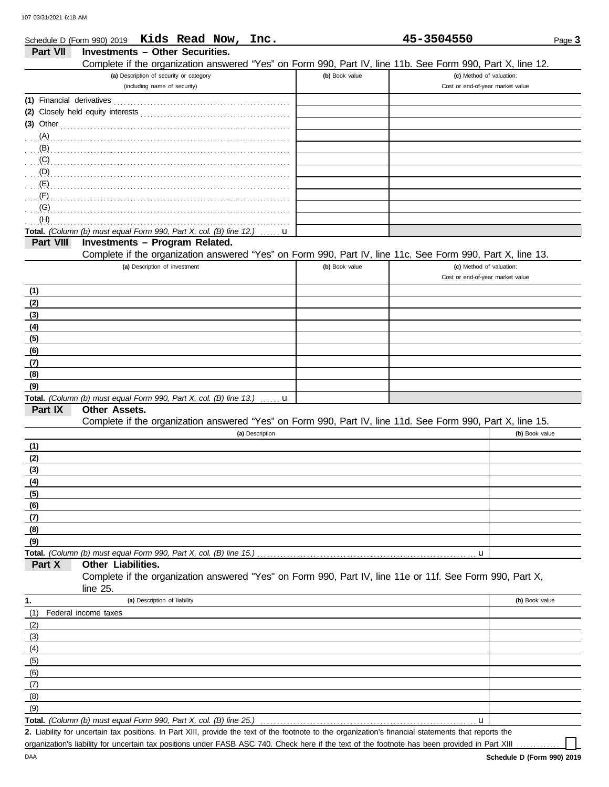DAA

|                           | Schedule D (Form 990) 2019 Kids Read Now, Inc.                                                             |                | 45-3504550                       | Page 3         |
|---------------------------|------------------------------------------------------------------------------------------------------------|----------------|----------------------------------|----------------|
| <b>Part VII</b>           | <b>Investments - Other Securities.</b>                                                                     |                |                                  |                |
|                           | Complete if the organization answered "Yes" on Form 990, Part IV, line 11b. See Form 990, Part X, line 12. |                |                                  |                |
|                           | (a) Description of security or category                                                                    | (b) Book value | (c) Method of valuation:         |                |
|                           | (including name of security)                                                                               |                | Cost or end-of-year market value |                |
| (1) Financial derivatives |                                                                                                            |                |                                  |                |
|                           |                                                                                                            |                |                                  |                |
| $(3)$ Other               |                                                                                                            |                |                                  |                |
| (A)                       |                                                                                                            |                |                                  |                |
| (B)                       |                                                                                                            |                |                                  |                |
| (C)                       |                                                                                                            |                |                                  |                |
| (D)                       |                                                                                                            |                |                                  |                |
| (E)                       |                                                                                                            |                |                                  |                |
| (F)                       |                                                                                                            |                |                                  |                |
| (G)                       |                                                                                                            |                |                                  |                |
| (H)                       |                                                                                                            |                |                                  |                |
|                           | Total. (Column (b) must equal Form 990, Part X, col. (B) line 12.)<br>u                                    |                |                                  |                |
| Part VIII                 | Investments - Program Related.                                                                             |                |                                  |                |
|                           | Complete if the organization answered "Yes" on Form 990, Part IV, line 11c. See Form 990, Part X, line 13. |                |                                  |                |
|                           | (a) Description of investment                                                                              | (b) Book value | (c) Method of valuation:         |                |
|                           |                                                                                                            |                | Cost or end-of-year market value |                |
| (1)                       |                                                                                                            |                |                                  |                |
| (2)                       |                                                                                                            |                |                                  |                |
| (3)                       |                                                                                                            |                |                                  |                |
| (4)                       |                                                                                                            |                |                                  |                |
| (5)                       |                                                                                                            |                |                                  |                |
| (6)                       |                                                                                                            |                |                                  |                |
| (7)                       |                                                                                                            |                |                                  |                |
| (8)                       |                                                                                                            |                |                                  |                |
| (9)                       |                                                                                                            |                |                                  |                |
|                           | Total. (Column (b) must equal Form 990, Part X, col. (B) line 13.)<br>u                                    |                |                                  |                |
| Part IX                   | Other Assets.                                                                                              |                |                                  |                |
|                           | Complete if the organization answered "Yes" on Form 990, Part IV, line 11d. See Form 990, Part X, line 15. |                |                                  |                |
|                           | (a) Description                                                                                            |                |                                  | (b) Book value |
| (1)                       |                                                                                                            |                |                                  |                |
| (2)                       |                                                                                                            |                |                                  |                |
| (3)                       |                                                                                                            |                |                                  |                |
| (4)                       |                                                                                                            |                |                                  |                |
| (5)                       |                                                                                                            |                |                                  |                |
| (6)                       |                                                                                                            |                |                                  |                |
| (7)                       |                                                                                                            |                |                                  |                |
| (8)                       |                                                                                                            |                |                                  |                |
| (9)                       |                                                                                                            |                |                                  |                |
|                           | Total. (Column (b) must equal Form 990, Part X, col. (B) line 15.)                                         |                | u                                |                |
| Part X                    | Other Liabilities.                                                                                         |                |                                  |                |
|                           | Complete if the organization answered "Yes" on Form 990, Part IV, line 11e or 11f. See Form 990, Part X,   |                |                                  |                |
|                           | line 25.                                                                                                   |                |                                  |                |
| 1.                        | (a) Description of liability                                                                               |                |                                  | (b) Book value |
| (1)                       | Federal income taxes                                                                                       |                |                                  |                |
| (2)                       |                                                                                                            |                |                                  |                |
| (3)                       |                                                                                                            |                |                                  |                |
| (4)                       |                                                                                                            |                |                                  |                |
| (5)                       |                                                                                                            |                |                                  |                |
| (6)                       |                                                                                                            |                |                                  |                |
| (7)                       |                                                                                                            |                |                                  |                |
| (8)                       |                                                                                                            |                |                                  |                |
| (9)                       |                                                                                                            |                |                                  |                |
|                           | Total. (Column (b) must equal Form 990, Part X, col. (B) line 25.)                                         |                | u                                |                |

Liability for uncertain tax positions. In Part XIII, provide the text of the footnote to the organization's financial statements that reports the **2.** organization's liability for uncertain tax positions under FASB ASC 740. Check here if the text of the footnote has been provided in Part XIII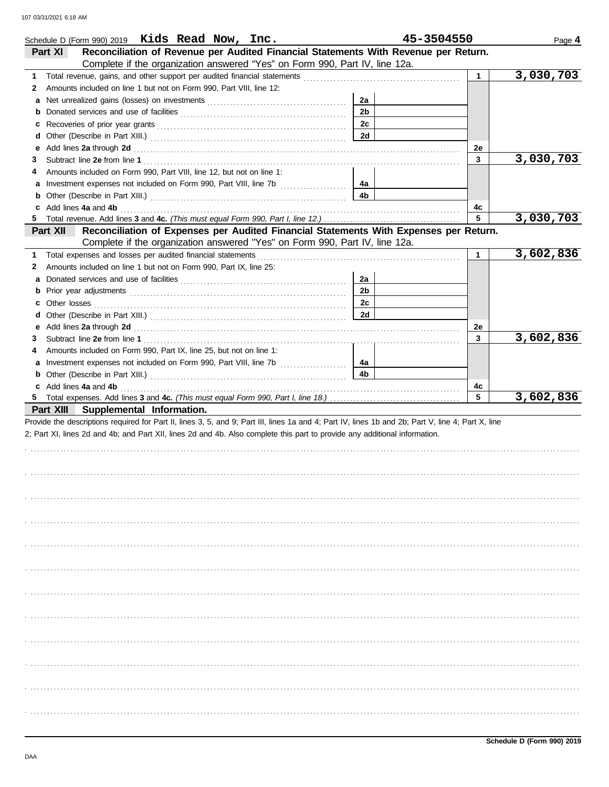| Schedule D (Form 990) 2019 $\,$ Kids Read Now, Inc.                                                                                                                                                                                 |                | 45-3504550   | Page 4    |
|-------------------------------------------------------------------------------------------------------------------------------------------------------------------------------------------------------------------------------------|----------------|--------------|-----------|
| Reconciliation of Revenue per Audited Financial Statements With Revenue per Return.<br>Part XI                                                                                                                                      |                |              |           |
| Complete if the organization answered "Yes" on Form 990, Part IV, line 12a.                                                                                                                                                         |                |              |           |
| 1.                                                                                                                                                                                                                                  |                | $\mathbf{1}$ | 3,030,703 |
| Amounts included on line 1 but not on Form 990, Part VIII, line 12:<br>2                                                                                                                                                            |                |              |           |
|                                                                                                                                                                                                                                     | 2a             |              |           |
| b                                                                                                                                                                                                                                   | 2 <sub>b</sub> |              |           |
| c                                                                                                                                                                                                                                   | 2c             |              |           |
| d                                                                                                                                                                                                                                   | 2d             |              |           |
| Add lines 2a through 2d [11] March 20 [11] March 20 [11] March 20 [11] March 20 [11] March 20 [11] March 20 [11] March 20 [11] March 20 [11] March 20 [11] March 20 [11] March 20 [11] March 20 [11] March 20 [11] March 20 [1<br>е |                | 2e           |           |
| 3                                                                                                                                                                                                                                   |                | 3            | 3,030,703 |
| Amounts included on Form 990, Part VIII, line 12, but not on line 1:<br>4                                                                                                                                                           |                |              |           |
| a Investment expenses not included on Form 990, Part VIII, line 7b                                                                                                                                                                  | 4a             |              |           |
|                                                                                                                                                                                                                                     | 4b             |              |           |
| c Add lines 4a and 4b                                                                                                                                                                                                               |                | 4c           |           |
| 5.<br>Reconciliation of Expenses per Audited Financial Statements With Expenses per Return.                                                                                                                                         |                | 5            | 3,030,703 |
| <b>Part XII</b><br>Complete if the organization answered "Yes" on Form 990, Part IV, line 12a.                                                                                                                                      |                |              |           |
| 1.                                                                                                                                                                                                                                  |                | $\mathbf{1}$ | 3,602,836 |
| Amounts included on line 1 but not on Form 990, Part IX, line 25:<br>2                                                                                                                                                              |                |              |           |
|                                                                                                                                                                                                                                     | 2a             |              |           |
| b                                                                                                                                                                                                                                   | 2 <sub>b</sub> |              |           |
|                                                                                                                                                                                                                                     | 2c             |              |           |
| d                                                                                                                                                                                                                                   | 2d             |              |           |
|                                                                                                                                                                                                                                     |                | 2e           |           |
| 3                                                                                                                                                                                                                                   |                | 3            | 3,602,836 |
| Amounts included on Form 990, Part IX, line 25, but not on line 1:<br>4                                                                                                                                                             |                |              |           |
|                                                                                                                                                                                                                                     | 4a             |              |           |
|                                                                                                                                                                                                                                     | 4b             |              |           |
| c Add lines 4a and 4b                                                                                                                                                                                                               |                | 4c           |           |
| 5                                                                                                                                                                                                                                   |                | 5            | 3,602,836 |
| Part XIII Supplemental Information.                                                                                                                                                                                                 |                |              |           |
| Provide the descriptions required for Part II, lines 3, 5, and 9; Part III, lines 1a and 4; Part IV, lines 1b and 2b; Part V, line 4; Part X, line                                                                                  |                |              |           |
| 2; Part XI, lines 2d and 4b; and Part XII, lines 2d and 4b. Also complete this part to provide any additional information.                                                                                                          |                |              |           |
|                                                                                                                                                                                                                                     |                |              |           |
|                                                                                                                                                                                                                                     |                |              |           |
|                                                                                                                                                                                                                                     |                |              |           |
|                                                                                                                                                                                                                                     |                |              |           |
|                                                                                                                                                                                                                                     |                |              |           |
|                                                                                                                                                                                                                                     |                |              |           |
|                                                                                                                                                                                                                                     |                |              |           |
|                                                                                                                                                                                                                                     |                |              |           |
|                                                                                                                                                                                                                                     |                |              |           |
|                                                                                                                                                                                                                                     |                |              |           |
|                                                                                                                                                                                                                                     |                |              |           |
|                                                                                                                                                                                                                                     |                |              |           |
|                                                                                                                                                                                                                                     |                |              |           |
|                                                                                                                                                                                                                                     |                |              |           |
|                                                                                                                                                                                                                                     |                |              |           |
|                                                                                                                                                                                                                                     |                |              |           |
|                                                                                                                                                                                                                                     |                |              |           |
|                                                                                                                                                                                                                                     |                |              |           |
|                                                                                                                                                                                                                                     |                |              |           |
|                                                                                                                                                                                                                                     |                |              |           |
|                                                                                                                                                                                                                                     |                |              |           |
|                                                                                                                                                                                                                                     |                |              |           |
|                                                                                                                                                                                                                                     |                |              |           |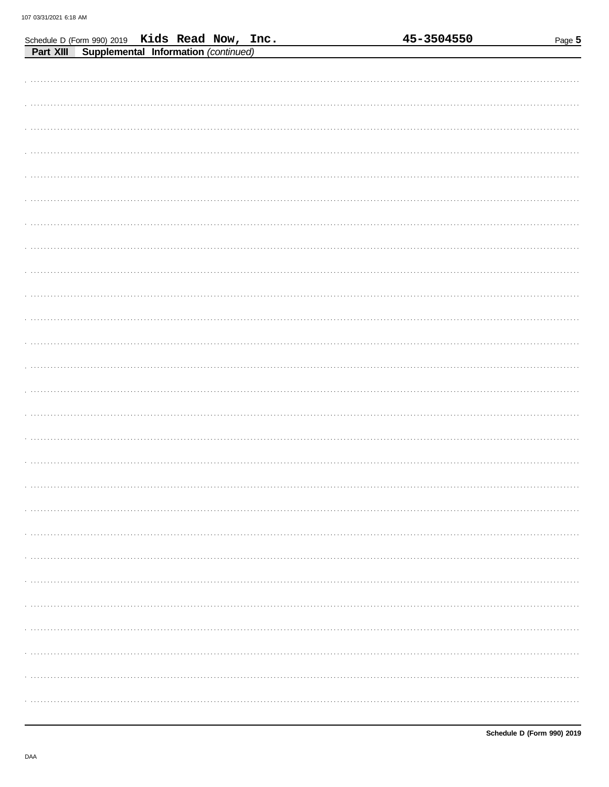Schedule D (Form 990) 2019 Kids Read Now, Inc.

| Part XIII Supplemental Information (continued) |
|------------------------------------------------|
|                                                |
|                                                |
|                                                |
|                                                |
|                                                |
|                                                |
|                                                |
|                                                |
|                                                |
|                                                |
|                                                |
|                                                |
|                                                |
|                                                |
|                                                |
|                                                |
|                                                |
|                                                |
|                                                |
|                                                |
|                                                |
|                                                |
|                                                |
|                                                |
|                                                |
|                                                |
|                                                |
|                                                |

45-3504550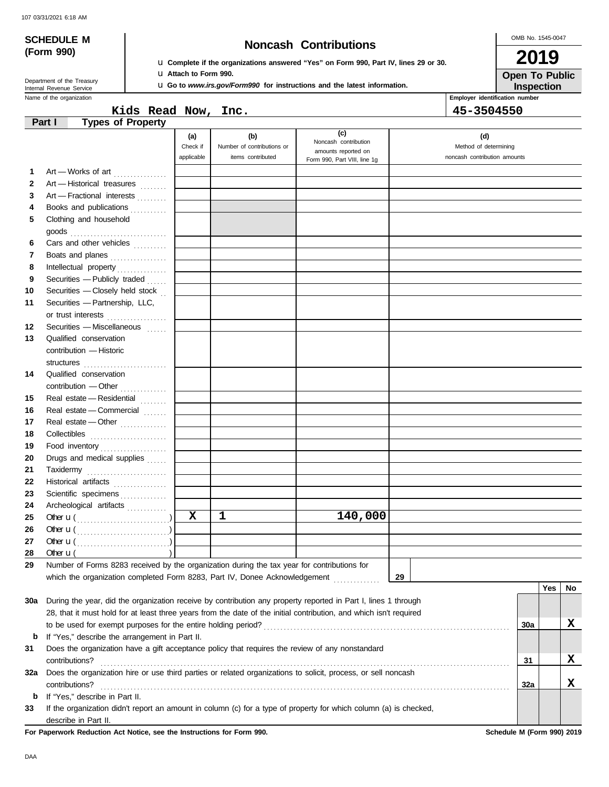# **SCHEDULE M Noncash Contributions**

OMB No. 1545-0047 **2019**

| <u> 991169966 111</u> |  |
|-----------------------|--|
| (Form 990)            |  |

u **Complete if the organizations answered "Yes" on Form 990, Part IV, lines 29 or 30.** u **Attach to Form 990.**

u **Go to** *www.irs.gov/Form990* **for instructions and the latest information.**

**Inspection Open To Public**

| Department of the Treasury<br>Internal Revenue Service |
|--------------------------------------------------------|
| Name of the organization                               |

Employer identification number **Kids Read Now, Inc. 45-3504550**

|              | <b>Types of Property</b><br>Part I                                                                                                                                                                                                     |             |                            |                                             |                              |     |     |    |
|--------------|----------------------------------------------------------------------------------------------------------------------------------------------------------------------------------------------------------------------------------------|-------------|----------------------------|---------------------------------------------|------------------------------|-----|-----|----|
|              |                                                                                                                                                                                                                                        | (a)         | (b)                        | (c)                                         | (d)                          |     |     |    |
|              |                                                                                                                                                                                                                                        | Check if    | Number of contributions or | Noncash contribution<br>amounts reported on | Method of determining        |     |     |    |
|              |                                                                                                                                                                                                                                        | applicable  | items contributed          | Form 990, Part VIII, line 1g                | noncash contribution amounts |     |     |    |
| 1            | Art - Works of art                                                                                                                                                                                                                     |             |                            |                                             |                              |     |     |    |
| $\mathbf{2}$ | Art - Historical treasures                                                                                                                                                                                                             |             |                            |                                             |                              |     |     |    |
| 3            | Art - Fractional interests                                                                                                                                                                                                             |             |                            |                                             |                              |     |     |    |
| 4            | Books and publications                                                                                                                                                                                                                 |             |                            |                                             |                              |     |     |    |
| 5            | Clothing and household                                                                                                                                                                                                                 |             |                            |                                             |                              |     |     |    |
|              | goods<br><i>compare in the set of the set of the set of the set of the set of the set of the set of the set of the set of the set of the set of the set of the set of the set of the set of the set of the set of the set of the s</i> |             |                            |                                             |                              |     |     |    |
| 6            | Cars and other vehicles                                                                                                                                                                                                                |             |                            |                                             |                              |     |     |    |
| 7            | Boats and planes                                                                                                                                                                                                                       |             |                            |                                             |                              |     |     |    |
| 8            | Intellectual property                                                                                                                                                                                                                  |             |                            |                                             |                              |     |     |    |
| 9            | Securities - Publicly traded                                                                                                                                                                                                           |             |                            |                                             |                              |     |     |    |
| 10           | Securities - Closely held stock                                                                                                                                                                                                        |             |                            |                                             |                              |     |     |    |
| 11           | Securities - Partnership, LLC,                                                                                                                                                                                                         |             |                            |                                             |                              |     |     |    |
|              | or trust interests                                                                                                                                                                                                                     |             |                            |                                             |                              |     |     |    |
| 12           | Securities - Miscellaneous                                                                                                                                                                                                             |             |                            |                                             |                              |     |     |    |
| 13           | Qualified conservation                                                                                                                                                                                                                 |             |                            |                                             |                              |     |     |    |
|              | contribution - Historic                                                                                                                                                                                                                |             |                            |                                             |                              |     |     |    |
|              | structures                                                                                                                                                                                                                             |             |                            |                                             |                              |     |     |    |
| 14           | Qualified conservation                                                                                                                                                                                                                 |             |                            |                                             |                              |     |     |    |
|              | contribution - Other                                                                                                                                                                                                                   |             |                            |                                             |                              |     |     |    |
| 15           | Real estate - Residential                                                                                                                                                                                                              |             |                            |                                             |                              |     |     |    |
| 16           | Real estate - Commercial                                                                                                                                                                                                               |             |                            |                                             |                              |     |     |    |
| 17           | Real estate - Other                                                                                                                                                                                                                    |             |                            |                                             |                              |     |     |    |
| 18           |                                                                                                                                                                                                                                        |             |                            |                                             |                              |     |     |    |
| 19           | Food inventory                                                                                                                                                                                                                         |             |                            |                                             |                              |     |     |    |
| 20           | Drugs and medical supplies                                                                                                                                                                                                             |             |                            |                                             |                              |     |     |    |
| 21           | Taxidermy                                                                                                                                                                                                                              |             |                            |                                             |                              |     |     |    |
| 22           | Historical artifacts                                                                                                                                                                                                                   |             |                            |                                             |                              |     |     |    |
| 23           | Scientific specimens                                                                                                                                                                                                                   |             |                            |                                             |                              |     |     |    |
| 24           | Archeological artifacts                                                                                                                                                                                                                |             |                            |                                             |                              |     |     |    |
| 25           |                                                                                                                                                                                                                                        | $\mathbf x$ | 1                          | 140,000                                     |                              |     |     |    |
| 26           |                                                                                                                                                                                                                                        |             |                            |                                             |                              |     |     |    |
| 27           |                                                                                                                                                                                                                                        |             |                            |                                             |                              |     |     |    |
| 28           | Other $U($                                                                                                                                                                                                                             |             |                            |                                             |                              |     |     |    |
| 29           | Number of Forms 8283 received by the organization during the tax year for contributions for                                                                                                                                            |             |                            |                                             |                              |     |     |    |
|              | which the organization completed Form 8283, Part IV, Donee Acknowledgement                                                                                                                                                             |             |                            |                                             | 29                           |     |     |    |
|              |                                                                                                                                                                                                                                        |             |                            |                                             |                              |     | Yes | No |
| 30a          | During the year, did the organization receive by contribution any property reported in Part I, lines 1 through                                                                                                                         |             |                            |                                             |                              |     |     |    |
|              | 28, that it must hold for at least three years from the date of the initial contribution, and which isn't required                                                                                                                     |             |                            |                                             |                              |     |     |    |
|              |                                                                                                                                                                                                                                        |             |                            |                                             |                              | 30a |     | X  |
| b            | If "Yes," describe the arrangement in Part II.                                                                                                                                                                                         |             |                            |                                             |                              |     |     |    |
| 31           | Does the organization have a gift acceptance policy that requires the review of any nonstandard                                                                                                                                        |             |                            |                                             |                              |     |     |    |
|              | contributions?                                                                                                                                                                                                                         |             |                            |                                             |                              | 31  |     | X  |
| 32a          | Does the organization hire or use third parties or related organizations to solicit, process, or sell noncash                                                                                                                          |             |                            |                                             |                              |     |     |    |
|              | contributions?                                                                                                                                                                                                                         |             |                            |                                             |                              | 32a |     | X  |
| b            | If "Yes," describe in Part II.                                                                                                                                                                                                         |             |                            |                                             |                              |     |     |    |
| 33           | If the organization didn't report an amount in column (c) for a type of property for which column (a) is checked,                                                                                                                      |             |                            |                                             |                              |     |     |    |
|              | describe in Part II.                                                                                                                                                                                                                   |             |                            |                                             |                              |     |     |    |

**For Paperwork Reduction Act Notice, see the Instructions for Form 990. Schedule M (Form 990) 2019**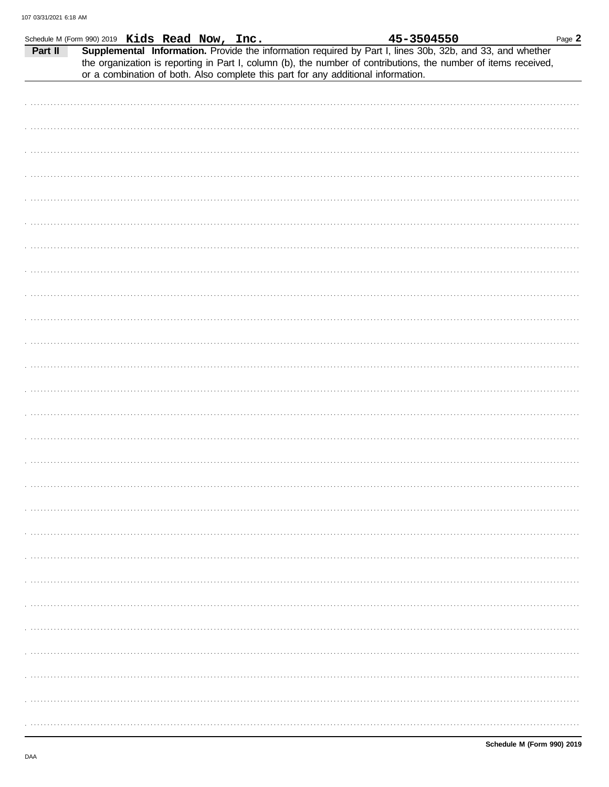| Part II | Schedule M (Form 990) 2019 Kids Read Now, Inc. | Supplemental Information. Provide the information required by Part I, lines 30b, 32b, and 33, and whether                                                                                            |  | 45-3504550 | Page 2 |
|---------|------------------------------------------------|------------------------------------------------------------------------------------------------------------------------------------------------------------------------------------------------------|--|------------|--------|
|         |                                                | the organization is reporting in Part I, column (b), the number of contributions, the number of items received,<br>or a combination of both. Also complete this part for any additional information. |  |            |        |
|         |                                                |                                                                                                                                                                                                      |  |            |        |
|         |                                                |                                                                                                                                                                                                      |  |            |        |
|         |                                                |                                                                                                                                                                                                      |  |            |        |
|         |                                                |                                                                                                                                                                                                      |  |            |        |
|         |                                                |                                                                                                                                                                                                      |  |            |        |
|         |                                                |                                                                                                                                                                                                      |  |            |        |
|         |                                                |                                                                                                                                                                                                      |  |            |        |
|         |                                                |                                                                                                                                                                                                      |  |            |        |
|         |                                                |                                                                                                                                                                                                      |  |            |        |
|         |                                                |                                                                                                                                                                                                      |  |            |        |
|         |                                                |                                                                                                                                                                                                      |  |            |        |
|         |                                                |                                                                                                                                                                                                      |  |            |        |
|         |                                                |                                                                                                                                                                                                      |  |            |        |
|         |                                                |                                                                                                                                                                                                      |  |            |        |
|         |                                                |                                                                                                                                                                                                      |  |            |        |
|         |                                                |                                                                                                                                                                                                      |  |            |        |
|         |                                                |                                                                                                                                                                                                      |  |            |        |
|         |                                                |                                                                                                                                                                                                      |  |            |        |
|         |                                                |                                                                                                                                                                                                      |  |            |        |
|         |                                                |                                                                                                                                                                                                      |  |            |        |
|         |                                                |                                                                                                                                                                                                      |  |            |        |
|         |                                                |                                                                                                                                                                                                      |  |            |        |
|         |                                                |                                                                                                                                                                                                      |  |            |        |
|         |                                                |                                                                                                                                                                                                      |  |            |        |
|         |                                                |                                                                                                                                                                                                      |  |            |        |
|         |                                                |                                                                                                                                                                                                      |  |            |        |
|         |                                                |                                                                                                                                                                                                      |  |            |        |
|         |                                                |                                                                                                                                                                                                      |  |            |        |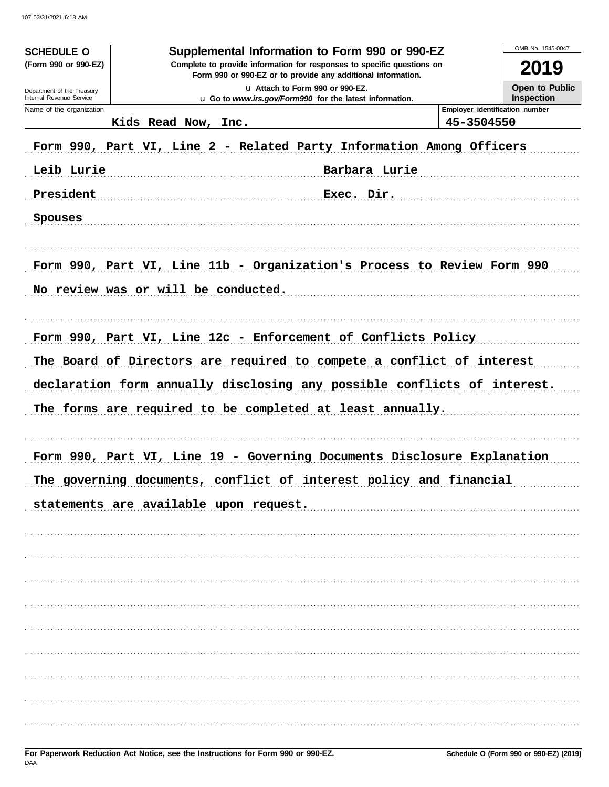| <b>SCHEDULE O</b>                                      | Supplemental Information to Form 990 or 990-EZ                         | OMB No. 1545-0047<br>2019                                                                                                                                   |               |                                |                                            |
|--------------------------------------------------------|------------------------------------------------------------------------|-------------------------------------------------------------------------------------------------------------------------------------------------------------|---------------|--------------------------------|--------------------------------------------|
| (Form 990 or 990-EZ)                                   | Complete to provide information for responses to specific questions on |                                                                                                                                                             |               |                                |                                            |
| Department of the Treasury<br>Internal Revenue Service |                                                                        | Form 990 or 990-EZ or to provide any additional information.<br>La Attach to Form 990 or 990-EZ.<br>u Go to www.irs.gov/Form990 for the latest information. |               |                                | <b>Open to Public</b><br><b>Inspection</b> |
| Name of the organization                               |                                                                        |                                                                                                                                                             |               | Employer identification number |                                            |
|                                                        | Kids Read Now, Inc.                                                    |                                                                                                                                                             |               | 45-3504550                     |                                            |
|                                                        |                                                                        | Form 990, Part VI, Line 2 - Related Party Information Among Officers                                                                                        |               |                                |                                            |
| Leib Lurie                                             |                                                                        |                                                                                                                                                             | Barbara Lurie |                                |                                            |
| President                                              |                                                                        |                                                                                                                                                             | Exec. Dir.    |                                |                                            |
| Spouses                                                |                                                                        |                                                                                                                                                             |               |                                |                                            |
|                                                        |                                                                        |                                                                                                                                                             |               |                                |                                            |
|                                                        |                                                                        | Form 990, Part VI, Line 11b - Organization's Process to Review Form 990                                                                                     |               |                                |                                            |
|                                                        |                                                                        |                                                                                                                                                             |               |                                |                                            |
|                                                        | No review was or will be conducted.                                    |                                                                                                                                                             |               |                                |                                            |
|                                                        |                                                                        |                                                                                                                                                             |               |                                |                                            |
|                                                        |                                                                        | Form 990, Part VI, Line 12c - Enforcement of Conflicts Policy                                                                                               |               |                                |                                            |
|                                                        |                                                                        | The Board of Directors are required to compete a conflict of interest                                                                                       |               |                                |                                            |
|                                                        |                                                                        | declaration form annually disclosing any possible conflicts of interest.                                                                                    |               |                                |                                            |
|                                                        |                                                                        | The forms are required to be completed at least annually.                                                                                                   |               |                                |                                            |
|                                                        |                                                                        |                                                                                                                                                             |               |                                |                                            |
|                                                        |                                                                        | Form 990, Part VI, Line 19 - Governing Documents Disclosure Explanation                                                                                     |               |                                |                                            |
|                                                        |                                                                        | The governing documents, conflict of interest policy and financial                                                                                          |               |                                |                                            |
|                                                        |                                                                        |                                                                                                                                                             |               |                                |                                            |
|                                                        | statements are available upon request.                                 |                                                                                                                                                             |               |                                |                                            |
|                                                        |                                                                        |                                                                                                                                                             |               |                                |                                            |
|                                                        |                                                                        |                                                                                                                                                             |               |                                |                                            |
|                                                        |                                                                        |                                                                                                                                                             |               |                                |                                            |
|                                                        |                                                                        |                                                                                                                                                             |               |                                |                                            |
|                                                        |                                                                        |                                                                                                                                                             |               |                                |                                            |
|                                                        |                                                                        |                                                                                                                                                             |               |                                |                                            |
|                                                        |                                                                        |                                                                                                                                                             |               |                                |                                            |
|                                                        |                                                                        |                                                                                                                                                             |               |                                |                                            |
|                                                        |                                                                        |                                                                                                                                                             |               |                                |                                            |
|                                                        |                                                                        |                                                                                                                                                             |               |                                |                                            |
|                                                        |                                                                        |                                                                                                                                                             |               |                                |                                            |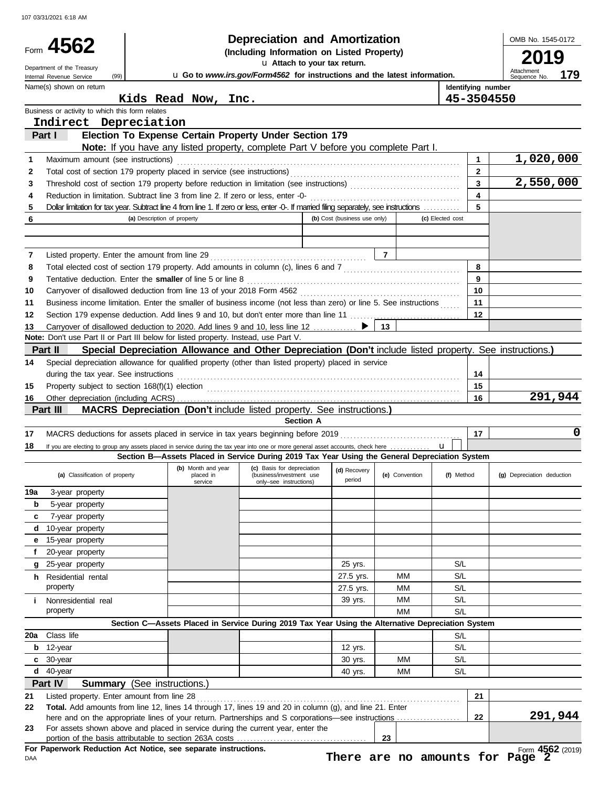| Form 4562                                                                           |                                                                                                                                         | <b>Depreciation and Amortization</b><br>(Including Information on Listed Property)<br>U Attach to your tax return. |                              |                |                    |                                   |  |
|-------------------------------------------------------------------------------------|-----------------------------------------------------------------------------------------------------------------------------------------|--------------------------------------------------------------------------------------------------------------------|------------------------------|----------------|--------------------|-----------------------------------|--|
| Department of the Treasury<br>(99)<br>Internal Revenue Service                      |                                                                                                                                         | <b>u Go to www.irs.gov/Form4562 for instructions and the latest information.</b>                                   |                              |                |                    | Attachment<br>179<br>Sequence No. |  |
| Name(s) shown on return                                                             |                                                                                                                                         |                                                                                                                    |                              |                | Identifying number |                                   |  |
|                                                                                     | Kids Read Now, Inc.                                                                                                                     |                                                                                                                    |                              |                | 45-3504550         |                                   |  |
| Business or activity to which this form relates                                     |                                                                                                                                         |                                                                                                                    |                              |                |                    |                                   |  |
| Indirect Depreciation                                                               |                                                                                                                                         |                                                                                                                    |                              |                |                    |                                   |  |
| Part I                                                                              | Election To Expense Certain Property Under Section 179                                                                                  |                                                                                                                    |                              |                |                    |                                   |  |
| Maximum amount (see instructions)<br>1                                              | <b>Note:</b> If you have any listed property, complete Part V before you complete Part I.                                               |                                                                                                                    |                              |                | 1                  | 1,020,000                         |  |
| 2                                                                                   |                                                                                                                                         |                                                                                                                    |                              |                | $\mathbf{2}$       |                                   |  |
| 3                                                                                   |                                                                                                                                         |                                                                                                                    |                              |                | 3                  | 2,550,000                         |  |
| 4                                                                                   | Reduction in limitation. Subtract line 3 from line 2. If zero or less, enter -0-                                                        |                                                                                                                    |                              |                | 4                  |                                   |  |
| 5                                                                                   | Dollar limitation for tax year. Subtract line 4 from line 1. If zero or less, enter -0-. If married filing separately, see instructions |                                                                                                                    |                              |                | 5                  |                                   |  |
| 6                                                                                   | (a) Description of property                                                                                                             |                                                                                                                    | (b) Cost (business use only) |                | (c) Elected cost   |                                   |  |
|                                                                                     |                                                                                                                                         |                                                                                                                    |                              |                |                    |                                   |  |
|                                                                                     |                                                                                                                                         |                                                                                                                    |                              |                |                    |                                   |  |
| Listed property. Enter the amount from line 29<br>7                                 |                                                                                                                                         |                                                                                                                    |                              | $\overline{7}$ |                    |                                   |  |
| 8                                                                                   | Total elected cost of section 179 property. Add amounts in column (c), lines 6 and 7 [[[[[[[[[[[[[[[[[[[[[[[[                           |                                                                                                                    |                              |                | 8<br>9             |                                   |  |
| 9<br>10                                                                             | Tentative deduction. Enter the smaller of line 5 or line 8<br>Carryover of disallowed deduction from line 13 of your 2018 Form 4562     |                                                                                                                    |                              |                | 10                 |                                   |  |
| 11                                                                                  | Business income limitation. Enter the smaller of business income (not less than zero) or line 5. See instructions                       |                                                                                                                    |                              |                | 11                 |                                   |  |
| 12                                                                                  |                                                                                                                                         |                                                                                                                    |                              |                | 12                 |                                   |  |
| 13                                                                                  | Carryover of disallowed deduction to 2020. Add lines 9 and 10, less line 12                                                             |                                                                                                                    |                              | 13             |                    |                                   |  |
| Note: Don't use Part II or Part III below for listed property. Instead, use Part V. |                                                                                                                                         |                                                                                                                    |                              |                |                    |                                   |  |
| Part II                                                                             | Special Depreciation Allowance and Other Depreciation (Don't include listed property. See instructions.)                                |                                                                                                                    |                              |                |                    |                                   |  |
| 14                                                                                  | Special depreciation allowance for qualified property (other than listed property) placed in service                                    |                                                                                                                    |                              |                |                    |                                   |  |
| during the tax year. See instructions                                               |                                                                                                                                         |                                                                                                                    |                              |                | 14                 |                                   |  |
| 15                                                                                  | Property subject to section 168(f)(1) election <i>manufacture content content and section</i> 168(f)(1) election                        |                                                                                                                    |                              |                | 15                 |                                   |  |
| 16                                                                                  |                                                                                                                                         |                                                                                                                    |                              |                | 16                 | 291,944                           |  |
| Part III                                                                            | <b>MACRS Depreciation (Don't include listed property. See instructions.)</b>                                                            | <b>Section A</b>                                                                                                   |                              |                |                    |                                   |  |
| 17                                                                                  |                                                                                                                                         |                                                                                                                    |                              |                | 17                 | $\mathbf 0$                       |  |
| 18                                                                                  | If you are electing to group any assets placed in service during the tax year into one or more general asset accounts, check here       |                                                                                                                    |                              |                | $\mathbf{u}$       |                                   |  |
|                                                                                     | Section B—Assets Placed in Service During 2019 Tax Year Using the General Depreciation System                                           |                                                                                                                    |                              |                |                    |                                   |  |
| (a) Classification of property                                                      | (b) Month and year<br>placed in<br>service                                                                                              | (c) Basis for depreciation<br>(business/investment use<br>only-see instructions)                                   | (d) Recovery<br>period       | (e) Convention | (f) Method         | (g) Depreciation deduction        |  |
| 19a<br>3-year property                                                              |                                                                                                                                         |                                                                                                                    |                              |                |                    |                                   |  |
| b<br>5-year property                                                                |                                                                                                                                         |                                                                                                                    |                              |                |                    |                                   |  |
| 7-year property<br>c                                                                |                                                                                                                                         |                                                                                                                    |                              |                |                    |                                   |  |
| 10-year property<br>d                                                               |                                                                                                                                         |                                                                                                                    |                              |                |                    |                                   |  |
| 15-year property<br>е                                                               |                                                                                                                                         |                                                                                                                    |                              |                |                    |                                   |  |
| 20-year property<br>f<br>g 25-year property                                         |                                                                                                                                         |                                                                                                                    |                              |                | S/L                |                                   |  |
| h Residential rental                                                                |                                                                                                                                         |                                                                                                                    | 25 yrs.<br>27.5 yrs.         | МM             | S/L                |                                   |  |
| property                                                                            |                                                                                                                                         |                                                                                                                    | 27.5 yrs.                    | <b>MM</b>      | S/L                |                                   |  |
| <i>i</i> Nonresidential real                                                        |                                                                                                                                         |                                                                                                                    | 39 yrs.                      | <b>MM</b>      | S/L                |                                   |  |
| property                                                                            |                                                                                                                                         |                                                                                                                    |                              | MM             | S/L                |                                   |  |
|                                                                                     | Section C-Assets Placed in Service During 2019 Tax Year Using the Alternative Depreciation System                                       |                                                                                                                    |                              |                |                    |                                   |  |
| 20a Class life                                                                      |                                                                                                                                         |                                                                                                                    |                              |                | S/L                |                                   |  |
| 12-year<br>b                                                                        |                                                                                                                                         |                                                                                                                    | 12 yrs.                      |                | S/L                |                                   |  |
| c 30-year                                                                           |                                                                                                                                         |                                                                                                                    | 30 yrs.                      | MМ             | S/L                |                                   |  |
| d 40-year                                                                           |                                                                                                                                         |                                                                                                                    | 40 yrs.                      | MМ             | S/L                |                                   |  |
| Part IV                                                                             | <b>Summary</b> (See instructions.)                                                                                                      |                                                                                                                    |                              |                |                    |                                   |  |
| Listed property. Enter amount from line 28<br>21                                    |                                                                                                                                         |                                                                                                                    |                              |                | 21                 |                                   |  |
|                                                                                     |                                                                                                                                         | Total. Add amounts from line 12, lines 14 through 17, lines 19 and 20 in column (g), and line 21. Enter            |                              |                |                    |                                   |  |
|                                                                                     |                                                                                                                                         |                                                                                                                    |                              |                |                    |                                   |  |
| 22<br>23                                                                            | For assets shown above and placed in service during the current year, enter the                                                         |                                                                                                                    |                              |                | 22                 | 291,944                           |  |
| For Paperwork Reduction Act Notice, see separate instructions.                      |                                                                                                                                         |                                                                                                                    |                              | 23             |                    | Form 4562 (2019)                  |  |